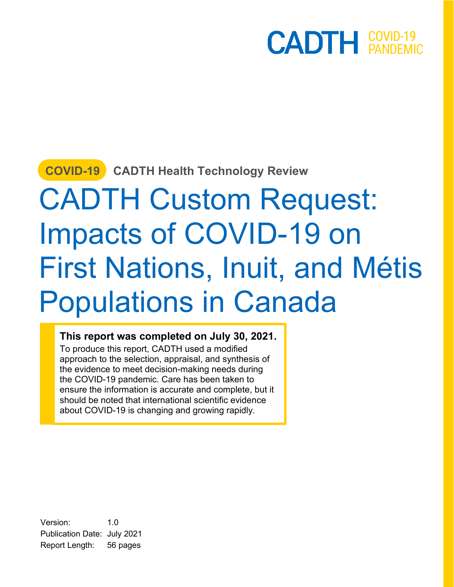#### **COVID-19 CADTH Health Technology Review**

# CADTH Custom Request: Impacts of COVID-19 on First Nations, Inuit, and Métis Populations in Canada

#### **This report was completed on July 30, 2021.**

To produce this report, CADTH used a modified approach to the selection, appraisal, and synthesis of the evidence to meet decision-making needs during the COVID-19 pandemic. Care has been taken to ensure the information is accurate and complete, but it should be noted that international scientific evidence about COVID-19 is changing and growing rapidly.

Version: 1.0 Publication Date: July 2021 Report Length: 56 pages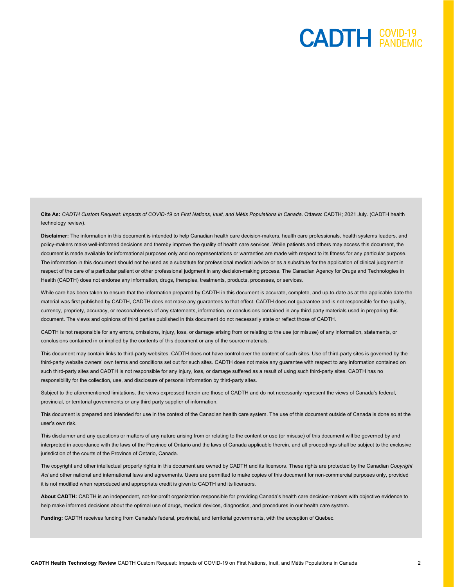**Cite As:** *CADTH Custom Request: Impacts of COVID-19 on First Nations, Inuit, and Métis Populations in Canada*. Ottawa: CADTH; 2021 July. (CADTH health technology review).

**Disclaimer:** The information in this document is intended to help Canadian health care decision-makers, health care professionals, health systems leaders, and policy-makers make well-informed decisions and thereby improve the quality of health care services. While patients and others may access this document, the document is made available for informational purposes only and no representations or warranties are made with respect to its fitness for any particular purpose. The information in this document should not be used as a substitute for professional medical advice or as a substitute for the application of clinical judgment in respect of the care of a particular patient or other professional judgment in any decision-making process. The Canadian Agency for Drugs and Technologies in Health (CADTH) does not endorse any information, drugs, therapies, treatments, products, processes, or services.

While care has been taken to ensure that the information prepared by CADTH in this document is accurate, complete, and up-to-date as at the applicable date the material was first published by CADTH, CADTH does not make any guarantees to that effect. CADTH does not guarantee and is not responsible for the quality, currency, propriety, accuracy, or reasonableness of any statements, information, or conclusions contained in any third-party materials used in preparing this document. The views and opinions of third parties published in this document do not necessarily state or reflect those of CADTH.

CADTH is not responsible for any errors, omissions, injury, loss, or damage arising from or relating to the use (or misuse) of any information, statements, or conclusions contained in or implied by the contents of this document or any of the source materials.

This document may contain links to third-party websites. CADTH does not have control over the content of such sites. Use of third-party sites is governed by the third-party website owners' own terms and conditions set out for such sites. CADTH does not make any guarantee with respect to any information contained on such third-party sites and CADTH is not responsible for any injury, loss, or damage suffered as a result of using such third-party sites. CADTH has no responsibility for the collection, use, and disclosure of personal information by third-party sites.

Subject to the aforementioned limitations, the views expressed herein are those of CADTH and do not necessarily represent the views of Canada's federal, provincial, or territorial governments or any third party supplier of information.

This document is prepared and intended for use in the context of the Canadian health care system. The use of this document outside of Canada is done so at the user's own risk.

This disclaimer and any questions or matters of any nature arising from or relating to the content or use (or misuse) of this document will be governed by and interpreted in accordance with the laws of the Province of Ontario and the laws of Canada applicable therein, and all proceedings shall be subject to the exclusive jurisdiction of the courts of the Province of Ontario, Canada.

The copyright and other intellectual property rights in this document are owned by CADTH and its licensors. These rights are protected by the Canadian *Copyright Act* and other national and international laws and agreements. Users are permitted to make copies of this document for non-commercial purposes only, provided it is not modified when reproduced and appropriate credit is given to CADTH and its licensors.

**About CADTH:** CADTH is an independent, not-for-profit organization responsible for providing Canada's health care decision-makers with objective evidence to help make informed decisions about the optimal use of drugs, medical devices, diagnostics, and procedures in our health care system.

**Funding:** CADTH receives funding from Canada's federal, provincial, and territorial governments, with the exception of Quebec.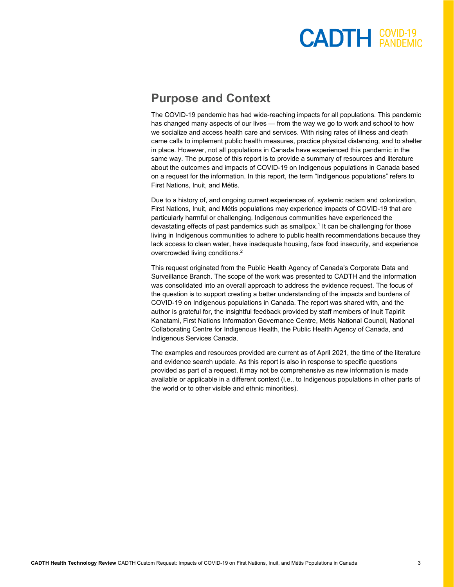#### **Purpose and Context**

The COVID-19 pandemic has had wide-reaching impacts for all populations. This pandemic has changed many aspects of our lives — from the way we go to work and school to how we socialize and access health care and services. With rising rates of illness and death came calls to implement public health measures, practice physical distancing, and to shelter in place. However, not all populations in Canada have experienced this pandemic in the same way. The purpose of this report is to provide a summary of resources and literature about the outcomes and impacts of COVID-19 on Indigenous populations in Canada based on a request for the information. In this report, the term "Indigenous populations" refers to First Nations, Inuit, and Métis.

Due to a history of, and ongoing current experiences of, systemic racism and colonization, First Nations, Inuit, and Métis populations may experience impacts of COVID-19 that are particularly harmful or challenging. Indigenous communities have experienced the devastating effects of past pandemics such as smallpox.1 It can be challenging for those living in Indigenous communities to adhere to public health recommendations because they lack access to clean water, have inadequate housing, face food insecurity, and experience overcrowded living conditions.<sup>2</sup>

This request originated from the Public Health Agency of Canada's Corporate Data and Surveillance Branch. The scope of the work was presented to CADTH and the information was consolidated into an overall approach to address the evidence request. The focus of the question is to support creating a better understanding of the impacts and burdens of COVID-19 on Indigenous populations in Canada. The report was shared with, and the author is grateful for, the insightful feedback provided by staff members of Inuit Tapiriit Kanatami, First Nations Information Governance Centre, Métis National Council, National Collaborating Centre for Indigenous Health, the Public Health Agency of Canada, and Indigenous Services Canada.

The examples and resources provided are current as of April 2021, the time of the literature and evidence search update. As this report is also in response to specific questions provided as part of a request, it may not be comprehensive as new information is made available or applicable in a different context (i.e., to Indigenous populations in other parts of the world or to other visible and ethnic minorities).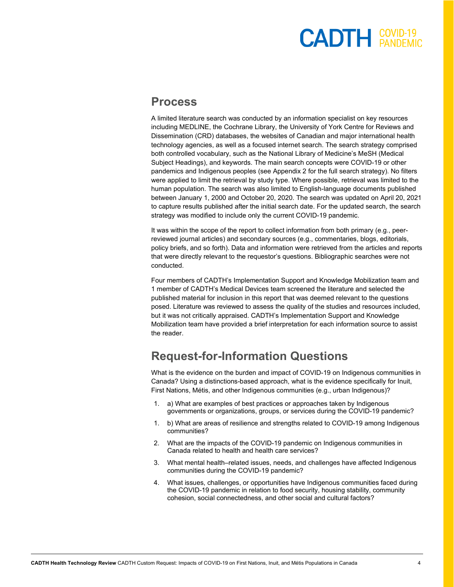### $<sup>COVID-19</sup>$  $<sup>COVID-19</sup>$ </sup></sup>

#### **Process**

A limited literature search was conducted by an information specialist on key resources including MEDLINE, the Cochrane Library, the University of York Centre for Reviews and Dissemination (CRD) databases, the websites of Canadian and major international health technology agencies, as well as a focused internet search. The search strategy comprised both controlled vocabulary, such as the National Library of Medicine's MeSH (Medical Subject Headings), and keywords. The main search concepts were COVID-19 or other pandemics and Indigenous peoples (see [Appendix 2](#page-52-0) for the full search strategy). No filters were applied to limit the retrieval by study type. Where possible, retrieval was limited to the human population. The search was also limited to English-language documents published between January 1, 2000 and October 20, 2020. The search was updated on April 20, 2021 to capture results published after the initial search date. For the updated search, the search strategy was modified to include only the current COVID-19 pandemic.

It was within the scope of the report to collect information from both primary (e.g., peerreviewed journal articles) and secondary sources (e.g., commentaries, blogs, editorials, policy briefs, and so forth). Data and information were retrieved from the articles and reports that were directly relevant to the requestor's questions. Bibliographic searches were not conducted.

Four members of CADTH's Implementation Support and Knowledge Mobilization team and 1 member of CADTH's Medical Devices team screened the literature and selected the published material for inclusion in this report that was deemed relevant to the questions posed. Literature was reviewed to assess the quality of the studies and resources included, but it was not critically appraised. CADTH's Implementation Support and Knowledge Mobilization team have provided a brief interpretation for each information source to assist the reader.

#### **Request-for-Information Questions**

What is the evidence on the burden and impact of COVID-19 on Indigenous communities in Canada? Using a distinctions-based approach, what is the evidence specifically for Inuit, First Nations, Métis, and other Indigenous communities (e.g., urban Indigenous)?

- 1. a) What are examples of best practices or approaches taken by Indigenous governments or organizations, groups, or services during the COVID-19 pandemic?
- 1. b) What are areas of resilience and strengths related to COVID-19 among Indigenous communities?
- 2. What are the impacts of the COVID-19 pandemic on Indigenous communities in Canada related to health and health care services?
- 3. What mental health–related issues, needs, and challenges have affected Indigenous communities during the COVID-19 pandemic?
- 4. What issues, challenges, or opportunities have Indigenous communities faced during the COVID-19 pandemic in relation to food security, housing stability, community cohesion, social connectedness, and other social and cultural factors?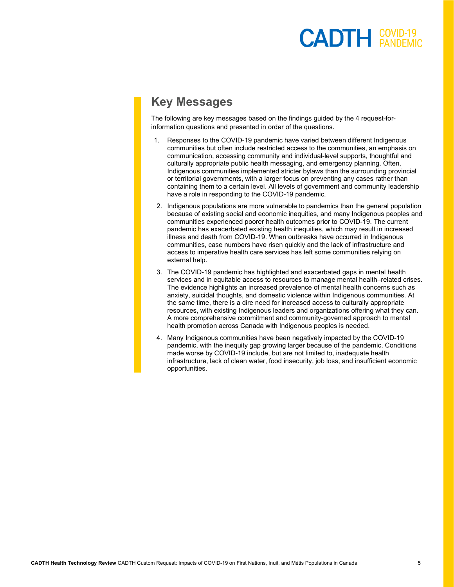#### **Key Messages**

The following are key messages based on the findings guided by the 4 request-forinformation questions and presented in order of the questions.

- 1. Responses to the COVID-19 pandemic have varied between different Indigenous communities but often include restricted access to the communities, an emphasis on communication, accessing community and individual-level supports, thoughtful and culturally appropriate public health messaging, and emergency planning. Often, Indigenous communities implemented stricter bylaws than the surrounding provincial or territorial governments, with a larger focus on preventing any cases rather than containing them to a certain level. All levels of government and community leadership have a role in responding to the COVID-19 pandemic.
- 2. Indigenous populations are more vulnerable to pandemics than the general population because of existing social and economic inequities, and many Indigenous peoples and communities experienced poorer health outcomes prior to COVID-19. The current pandemic has exacerbated existing health inequities, which may result in increased illness and death from COVID-19. When outbreaks have occurred in Indigenous communities, case numbers have risen quickly and the lack of infrastructure and access to imperative health care services has left some communities relying on external help.
- 3. The COVID-19 pandemic has highlighted and exacerbated gaps in mental health services and in equitable access to resources to manage mental health–related crises. The evidence highlights an increased prevalence of mental health concerns such as anxiety, suicidal thoughts, and domestic violence within Indigenous communities. At the same time, there is a dire need for increased access to culturally appropriate resources, with existing Indigenous leaders and organizations offering what they can. A more comprehensive commitment and community-governed approach to mental health promotion across Canada with Indigenous peoples is needed.
- 4. Many Indigenous communities have been negatively impacted by the COVID-19 pandemic, with the inequity gap growing larger because of the pandemic. Conditions made worse by COVID-19 include, but are not limited to, inadequate health infrastructure, lack of clean water, food insecurity, job loss, and insufficient economic opportunities.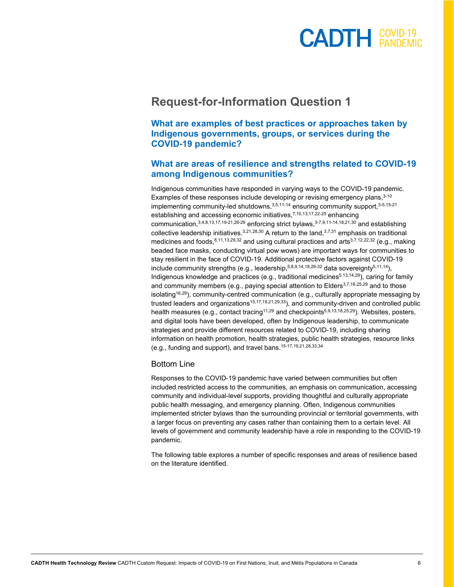#### $<sup>COVID-19</sup>$  $<sup>COVID-19</sup>$ </sup></sup>

#### **Request-for-Information Question 1**

**What are examples of best practices or approaches taken by Indigenous governments, groups, or services during the COVID-19 pandemic?** 

#### **What are areas of resilience and strengths related to COVID-19 among Indigenous communities?**

Indigenous communities have responded in varying ways to the COVID-19 pandemic. Examples of these responses include developing or revising emergency plans, 3-10 implementing community-led shutdowns,  $3,5,11-14$  ensuring community support,  $3-5,15-21$ establishing and accessing economic initiatives, 7,10,13,17,22-25 enhancing communication,3,4,8,13,17,19-21,26-29 enforcing strict bylaws,3-7,9,11-14,18,21,30 and establishing collective leadership initiatives.  $3,21,28,30$  A return to the land,  $3,7,31$  emphasis on traditional medicines and foods,  $8,11,13,29,32$  and using cultural practices and arts $3,7,12,22,32$  (e.g., making beaded face masks, conducting virtual pow wows) are important ways for communities to stay resilient in the face of COVID-19. Additional protective factors against COVID-19 include community strengths (e.g., leadership,  $5,8,9,14,18,29-32$  data sovereignty  $5,11,14$ ), Indigenous knowledge and practices (e.g., traditional medicines<sup>5,13,14,29</sup>), caring for family and community members (e.g., paying special attention to Elders<sup>3,7,16,25,29</sup> and to those isolating<sup>16,29</sup>), community-centred communication (e.g., culturally appropriate messaging by trusted leaders and organizations<sup>15,17,19,21,29,33</sup>), and community-driven and controlled public health measures (e.g., contact tracing<sup>11,29</sup> and checkpoints<sup>5,9,13,18,25,29</sup>). Websites, posters, and digital tools have been developed, often by Indigenous leadership, to communicate strategies and provide different resources related to COVID-19, including sharing information on health promotion, health strategies, public health strategies, resource links (e.g., funding and support), and travel bans. 15-17,19,21,28,33,34

#### Bottom Line

Responses to the COVID-19 pandemic have varied between communities but often included restricted access to the communities, an emphasis on communication, accessing community and individual-level supports, providing thoughtful and culturally appropriate public health messaging, and emergency planning. Often, Indigenous communities implemented stricter bylaws than the surrounding provincial or territorial governments, with a larger focus on preventing any cases rather than containing them to a certain level. All levels of government and community leadership have a role in responding to the COVID-19 pandemic.

The following table explores a number of specific responses and areas of resilience based on the literature identified.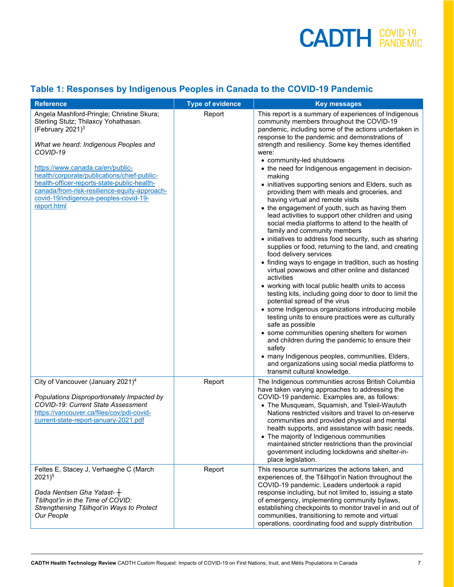#### **Table 1: Responses by Indigenous Peoples in Canada to the COVID-19 Pandemic**

| <b>Reference</b>                                                                                                                                                                                                                                                                                                                                                                                        | <b>Type of evidence</b> | <b>Key messages</b>                                                                                                                                                                                                                                                                                                                                                                                                                                                                                                                                                                                                                                                                                                                                                                                                                                                                                                                                                                                                                                                                                                                                                                                                                                                                                                                                                                                                                                                                                                                    |
|---------------------------------------------------------------------------------------------------------------------------------------------------------------------------------------------------------------------------------------------------------------------------------------------------------------------------------------------------------------------------------------------------------|-------------------------|----------------------------------------------------------------------------------------------------------------------------------------------------------------------------------------------------------------------------------------------------------------------------------------------------------------------------------------------------------------------------------------------------------------------------------------------------------------------------------------------------------------------------------------------------------------------------------------------------------------------------------------------------------------------------------------------------------------------------------------------------------------------------------------------------------------------------------------------------------------------------------------------------------------------------------------------------------------------------------------------------------------------------------------------------------------------------------------------------------------------------------------------------------------------------------------------------------------------------------------------------------------------------------------------------------------------------------------------------------------------------------------------------------------------------------------------------------------------------------------------------------------------------------------|
| Angela Mashford-Pringle; Christine Skura;<br>Sterling Stutz; Thilaxcy Yohathasan.<br>(February 2021) $3$<br>What we heard: Indigenous Peoples and<br>COVID-19<br>https://www.canada.ca/en/public-<br>health/corporate/publications/chief-public-<br>health-officer-reports-state-public-health-<br>canada/from-risk-resilience-equity-approach-<br>covid-19/indigenous-peoples-covid-19-<br>report.html | Report                  | This report is a summary of experiences of Indigenous<br>community members throughout the COVID-19<br>pandemic, including some of the actions undertaken in<br>response to the pandemic and demonstrations of<br>strength and resiliency. Some key themes identified<br>were:<br>• community-led shutdowns<br>• the need for Indigenous engagement in decision-<br>making<br>• initiatives supporting seniors and Elders, such as<br>providing them with meals and groceries, and<br>having virtual and remote visits<br>• the engagement of youth, such as having them<br>lead activities to support other children and using<br>social media platforms to attend to the health of<br>family and community members<br>• initiatives to address food security, such as sharing<br>supplies or food, returning to the land, and creating<br>food delivery services<br>• finding ways to engage in tradition, such as hosting<br>virtual powwows and other online and distanced<br>activities<br>• working with local public health units to access<br>testing kits, including going door to door to limit the<br>potential spread of the virus<br>• some Indigenous organizations introducing mobile<br>testing units to ensure practices were as culturally<br>safe as possible<br>• some communities opening shelters for women<br>and children during the pandemic to ensure their<br>safety<br>• many Indigenous peoples, communities, Elders,<br>and organizations using social media platforms to<br>transmit cultural knowledge. |
| City of Vancouver (January 2021) <sup>4</sup><br>Populations Disproportionately Impacted by<br><b>COVID-19: Current State Assessment</b><br>https://vancouver.ca/files/cov/pdi-covid-<br>current-state-report-january-2021.pdf                                                                                                                                                                          | Report                  | The Indigenous communities across British Columbia<br>have taken varying approaches to addressing the<br>COVID-19 pandemic. Examples are, as follows:<br>• The Musqueam, Squamish, and Tsleil-Waututh<br>Nations restricted visitors and travel to on-reserve<br>communities and provided physical and mental<br>health supports, and assistance with basic needs.<br>• The majority of Indigenous communities<br>maintained stricter restrictions than the provincial<br>government including lockdowns and shelter-in-<br>place legislation.                                                                                                                                                                                                                                                                                                                                                                                                                                                                                                                                                                                                                                                                                                                                                                                                                                                                                                                                                                                         |
| Feltes E, Stacey J, Verhaeghe C (March<br>$2021)^5$<br>Dada Nentsen Gha Yatast- $+$<br>Tŝilhqot'in in the Time of COVID:<br>Strengthening Tŝilhqot'in Ways to Protect<br>Our People                                                                                                                                                                                                                     | Report                  | This resource summarizes the actions taken, and<br>experiences of, the Tŝilhqot'in Nation throughout the<br>COVID-19 pandemic. Leaders undertook a rapid<br>response including, but not limited to, issuing a state<br>of emergency, implementing community bylaws,<br>establishing checkpoints to monitor travel in and out of<br>communities, transitioning to remote and virtual<br>operations, coordinating food and supply distribution                                                                                                                                                                                                                                                                                                                                                                                                                                                                                                                                                                                                                                                                                                                                                                                                                                                                                                                                                                                                                                                                                           |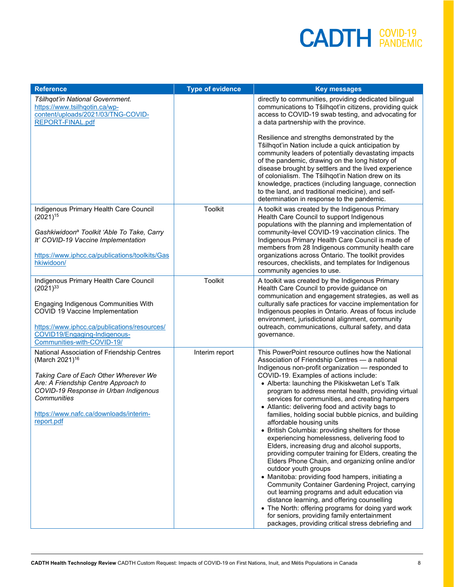| <b>Reference</b>                                                                                                                                                                                                                                                          | <b>Type of evidence</b> | <b>Key messages</b>                                                                                                                                                                                                                                                                                                                                                                                                                                                                                                                                                                                                                                                                                                                                                                                                                                                                                                                                                                                                                                                                                                                                                  |
|---------------------------------------------------------------------------------------------------------------------------------------------------------------------------------------------------------------------------------------------------------------------------|-------------------------|----------------------------------------------------------------------------------------------------------------------------------------------------------------------------------------------------------------------------------------------------------------------------------------------------------------------------------------------------------------------------------------------------------------------------------------------------------------------------------------------------------------------------------------------------------------------------------------------------------------------------------------------------------------------------------------------------------------------------------------------------------------------------------------------------------------------------------------------------------------------------------------------------------------------------------------------------------------------------------------------------------------------------------------------------------------------------------------------------------------------------------------------------------------------|
| Tŝilhqot'in National Government.<br>https://www.tsilhqotin.ca/wp-<br>content/uploads/2021/03/TNG-COVID-<br>REPORT-FINAL.pdf                                                                                                                                               |                         | directly to communities, providing dedicated bilingual<br>communications to Tŝilhqot'in citizens, providing quick<br>access to COVID-19 swab testing, and advocating for<br>a data partnership with the province.                                                                                                                                                                                                                                                                                                                                                                                                                                                                                                                                                                                                                                                                                                                                                                                                                                                                                                                                                    |
|                                                                                                                                                                                                                                                                           |                         | Resilience and strengths demonstrated by the<br>Tŝilhqot'in Nation include a quick anticipation by<br>community leaders of potentially devastating impacts<br>of the pandemic, drawing on the long history of<br>disease brought by settlers and the lived experience<br>of colonialism. The Tŝilhqot'in Nation drew on its<br>knowledge, practices (including language, connection<br>to the land, and traditional medicine), and self-<br>determination in response to the pandemic.                                                                                                                                                                                                                                                                                                                                                                                                                                                                                                                                                                                                                                                                               |
| Indigenous Primary Health Care Council<br>$(2021)^{15}$<br>Gashkiwidoon <sup>a</sup> Toolkit 'Able To Take, Carry<br>It' COVID-19 Vaccine Implementation<br>https://www.iphcc.ca/publications/toolkits/Gas<br>hkiwidoon/                                                  | Toolkit                 | A toolkit was created by the Indigenous Primary<br>Health Care Council to support Indigenous<br>populations with the planning and implementation of<br>community-level COVID-19 vaccination clinics. The<br>Indigenous Primary Health Care Council is made of<br>members from 28 Indigenous community health care<br>organizations across Ontario. The toolkit provides<br>resources, checklists, and templates for Indigenous<br>community agencies to use.                                                                                                                                                                                                                                                                                                                                                                                                                                                                                                                                                                                                                                                                                                         |
| Indigenous Primary Health Care Council<br>$(2021)^{33}$<br>Engaging Indigenous Communities With<br>COVID 19 Vaccine Implementation<br>https://www.iphcc.ca/publications/resources/<br>COVID19/Engaging-Indigenous-<br>Communities-with-COVID-19/                          | <b>Toolkit</b>          | A toolkit was created by the Indigenous Primary<br>Health Care Council to provide guidance on<br>communication and engagement strategies, as well as<br>culturally safe practices for vaccine implementation for<br>Indigenous peoples in Ontario. Areas of focus include<br>environment, jurisdictional alignment, community<br>outreach, communications, cultural safety, and data<br>governance.                                                                                                                                                                                                                                                                                                                                                                                                                                                                                                                                                                                                                                                                                                                                                                  |
| National Association of Friendship Centres<br>(March 2021) <sup>16</sup><br>Taking Care of Each Other Wherever We<br>Are: A Friendship Centre Approach to<br>COVID-19 Response in Urban Indigenous<br>Communities<br>https://www.nafc.ca/downloads/interim-<br>report.pdf | Interim report          | This PowerPoint resource outlines how the National<br>Association of Friendship Centres - a national<br>Indigenous non-profit organization - responded to<br>COVID-19. Examples of actions include:<br>• Alberta: launching the Pikiskwetan Let's Talk<br>program to address mental health, providing virtual<br>services for communities, and creating hampers<br>• Atlantic: delivering food and activity bags to<br>families, holding social bubble picnics, and building<br>affordable housing units<br>• British Columbia: providing shelters for those<br>experiencing homelessness, delivering food to<br>Elders, increasing drug and alcohol supports,<br>providing computer training for Elders, creating the<br>Elders Phone Chain, and organizing online and/or<br>outdoor youth groups<br>• Manitoba: providing food hampers, initiating a<br>Community Container Gardening Project, carrying<br>out learning programs and adult education via<br>distance learning, and offering counselling<br>• The North: offering programs for doing yard work<br>for seniors, providing family entertainment<br>packages, providing critical stress debriefing and |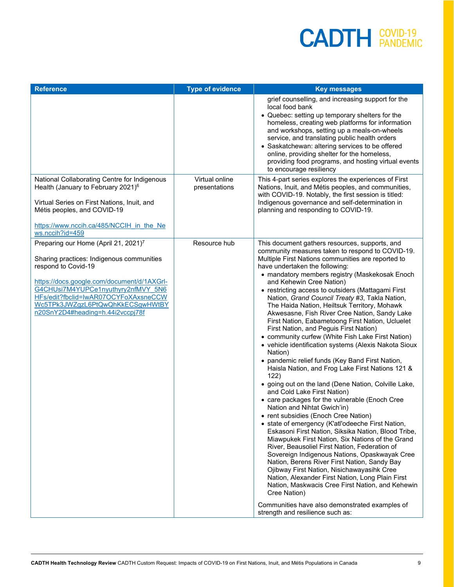| <b>Reference</b>                                                                                                                                                                                                                                                                                                         | <b>Type of evidence</b>         | <b>Key messages</b>                                                                                                                                                                                                                                                                                                                                                                                                                                                                                                                                                                                                                                                                                                                                                                                                                                                                                                                                                                                                                                                                                                                                                                                                                                                                                                                                                                                                                                                                                                                                                                                                   |
|--------------------------------------------------------------------------------------------------------------------------------------------------------------------------------------------------------------------------------------------------------------------------------------------------------------------------|---------------------------------|-----------------------------------------------------------------------------------------------------------------------------------------------------------------------------------------------------------------------------------------------------------------------------------------------------------------------------------------------------------------------------------------------------------------------------------------------------------------------------------------------------------------------------------------------------------------------------------------------------------------------------------------------------------------------------------------------------------------------------------------------------------------------------------------------------------------------------------------------------------------------------------------------------------------------------------------------------------------------------------------------------------------------------------------------------------------------------------------------------------------------------------------------------------------------------------------------------------------------------------------------------------------------------------------------------------------------------------------------------------------------------------------------------------------------------------------------------------------------------------------------------------------------------------------------------------------------------------------------------------------------|
|                                                                                                                                                                                                                                                                                                                          |                                 | grief counselling, and increasing support for the<br>local food bank<br>• Quebec: setting up temporary shelters for the<br>homeless, creating web platforms for information<br>and workshops, setting up a meals-on-wheels<br>service, and translating public health orders<br>• Saskatchewan: altering services to be offered<br>online, providing shelter for the homeless,<br>providing food programs, and hosting virtual events<br>to encourage resiliency                                                                                                                                                                                                                                                                                                                                                                                                                                                                                                                                                                                                                                                                                                                                                                                                                                                                                                                                                                                                                                                                                                                                                       |
| National Collaborating Centre for Indigenous<br>Health (January to February 2021) <sup>6</sup><br>Virtual Series on First Nations, Inuit, and<br>Métis peoples, and COVID-19<br>https://www.nccih.ca/485/NCCIH in the Ne<br>ws.nccih?id=459                                                                              | Virtual online<br>presentations | This 4-part series explores the experiences of First<br>Nations, Inuit, and Métis peoples, and communities,<br>with COVID-19. Notably, the first session is titled:<br>Indigenous governance and self-determination in<br>planning and responding to COVID-19.                                                                                                                                                                                                                                                                                                                                                                                                                                                                                                                                                                                                                                                                                                                                                                                                                                                                                                                                                                                                                                                                                                                                                                                                                                                                                                                                                        |
| Preparing our Home (April 21, 2021) <sup>7</sup><br>Sharing practices: Indigenous communities<br>respond to Covid-19<br>https://docs.google.com/document/d/1AXGrl-<br>G4CHUsi7M4YUPCe1nyuthyry2nfMVY 5N6<br>HFs/edit?fbclid=IwAR07OCYFoXAxsneCCW<br>Wc5TPk3JWZgzL6PtQwQhKkECSgwHWtBY<br>n20SnY2D4#heading=h.44i2vccpj78f | Resource hub                    | This document gathers resources, supports, and<br>community measures taken to respond to COVID-19.<br>Multiple First Nations communities are reported to<br>have undertaken the following:<br>• mandatory members registry (Maskekosak Enoch<br>and Kehewin Cree Nation)<br>• restricting access to outsiders (Mattagami First<br>Nation, Grand Council Treaty #3, Takla Nation,<br>The Haida Nation, Heiltsuk Territory, Mohawk<br>Akwesasne, Fish River Cree Nation, Sandy Lake<br>First Nation, Eabametoong First Nation, Ucluelet<br>First Nation, and Peguis First Nation)<br>• community curfew (White Fish Lake First Nation)<br>• vehicle identification systems (Alexis Nakota Sioux<br>Nation)<br>• pandemic relief funds (Key Band First Nation,<br>Haisla Nation, and Frog Lake First Nations 121 &<br>122)<br>• going out on the land (Dene Nation, Colville Lake,<br>and Cold Lake First Nation)<br>• care packages for the vulnerable (Enoch Cree<br>Nation and Nihtat Gwich'in)<br>• rent subsidies (Enoch Cree Nation)<br>• state of emergency (K'atl'odeeche First Nation,<br>Eskasoni First Nation, Siksika Nation, Blood Tribe,<br>Miawpukek First Nation, Six Nations of the Grand<br>River, Beausoliel First Nation, Federation of<br>Sovereign Indigenous Nations, Opaskwayak Cree<br>Nation, Berens River First Nation, Sandy Bay<br>Ojibway First Nation, Nisichawayasihk Cree<br>Nation, Alexander First Nation, Long Plain First<br>Nation, Maskwacis Cree First Nation, and Kehewin<br>Cree Nation)<br>Communities have also demonstrated examples of<br>strength and resilience such as: |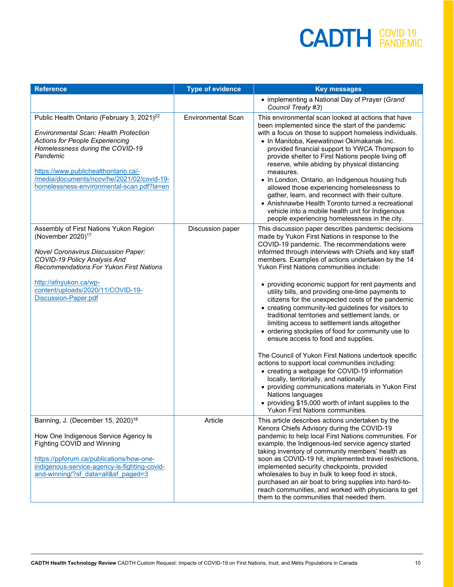| <b>Reference</b>                                                                                                                                                                                                                                                                                                                    | <b>Type of evidence</b>   | <b>Key messages</b>                                                                                                                                                                                                                                                                                                                                                                                                                                                                                                                                                                                                                                                                                                                                                                                                                                                                                                                                                                                                                                                                                                    |
|-------------------------------------------------------------------------------------------------------------------------------------------------------------------------------------------------------------------------------------------------------------------------------------------------------------------------------------|---------------------------|------------------------------------------------------------------------------------------------------------------------------------------------------------------------------------------------------------------------------------------------------------------------------------------------------------------------------------------------------------------------------------------------------------------------------------------------------------------------------------------------------------------------------------------------------------------------------------------------------------------------------------------------------------------------------------------------------------------------------------------------------------------------------------------------------------------------------------------------------------------------------------------------------------------------------------------------------------------------------------------------------------------------------------------------------------------------------------------------------------------------|
|                                                                                                                                                                                                                                                                                                                                     |                           | • implementing a National Day of Prayer (Grand<br>Council Treaty #3)                                                                                                                                                                                                                                                                                                                                                                                                                                                                                                                                                                                                                                                                                                                                                                                                                                                                                                                                                                                                                                                   |
| Public Health Ontario (February 3, 2021) <sup>22</sup><br><b>Environmental Scan: Health Protection</b><br><b>Actions for People Experiencing</b><br>Homelessness during the COVID-19<br>Pandemic<br>https://www.publichealthontario.ca/-<br>/media/documents/ncov/he/2021/02/covid-19-<br>homelessness-environmental-scan.pdf?la=en | <b>Environmental Scan</b> | This environmental scan looked at actions that have<br>been implemented since the start of the pandemic<br>with a focus on those to support homeless individuals.<br>• In Manitoba, Keewatinowi Okimakanak Inc.<br>provided financial support to YWCA Thompson to<br>provide shelter to First Nations people living off<br>reserve, while abiding by physical distancing<br>measures.<br>• In London, Ontario, an Indigenous housing hub<br>allowed those experiencing homelessness to<br>gather, learn, and reconnect with their culture.<br>• Anishnawbe Health Toronto turned a recreational<br>vehicle into a mobile health unit for Indigenous<br>people experiencing homelessness in the city.                                                                                                                                                                                                                                                                                                                                                                                                                   |
| Assembly of First Nations Yukon Region<br>(November 2020) <sup>17</sup><br><b>Novel Coronavirus Discussion Paper:</b><br>COVID-19 Policy Analysis And<br><b>Recommendations For Yukon First Nations</b><br>http://afnyukon.ca/wp-<br>content/uploads/2020/11/COVID-19-<br><b>Discussion-Paper.pdf</b>                               | Discussion paper          | This discussion paper describes pandemic decisions<br>made by Yukon First Nations in response to the<br>COVID-19 pandemic. The recommendations were<br>informed through interviews with Chiefs and key staff<br>members. Examples of actions undertaken by the 14<br>Yukon First Nations communities include:<br>• providing economic support for rent payments and<br>utility bills, and providing one-time payments to<br>citizens for the unexpected costs of the pandemic<br>• creating community-led guidelines for visitors to<br>traditional territories and settlement lands, or<br>limiting access to settlement lands altogether<br>• ordering stockpiles of food for community use to<br>ensure access to food and supplies.<br>The Council of Yukon First Nations undertook specific<br>actions to support local communities including:<br>• creating a webpage for COVID-19 information<br>locally, territorially, and nationally<br>• providing communications materials in Yukon First<br>Nations languages<br>• providing \$15,000 worth of infant supplies to the<br>Yukon First Nations communities. |
| Banning, J. (December 15, 2020) <sup>18</sup><br>How One Indigenous Service Agency Is<br>Fighting COVID and Winning<br>https://ppforum.ca/publications/how-one-<br>indigenous-service-agency-is-fighting-covid-<br>and-winning/?sf data=all&sf paged=3                                                                              | Article                   | This article describes actions undertaken by the<br>Kenora Chiefs Advisory during the COVID-19<br>pandemic to help local First Nations communities. For<br>example, the Indigenous-led service agency started<br>taking inventory of community members' health as<br>soon as COVID-19 hit, implemented travel restrictions,<br>implemented security checkpoints, provided<br>wholesales to buy in bulk to keep food in stock,<br>purchased an air boat to bring supplies into hard-to-<br>reach communities, and worked with physicians to get<br>them to the communities that needed them.                                                                                                                                                                                                                                                                                                                                                                                                                                                                                                                            |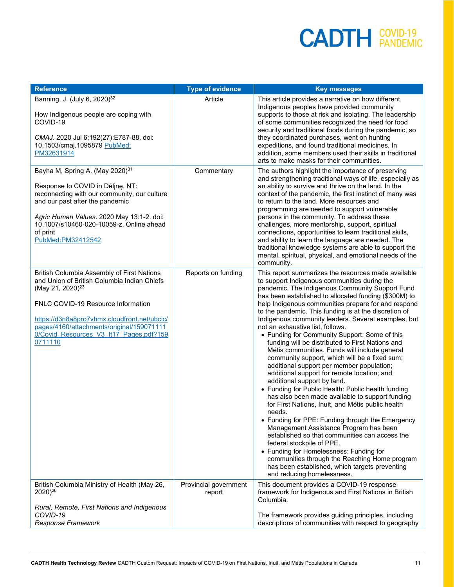| <b>Reference</b>                                                                                                                                                                                                                                                                                                   | <b>Type of evidence</b>         | <b>Key messages</b>                                                                                                                                                                                                                                                                                                                                                                                                                                                                                                                                                                                                                                                                                                                                                                                                                                                                                                                                                                                                                                                                                                                                                                                                                                                                           |
|--------------------------------------------------------------------------------------------------------------------------------------------------------------------------------------------------------------------------------------------------------------------------------------------------------------------|---------------------------------|-----------------------------------------------------------------------------------------------------------------------------------------------------------------------------------------------------------------------------------------------------------------------------------------------------------------------------------------------------------------------------------------------------------------------------------------------------------------------------------------------------------------------------------------------------------------------------------------------------------------------------------------------------------------------------------------------------------------------------------------------------------------------------------------------------------------------------------------------------------------------------------------------------------------------------------------------------------------------------------------------------------------------------------------------------------------------------------------------------------------------------------------------------------------------------------------------------------------------------------------------------------------------------------------------|
| Banning, J. (July 6, 2020) <sup>32</sup><br>How Indigenous people are coping with<br>COVID-19<br>CMAJ. 2020 Jul 6;192(27):E787-88. doi:<br>10.1503/cmaj.1095879 PubMed:<br>PM32631914                                                                                                                              | Article                         | This article provides a narrative on how different<br>Indigenous peoples have provided community<br>supports to those at risk and isolating. The leadership<br>of some communities recognized the need for food<br>security and traditional foods during the pandemic, so<br>they coordinated purchases, went on hunting<br>expeditions, and found traditional medicines. In<br>addition, some members used their skills in traditional<br>arts to make masks for their communities.                                                                                                                                                                                                                                                                                                                                                                                                                                                                                                                                                                                                                                                                                                                                                                                                          |
| Bayha M, Spring A. (May 2020) <sup>31</sup><br>Response to COVID in Déline, NT:<br>reconnecting with our community, our culture<br>and our past after the pandemic<br>Agric Human Values. 2020 May 13:1-2. doi:<br>10.1007/s10460-020-10059-z. Online ahead<br>of print<br>PubMed: PM32412542                      | Commentary                      | The authors highlight the importance of preserving<br>and strengthening traditional ways of life, especially as<br>an ability to survive and thrive on the land. In the<br>context of the pandemic, the first instinct of many was<br>to return to the land. More resources and<br>programming are needed to support vulnerable<br>persons in the community. To address these<br>challenges, more mentorship, support, spiritual<br>connections, opportunities to learn traditional skills,<br>and ability to learn the language are needed. The<br>traditional knowledge systems are able to support the<br>mental, spiritual, physical, and emotional needs of the<br>community.                                                                                                                                                                                                                                                                                                                                                                                                                                                                                                                                                                                                            |
| British Columbia Assembly of First Nations<br>and Union of British Columbia Indian Chiefs<br>(May 21, 2020) <sup>23</sup><br>FNLC COVID-19 Resource Information<br>https://d3n8a8pro7vhmx.cloudfront.net/ubcic/<br>pages/4160/attachments/original/159071111<br>0/Covid Resources V3 It17 Pages.pdf?159<br>0711110 | Reports on funding              | This report summarizes the resources made available<br>to support Indigenous communities during the<br>pandemic. The Indigenous Community Support Fund<br>has been established to allocated funding (\$300M) to<br>help Indigenous communities prepare for and respond<br>to the pandemic. This funding is at the discretion of<br>Indigenous community leaders. Several examples, but<br>not an exhaustive list, follows.<br>• Funding for Community Support: Some of this<br>funding will be distributed to First Nations and<br>Métis communities. Funds will include general<br>community support, which will be a fixed sum;<br>additional support per member population;<br>additional support for remote location; and<br>additional support by land.<br>• Funding for Public Health: Public health funding<br>has also been made available to support funding<br>for First Nations, Inuit, and Métis public health<br>needs.<br>• Funding for PPE: Funding through the Emergency<br>Management Assistance Program has been<br>established so that communities can access the<br>federal stockpile of PPE.<br>• Funding for Homelessness: Funding for<br>communities through the Reaching Home program<br>has been established, which targets preventing<br>and reducing homelessness. |
| British Columbia Ministry of Health (May 26,<br>2020) <sup>26</sup>                                                                                                                                                                                                                                                | Provincial government<br>report | This document provides a COVID-19 response<br>framework for Indigenous and First Nations in British<br>Columbia.                                                                                                                                                                                                                                                                                                                                                                                                                                                                                                                                                                                                                                                                                                                                                                                                                                                                                                                                                                                                                                                                                                                                                                              |
| Rural, Remote, First Nations and Indigenous<br>COVID-19<br>Response Framework                                                                                                                                                                                                                                      |                                 | The framework provides guiding principles, including<br>descriptions of communities with respect to geography                                                                                                                                                                                                                                                                                                                                                                                                                                                                                                                                                                                                                                                                                                                                                                                                                                                                                                                                                                                                                                                                                                                                                                                 |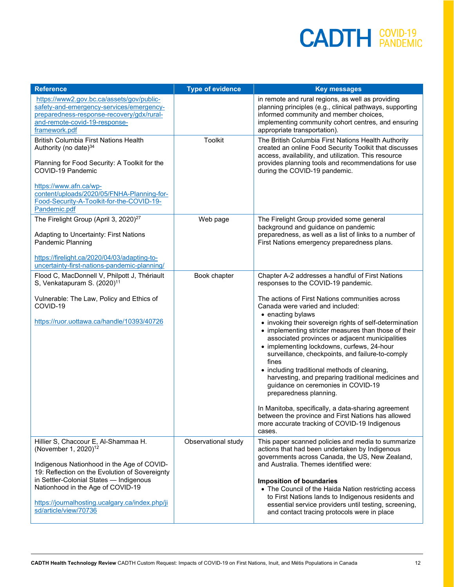| <b>Reference</b>                                                                                                                                                                                                                                                                                                                     | <b>Type of evidence</b> | <b>Key messages</b>                                                                                                                                                                                                                                                                                                                                                                                                                                                                                                                                                                                                                                                                                                                      |
|--------------------------------------------------------------------------------------------------------------------------------------------------------------------------------------------------------------------------------------------------------------------------------------------------------------------------------------|-------------------------|------------------------------------------------------------------------------------------------------------------------------------------------------------------------------------------------------------------------------------------------------------------------------------------------------------------------------------------------------------------------------------------------------------------------------------------------------------------------------------------------------------------------------------------------------------------------------------------------------------------------------------------------------------------------------------------------------------------------------------------|
| https://www2.gov.bc.ca/assets/gov/public-<br>safety-and-emergency-services/emergency-<br>preparedness-response-recovery/gdx/rural-<br>and-remote-covid-19-response-<br>framework.pdf                                                                                                                                                 |                         | in remote and rural regions, as well as providing<br>planning principles (e.g., clinical pathways, supporting<br>informed community and member choices,<br>implementing community cohort centres, and ensuring<br>appropriate transportation).                                                                                                                                                                                                                                                                                                                                                                                                                                                                                           |
| <b>British Columbia First Nations Health</b><br>Authority (no date) <sup>34</sup><br>Planning for Food Security: A Toolkit for the                                                                                                                                                                                                   | Toolkit                 | The British Columbia First Nations Health Authority<br>created an online Food Security Toolkit that discusses<br>access, availability, and utilization. This resource<br>provides planning tools and recommendations for use                                                                                                                                                                                                                                                                                                                                                                                                                                                                                                             |
| COVID-19 Pandemic<br>https://www.afn.ca/wp-<br>content/uploads/2020/05/FNHA-Planning-for-<br>Food-Security-A-Toolkit-for-the-COVID-19-<br>Pandemic.pdf                                                                                                                                                                               |                         | during the COVID-19 pandemic.                                                                                                                                                                                                                                                                                                                                                                                                                                                                                                                                                                                                                                                                                                            |
| The Firelight Group (April 3, 2020) <sup>27</sup><br>Adapting to Uncertainty: First Nations<br>Pandemic Planning                                                                                                                                                                                                                     | Web page                | The Firelight Group provided some general<br>background and guidance on pandemic<br>preparedness, as well as a list of links to a number of<br>First Nations emergency preparedness plans.                                                                                                                                                                                                                                                                                                                                                                                                                                                                                                                                               |
| https://firelight.ca/2020/04/03/adapting-to-<br>uncertainty-first-nations-pandemic-planning/                                                                                                                                                                                                                                         |                         |                                                                                                                                                                                                                                                                                                                                                                                                                                                                                                                                                                                                                                                                                                                                          |
| Flood C, MacDonnell V, Philpott J, Thériault<br>S, Venkatapuram S. (2020) <sup>11</sup>                                                                                                                                                                                                                                              | Book chapter            | Chapter A-2 addresses a handful of First Nations<br>responses to the COVID-19 pandemic.                                                                                                                                                                                                                                                                                                                                                                                                                                                                                                                                                                                                                                                  |
| Vulnerable: The Law, Policy and Ethics of<br>COVID-19<br>https://ruor.uottawa.ca/handle/10393/40726                                                                                                                                                                                                                                  |                         | The actions of First Nations communities across<br>Canada were varied and included:<br>• enacting bylaws<br>• invoking their sovereign rights of self-determination<br>• implementing stricter measures than those of their<br>associated provinces or adjacent municipalities<br>• implementing lockdowns, curfews, 24-hour<br>surveillance, checkpoints, and failure-to-comply<br>fines<br>• including traditional methods of cleaning,<br>harvesting, and preparing traditional medicines and<br>guidance on ceremonies in COVID-19<br>preparedness planning.<br>In Manitoba, specifically, a data-sharing agreement<br>between the province and First Nations has allowed<br>more accurate tracking of COVID-19 Indigenous<br>cases. |
| Hillier S, Chaccour E, Al-Shammaa H.<br>(November 1, 2020) <sup>12</sup><br>Indigenous Nationhood in the Age of COVID-<br>19: Reflection on the Evolution of Sovereignty<br>in Settler-Colonial States - Indigenous<br>Nationhood in the Age of COVID-19<br>https://journalhosting.ucalgary.ca/index.php/ji<br>sd/article/view/70736 | Observational study     | This paper scanned policies and media to summarize<br>actions that had been undertaken by Indigenous<br>governments across Canada, the US, New Zealand,<br>and Australia. Themes identified were:<br><b>Imposition of boundaries</b><br>• The Council of the Haida Nation restricting access<br>to First Nations lands to Indigenous residents and<br>essential service providers until testing, screening,<br>and contact tracing protocols were in place                                                                                                                                                                                                                                                                               |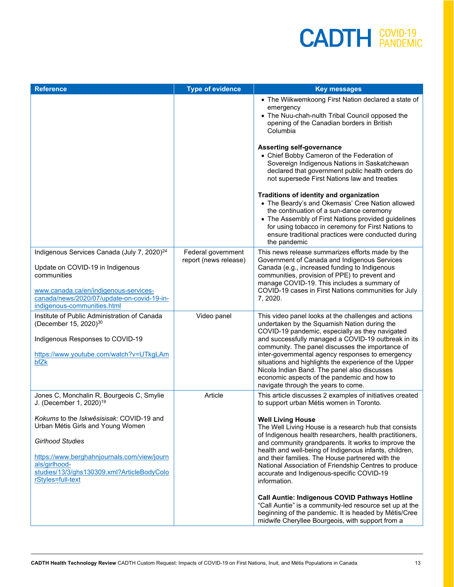| <b>Reference</b>                                                                                                                                                                                                                                                                                                                | <b>Type of evidence</b>                     | <b>Key messages</b>                                                                                                                                                                                                                                                                                                                                                                                                                                                                                                                             |
|---------------------------------------------------------------------------------------------------------------------------------------------------------------------------------------------------------------------------------------------------------------------------------------------------------------------------------|---------------------------------------------|-------------------------------------------------------------------------------------------------------------------------------------------------------------------------------------------------------------------------------------------------------------------------------------------------------------------------------------------------------------------------------------------------------------------------------------------------------------------------------------------------------------------------------------------------|
|                                                                                                                                                                                                                                                                                                                                 |                                             | • The Wiikwemkoong First Nation declared a state of<br>emergency<br>• The Nuu-chah-nulth Tribal Council opposed the<br>opening of the Canadian borders in British<br>Columbia                                                                                                                                                                                                                                                                                                                                                                   |
|                                                                                                                                                                                                                                                                                                                                 |                                             | <b>Asserting self-governance</b><br>• Chief Bobby Cameron of the Federation of<br>Sovereign Indigenous Nations in Saskatchewan<br>declared that government public health orders do<br>not supersede First Nations law and treaties                                                                                                                                                                                                                                                                                                              |
|                                                                                                                                                                                                                                                                                                                                 |                                             | Traditions of identity and organization<br>• The Beardy's and Okemasis' Cree Nation allowed<br>the continuation of a sun-dance ceremony<br>• The Assembly of First Nations provided guidelines<br>for using tobacco in ceremony for First Nations to<br>ensure traditional practices were conducted during<br>the pandemic                                                                                                                                                                                                                      |
| Indigenous Services Canada (July 7, 2020) <sup>24</sup><br>Update on COVID-19 in Indigenous<br>communities<br>www.canada.ca/en/indigenous-services-<br>canada/news/2020/07/update-on-covid-19-in-                                                                                                                               | Federal government<br>report (news release) | This news release summarizes efforts made by the<br>Government of Canada and Indigenous Services<br>Canada (e.g., increased funding to Indigenous<br>communities, provision of PPE) to prevent and<br>manage COVID-19. This includes a summary of<br>COVID-19 cases in First Nations communities for July<br>7, 2020.                                                                                                                                                                                                                           |
| indigenous-communities.html<br>Institute of Public Administration of Canada<br>(December 15, 2020) <sup>30</sup><br>Indigenous Responses to COVID-19<br>https://www.youtube.com/watch?v=UTkgLAm<br>bfZk                                                                                                                         | Video panel                                 | This video panel looks at the challenges and actions<br>undertaken by the Squamish Nation during the<br>COVID-19 pandemic, especially as they navigated<br>and successfully managed a COVID-19 outbreak in its<br>community. The panel discusses the importance of<br>inter-governmental agency responses to emergency<br>situations and highlights the experience of the Upper<br>Nicola Indian Band. The panel also discusses<br>economic aspects of the pandemic and how to<br>navigate through the years to come.                           |
| Jones C, Monchalin R, Bourgeois C, Smylie<br>J. (December 1, 2020) <sup>19</sup><br>Kokums to the Iskwêsisisak: COVID-19 and<br>Urban Métis Girls and Young Women<br><b>Girlhood Studies</b><br>https://www.berghahnjournals.com/view/journ<br>als/girlhood-<br>studies/13/3/ghs130309.xml?ArticleBodyColo<br>rStyles=full-text | Article                                     | This article discusses 2 examples of initiatives created<br>to support urban Métis women in Toronto.<br><b>Well Living House</b><br>The Well Living House is a research hub that consists<br>of Indigenous health researchers, health practitioners,<br>and community grandparents. It works to improve the<br>health and well-being of Indigenous infants, children,<br>and their families. The House partnered with the<br>National Association of Friendship Centres to produce<br>accurate and Indigenous-specific COVID-19<br>information. |
|                                                                                                                                                                                                                                                                                                                                 |                                             | Call Auntie: Indigenous COVID Pathways Hotline<br>"Call Auntie" is a community-led resource set up at the<br>beginning of the pandemic. It is headed by Métis/Cree<br>midwife Cheryllee Bourgeois, with support from a                                                                                                                                                                                                                                                                                                                          |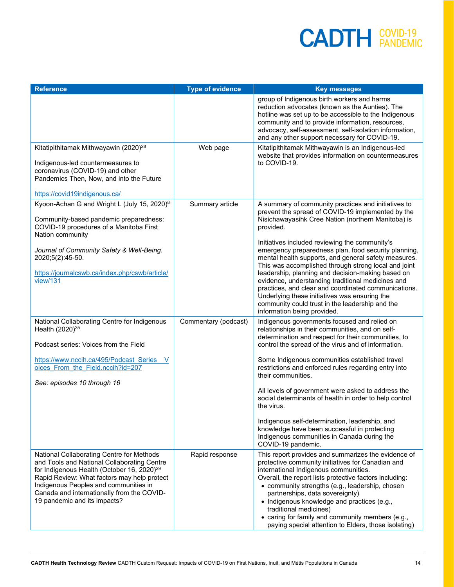| <b>Reference</b>                                                                                                                                                                                                                                                                                                         | <b>Type of evidence</b> | <b>Key messages</b>                                                                                                                                                                                                                                                                                                                                                                                                                                                                                                                                                                                                                                 |
|--------------------------------------------------------------------------------------------------------------------------------------------------------------------------------------------------------------------------------------------------------------------------------------------------------------------------|-------------------------|-----------------------------------------------------------------------------------------------------------------------------------------------------------------------------------------------------------------------------------------------------------------------------------------------------------------------------------------------------------------------------------------------------------------------------------------------------------------------------------------------------------------------------------------------------------------------------------------------------------------------------------------------------|
|                                                                                                                                                                                                                                                                                                                          |                         | group of Indigenous birth workers and harms<br>reduction advocates (known as the Aunties). The<br>hotline was set up to be accessible to the Indigenous<br>community and to provide information, resources,<br>advocacy, self-assessment, self-isolation information,<br>and any other support necessary for COVID-19.                                                                                                                                                                                                                                                                                                                              |
| Kitatipithitamak Mithwayawin (2020) <sup>28</sup>                                                                                                                                                                                                                                                                        | Web page                | Kitatipithitamak Mithwayawin is an Indigenous-led<br>website that provides information on countermeasures                                                                                                                                                                                                                                                                                                                                                                                                                                                                                                                                           |
| Indigenous-led countermeasures to<br>coronavirus (COVID-19) and other<br>Pandemics Then, Now, and into the Future                                                                                                                                                                                                        |                         | to COVID-19.                                                                                                                                                                                                                                                                                                                                                                                                                                                                                                                                                                                                                                        |
| https://covid19indigenous.ca/                                                                                                                                                                                                                                                                                            |                         |                                                                                                                                                                                                                                                                                                                                                                                                                                                                                                                                                                                                                                                     |
| Kyoon-Achan G and Wright L (July 15, 2020) <sup>8</sup><br>Community-based pandemic preparedness:<br>COVID-19 procedures of a Manitoba First                                                                                                                                                                             | Summary article         | A summary of community practices and initiatives to<br>prevent the spread of COVID-19 implemented by the<br>Nisichawayasihk Cree Nation (northern Manitoba) is<br>provided.                                                                                                                                                                                                                                                                                                                                                                                                                                                                         |
| Nation community<br>Journal of Community Safety & Well-Being.<br>2020;5(2):45-50.<br>https://journalcswb.ca/index.php/cswb/article/<br>view/131                                                                                                                                                                          |                         | Initiatives included reviewing the community's<br>emergency preparedness plan, food security planning,<br>mental health supports, and general safety measures.<br>This was accomplished through strong local and joint<br>leadership, planning and decision-making based on<br>evidence, understanding traditional medicines and<br>practices, and clear and coordinated communications.<br>Underlying these initiatives was ensuring the<br>community could trust in the leadership and the<br>information being provided.                                                                                                                         |
| National Collaborating Centre for Indigenous<br>Health (2020) <sup>35</sup><br>Podcast series: Voices from the Field<br>https://www.nccih.ca/495/Podcast Series V<br>oices From the Field.nccih?id=207<br>See: episodes 10 through 16                                                                                    | Commentary (podcast)    | Indigenous governments focused and relied on<br>relationships in their communities, and on self-<br>determination and respect for their communities, to<br>control the spread of the virus and of information.<br>Some Indigenous communities established travel<br>restrictions and enforced rules regarding entry into<br>their communities.<br>All levels of government were asked to address the<br>social determinants of health in order to help control<br>the virus.<br>Indigenous self-determination, leadership, and<br>knowledge have been successful in protecting<br>Indigenous communities in Canada during the<br>COVID-19 pandemic. |
| National Collaborating Centre for Methods<br>and Tools and National Collaborating Centre<br>for Indigenous Health (October 16, 2020) <sup>29</sup><br>Rapid Review: What factors may help protect<br>Indigenous Peoples and communities in<br>Canada and internationally from the COVID-<br>19 pandemic and its impacts? | Rapid response          | This report provides and summarizes the evidence of<br>protective community initiatives for Canadian and<br>international Indigenous communities.<br>Overall, the report lists protective factors including:<br>• community strengths (e.g., leadership, chosen<br>partnerships, data sovereignty)<br>• Indigenous knowledge and practices (e.g.,<br>traditional medicines)<br>• caring for family and community members (e.g.,<br>paying special attention to Elders, those isolating)                                                                                                                                                             |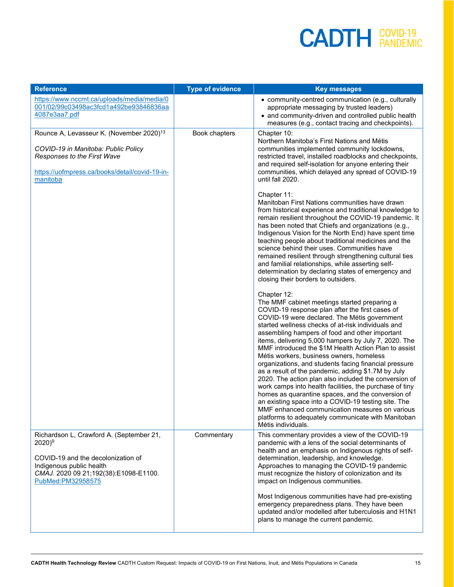| <b>Reference</b>                                                                                                                                                                         | <b>Type of evidence</b> | <b>Key messages</b>                                                                                                                                                                                                                                                                                                                                                                                                                                                                                                                                                                                                                                                                                                                                                                                                                                                                                             |
|------------------------------------------------------------------------------------------------------------------------------------------------------------------------------------------|-------------------------|-----------------------------------------------------------------------------------------------------------------------------------------------------------------------------------------------------------------------------------------------------------------------------------------------------------------------------------------------------------------------------------------------------------------------------------------------------------------------------------------------------------------------------------------------------------------------------------------------------------------------------------------------------------------------------------------------------------------------------------------------------------------------------------------------------------------------------------------------------------------------------------------------------------------|
| https://www.nccmt.ca/uploads/media/media/0<br>001/02/99c03498ac3fcd1a492be93846836aa<br>4087e3aa7.pdf                                                                                    |                         | • community-centred communication (e.g., culturally<br>appropriate messaging by trusted leaders)<br>• and community-driven and controlled public health<br>measures (e.g., contact tracing and checkpoints).                                                                                                                                                                                                                                                                                                                                                                                                                                                                                                                                                                                                                                                                                                    |
| Rounce A, Levasseur K. (November 2020) <sup>13</sup><br>COVID-19 in Manitoba: Public Policy<br>Responses to the First Wave<br>https://uofmpress.ca/books/detail/covid-19-in-<br>manitoba | Book chapters           | Chapter 10:<br>Northern Manitoba's First Nations and Métis<br>communities implemented community lockdowns,<br>restricted travel, installed roadblocks and checkpoints,<br>and required self-isolation for anyone entering their<br>communities, which delayed any spread of COVID-19<br>until fall 2020.                                                                                                                                                                                                                                                                                                                                                                                                                                                                                                                                                                                                        |
|                                                                                                                                                                                          |                         | Chapter 11:<br>Manitoban First Nations communities have drawn<br>from historical experience and traditional knowledge to<br>remain resilient throughout the COVID-19 pandemic. It<br>has been noted that Chiefs and organizations (e.g.,<br>Indigenous Vision for the North End) have spent time<br>teaching people about traditional medicines and the<br>science behind their uses. Communities have<br>remained resilient through strengthening cultural ties<br>and familial relationships, while asserting self-<br>determination by declaring states of emergency and<br>closing their borders to outsiders.                                                                                                                                                                                                                                                                                              |
|                                                                                                                                                                                          |                         | Chapter 12:<br>The MMF cabinet meetings started preparing a<br>COVID-19 response plan after the first cases of<br>COVID-19 were declared. The Métis government<br>started wellness checks of at-risk individuals and<br>assembling hampers of food and other important<br>items, delivering 5,000 hampers by July 7, 2020. The<br>MMF introduced the \$1M Health Action Plan to assist<br>Métis workers, business owners, homeless<br>organizations, and students facing financial pressure<br>as a result of the pandemic, adding \$1.7M by July<br>2020. The action plan also included the conversion of<br>work camps into health facilities, the purchase of tiny<br>homes as quarantine spaces, and the conversion of<br>an existing space into a COVID-19 testing site. The<br>MMF enhanced communication measures on various<br>platforms to adequately communicate with Manitoban<br>Métis individuals. |
| Richardson L, Crawford A. (September 21,<br>$2020)^{9}$<br>COVID-19 and the decolonization of<br>Indigenous public health<br>CMAJ. 2020 09 21;192(38):E1098-E1100.<br>PubMed:PM32958575  | Commentary              | This commentary provides a view of the COVID-19<br>pandemic with a lens of the social determinants of<br>health and an emphasis on Indigenous rights of self-<br>determination, leadership, and knowledge.<br>Approaches to managing the COVID-19 pandemic<br>must recognize the history of colonization and its<br>impact on Indigenous communities.<br>Most Indigenous communities have had pre-existing<br>emergency preparedness plans. They have been<br>updated and/or modelled after tuberculosis and H1N1<br>plans to manage the current pandemic.                                                                                                                                                                                                                                                                                                                                                      |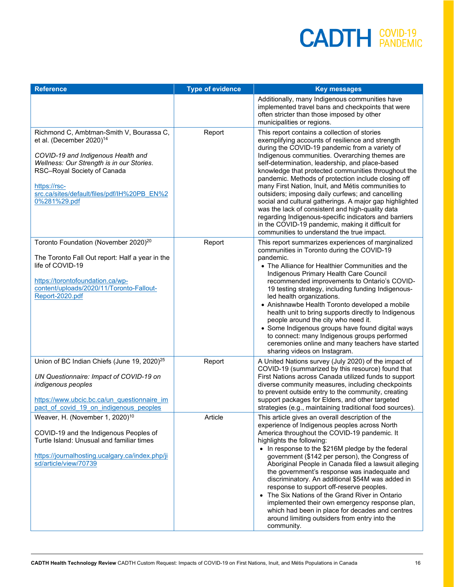| <b>Reference</b>                                                                                                                                                                                                                                                                  | <b>Type of evidence</b> | <b>Key messages</b>                                                                                                                                                                                                                                                                                                                                                                                                                                                                                                                                                                                                                                                                                                                                         |
|-----------------------------------------------------------------------------------------------------------------------------------------------------------------------------------------------------------------------------------------------------------------------------------|-------------------------|-------------------------------------------------------------------------------------------------------------------------------------------------------------------------------------------------------------------------------------------------------------------------------------------------------------------------------------------------------------------------------------------------------------------------------------------------------------------------------------------------------------------------------------------------------------------------------------------------------------------------------------------------------------------------------------------------------------------------------------------------------------|
|                                                                                                                                                                                                                                                                                   |                         | Additionally, many Indigenous communities have<br>implemented travel bans and checkpoints that were<br>often stricter than those imposed by other<br>municipalities or regions.                                                                                                                                                                                                                                                                                                                                                                                                                                                                                                                                                                             |
| Richmond C, Ambtman-Smith V, Bourassa C,<br>et al. (December 2020) <sup>14</sup><br>COVID-19 and Indigenous Health and<br>Wellness: Our Strength is in our Stories.<br>RSC-Royal Society of Canada<br>https://rsc-<br>src.ca/sites/default/files/pdf/IH%20PB EN%2<br>0%281%29.pdf | Report                  | This report contains a collection of stories<br>exemplifying accounts of resilience and strength<br>during the COVID-19 pandemic from a variety of<br>Indigenous communities. Overarching themes are<br>self-determination, leadership, and place-based<br>knowledge that protected communities throughout the<br>pandemic. Methods of protection include closing off<br>many First Nation, Inuit, and Métis communities to<br>outsiders; imposing daily curfews; and cancelling<br>social and cultural gatherings. A major gap highlighted<br>was the lack of consistent and high-quality data<br>regarding Indigenous-specific indicators and barriers<br>in the COVID-19 pandemic, making it difficult for<br>communities to understand the true impact. |
| Toronto Foundation (November 2020) <sup>20</sup><br>The Toronto Fall Out report: Half a year in the<br>life of COVID-19<br>https://torontofoundation.ca/wp-<br>content/uploads/2020/11/Toronto-Fallout-<br>Report-2020.pdf                                                        | Report                  | This report summarizes experiences of marginalized<br>communities in Toronto during the COVID-19<br>pandemic.<br>• The Alliance for Healthier Communities and the<br>Indigenous Primary Health Care Council<br>recommended improvements to Ontario's COVID-<br>19 testing strategy, including funding Indigenous-<br>led health organizations.<br>• Anishnawbe Health Toronto developed a mobile<br>health unit to bring supports directly to Indigenous<br>people around the city who need it.<br>• Some Indigenous groups have found digital ways<br>to connect: many Indigenous groups performed<br>ceremonies online and many teachers have started<br>sharing videos on Instagram.                                                                     |
| Union of BC Indian Chiefs (June 19, 2020) <sup>25</sup><br>UN Questionnaire: Impact of COVID-19 on<br>indigenous peoples<br>https://www.ubcic.bc.ca/un questionnaire im<br>pact of covid 19 on indigenous peoples                                                                 | Report                  | A United Nations survey (July 2020) of the impact of<br>COVID-19 (summarized by this resource) found that<br>First Nations across Canada utilized funds to support<br>diverse community measures, including checkpoints<br>to prevent outside entry to the community, creating<br>support packages for Elders, and other targeted<br>strategies (e.g., maintaining traditional food sources).                                                                                                                                                                                                                                                                                                                                                               |
| Weaver, H. (November 1, 2020) <sup>10</sup><br>COVID-19 and the Indigenous Peoples of<br>Turtle Island: Unusual and familiar times<br>https://journalhosting.ucalgary.ca/index.php/ji<br>sd/article/view/70739                                                                    | Article                 | This article gives an overall description of the<br>experience of Indigenous peoples across North<br>America throughout the COVID-19 pandemic. It<br>highlights the following:<br>• In response to the \$216M pledge by the federal<br>government (\$142 per person), the Congress of<br>Aboriginal People in Canada filed a lawsuit alleging<br>the government's response was inadequate and<br>discriminatory. An additional \$54M was added in<br>response to support off-reserve peoples.<br>• The Six Nations of the Grand River in Ontario<br>implemented their own emergency response plan,<br>which had been in place for decades and centres<br>around limiting outsiders from entry into the<br>community.                                        |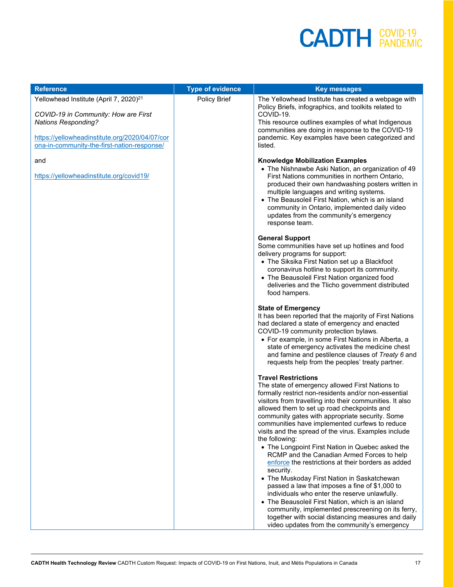| <b>Reference</b>                                                                                                                                                                                                          | <b>Type of evidence</b> | <b>Key messages</b>                                                                                                                                                                                                                                                                                                                                                                                                                                                                 |
|---------------------------------------------------------------------------------------------------------------------------------------------------------------------------------------------------------------------------|-------------------------|-------------------------------------------------------------------------------------------------------------------------------------------------------------------------------------------------------------------------------------------------------------------------------------------------------------------------------------------------------------------------------------------------------------------------------------------------------------------------------------|
| Yellowhead Institute (April 7, 2020) <sup>21</sup><br>COVID-19 in Community: How are First<br><b>Nations Responding?</b><br>https://yellowheadinstitute.org/2020/04/07/cor<br>ona-in-community-the-first-nation-response/ | Policy Brief            | The Yellowhead Institute has created a webpage with<br>Policy Briefs, infographics, and toolkits related to<br>COVID-19.<br>This resource outlines examples of what Indigenous<br>communities are doing in response to the COVID-19<br>pandemic. Key examples have been categorized and<br>listed.                                                                                                                                                                                  |
| and<br>https://yellowheadinstitute.org/covid19/                                                                                                                                                                           |                         | <b>Knowledge Mobilization Examples</b><br>• The Nishnawbe Aski Nation, an organization of 49<br>First Nations communities in northern Ontario,<br>produced their own handwashing posters written in<br>multiple languages and writing systems.<br>• The Beausoleil First Nation, which is an island<br>community in Ontario, implemented daily video<br>updates from the community's emergency<br>response team.                                                                    |
|                                                                                                                                                                                                                           |                         | <b>General Support</b><br>Some communities have set up hotlines and food<br>delivery programs for support:<br>• The Siksika First Nation set up a Blackfoot<br>coronavirus hotline to support its community.<br>• The Beausoleil First Nation organized food<br>deliveries and the Tlicho government distributed<br>food hampers.                                                                                                                                                   |
|                                                                                                                                                                                                                           |                         | <b>State of Emergency</b><br>It has been reported that the majority of First Nations<br>had declared a state of emergency and enacted<br>COVID-19 community protection bylaws.<br>• For example, in some First Nations in Alberta, a<br>state of emergency activates the medicine chest<br>and famine and pestilence clauses of Treaty 6 and<br>requests help from the peoples' treaty partner.                                                                                     |
|                                                                                                                                                                                                                           |                         | <b>Travel Restrictions</b><br>The state of emergency allowed First Nations to<br>formally restrict non-residents and/or non-essential<br>visitors from travelling into their communities. It also<br>allowed them to set up road checkpoints and<br>community gates with appropriate security. Some<br>communities have implemented curfews to reduce<br>visits and the spread of the virus. Examples include<br>the following:<br>• The Longpoint First Nation in Quebec asked the |
|                                                                                                                                                                                                                           |                         | RCMP and the Canadian Armed Forces to help<br>enforce the restrictions at their borders as added<br>security.<br>• The Muskoday First Nation in Saskatchewan<br>passed a law that imposes a fine of \$1,000 to<br>individuals who enter the reserve unlawfully.<br>• The Beausoleil First Nation, which is an island<br>community, implemented prescreening on its ferry,<br>together with social distancing measures and daily<br>video updates from the community's emergency     |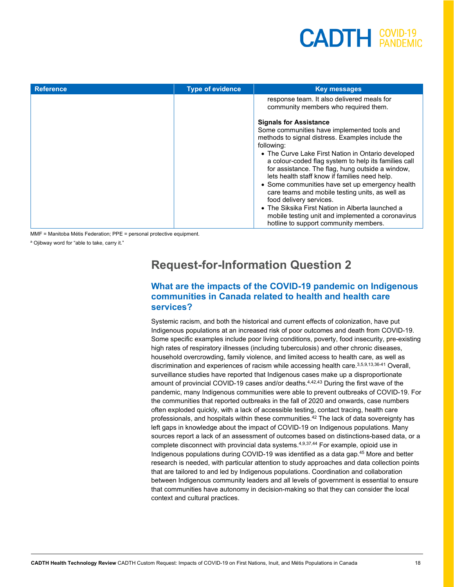## $<sup>COVID-19</sup>$  $<sup>COVID-19</sup>$ </sup></sup>

| <b>Reference</b> | <b>Type of evidence</b> | <b>Key messages</b>                                                                                                                                                                                                                                                                                                                                                                                                                                                                                                                                                                                                                                  |
|------------------|-------------------------|------------------------------------------------------------------------------------------------------------------------------------------------------------------------------------------------------------------------------------------------------------------------------------------------------------------------------------------------------------------------------------------------------------------------------------------------------------------------------------------------------------------------------------------------------------------------------------------------------------------------------------------------------|
|                  |                         | response team. It also delivered meals for<br>community members who required them.                                                                                                                                                                                                                                                                                                                                                                                                                                                                                                                                                                   |
|                  |                         | <b>Signals for Assistance</b><br>Some communities have implemented tools and<br>methods to signal distress. Examples include the<br>following:<br>• The Curve Lake First Nation in Ontario developed<br>a colour-coded flag system to help its families call<br>for assistance. The flag, hung outside a window,<br>lets health staff know if families need help.<br>• Some communities have set up emergency health<br>care teams and mobile testing units, as well as<br>food delivery services.<br>• The Siksika First Nation in Alberta launched a<br>mobile testing unit and implemented a coronavirus<br>hotline to support community members. |

MMF = Manitoba Métis Federation; PPE = personal protective equipment.

a Ojibway word for "able to take, carry it."

#### **Request-for-Information Question 2**

#### **What are the impacts of the COVID-19 pandemic on Indigenous communities in Canada related to health and health care services?**

Systemic racism, and both the historical and current effects of colonization, have put Indigenous populations at an increased risk of poor outcomes and death from COVID-19. Some specific examples include poor living conditions, poverty, food insecurity, pre-existing high rates of respiratory illnesses (including tuberculosis) and other chronic diseases, household overcrowding, family violence, and limited access to health care, as well as discrimination and experiences of racism while accessing health care. 3,5,9,13,36-41 Overall, surveillance studies have reported that Indigenous cases make up a disproportionate amount of provincial COVID-19 cases and/or deaths.<sup>4,42,43</sup> During the first wave of the pandemic, many Indigenous communities were able to prevent outbreaks of COVID-19. For the communities that reported outbreaks in the fall of 2020 and onwards, case numbers often exploded quickly, with a lack of accessible testing, contact tracing, health care professionals, and hospitals within these communities.<sup>42</sup> The lack of data sovereignty has left gaps in knowledge about the impact of COVID-19 on Indigenous populations. Many sources report a lack of an assessment of outcomes based on distinctions-based data, or a complete disconnect with provincial data systems.<sup>4,9,37,44</sup> For example, opioid use in Indigenous populations during COVID-19 was identified as a data gap.45 More and better research is needed, with particular attention to study approaches and data collection points that are tailored to and led by Indigenous populations. Coordination and collaboration between Indigenous community leaders and all levels of government is essential to ensure that communities have autonomy in decision-making so that they can consider the local context and cultural practices.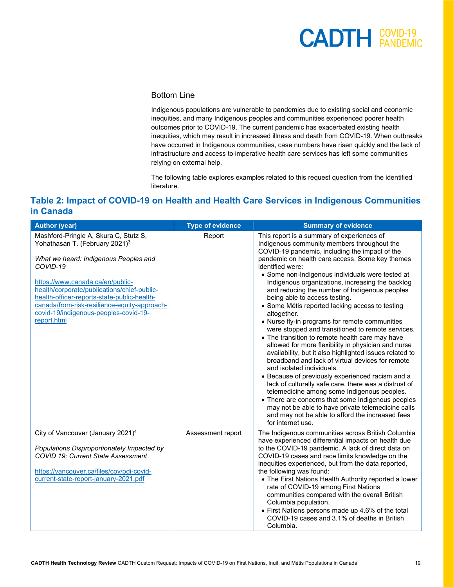#### Bottom Line

Indigenous populations are vulnerable to pandemics due to existing social and economic inequities, and many Indigenous peoples and communities experienced poorer health outcomes prior to COVID-19. The current pandemic has exacerbated existing health inequities, which may result in increased illness and death from COVID-19. When outbreaks have occurred in Indigenous communities, case numbers have risen quickly and the lack of infrastructure and access to imperative health care services has left some communities relying on external help.

The following table explores examples related to this request question from the identified literature.

#### **Table 2: Impact of COVID-19 on Health and Health Care Services in Indigenous Communities in Canada**

| <b>Author (year)</b>                                                                                                                                                                                                                                                                                                                                                               | <b>Type of evidence</b> | <b>Summary of evidence</b>                                                                                                                                                                                                                                                                                                                                                                                                                                                                                                                                                                                                                                                                                                                                                                                                                                                                                                                                                                                                                                                                                                                                                                  |
|------------------------------------------------------------------------------------------------------------------------------------------------------------------------------------------------------------------------------------------------------------------------------------------------------------------------------------------------------------------------------------|-------------------------|---------------------------------------------------------------------------------------------------------------------------------------------------------------------------------------------------------------------------------------------------------------------------------------------------------------------------------------------------------------------------------------------------------------------------------------------------------------------------------------------------------------------------------------------------------------------------------------------------------------------------------------------------------------------------------------------------------------------------------------------------------------------------------------------------------------------------------------------------------------------------------------------------------------------------------------------------------------------------------------------------------------------------------------------------------------------------------------------------------------------------------------------------------------------------------------------|
| Mashford-Pringle A, Skura C, Stutz S,<br>Yohathasan T. (February 2021) <sup>3</sup><br>What we heard: Indigenous Peoples and<br>COVID-19<br>https://www.canada.ca/en/public-<br>health/corporate/publications/chief-public-<br>health-officer-reports-state-public-health-<br>canada/from-risk-resilience-equity-approach-<br>covid-19/indigenous-peoples-covid-19-<br>report.html | Report                  | This report is a summary of experiences of<br>Indigenous community members throughout the<br>COVID-19 pandemic, including the impact of the<br>pandemic on health care access. Some key themes<br>identified were:<br>• Some non-Indigenous individuals were tested at<br>Indigenous organizations, increasing the backlog<br>and reducing the number of Indigenous peoples<br>being able to access testing.<br>• Some Métis reported lacking access to testing<br>altogether.<br>• Nurse fly-in programs for remote communities<br>were stopped and transitioned to remote services.<br>• The transition to remote health care may have<br>allowed for more flexibility in physician and nurse<br>availability, but it also highlighted issues related to<br>broadband and lack of virtual devices for remote<br>and isolated individuals.<br>• Because of previously experienced racism and a<br>lack of culturally safe care, there was a distrust of<br>telemedicine among some Indigenous peoples.<br>• There are concerns that some Indigenous peoples<br>may not be able to have private telemedicine calls<br>and may not be able to afford the increased fees<br>for internet use. |
| City of Vancouver (January 2021) <sup>4</sup><br>Populations Disproportionately Impacted by<br>COVID 19: Current State Assessment<br>https://vancouver.ca/files/cov/pdi-covid-<br>current-state-report-january-2021.pdf                                                                                                                                                            | Assessment report       | The Indigenous communities across British Columbia<br>have experienced differential impacts on health due<br>to the COVID-19 pandemic. A lack of direct data on<br>COVID-19 cases and race limits knowledge on the<br>inequities experienced, but from the data reported,<br>the following was found:<br>• The First Nations Health Authority reported a lower<br>rate of COVID-19 among First Nations<br>communities compared with the overall British<br>Columbia population.<br>• First Nations persons made up 4.6% of the total<br>COVID-19 cases and 3.1% of deaths in British<br>Columbia.                                                                                                                                                                                                                                                                                                                                                                                                                                                                                                                                                                                           |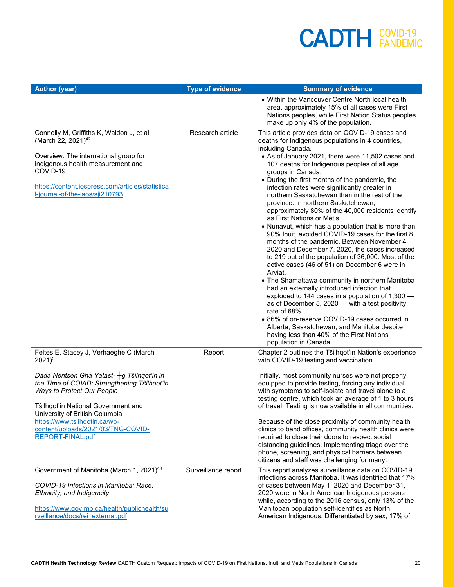| <b>Author (year)</b>                                                                                                                                                                                                                                                                                                                                | <b>Type of evidence</b> | <b>Summary of evidence</b>                                                                                                                                                                                                                                                                                                                                                                                                                                                                                                                                                                                                                                                                                                                                                                                                                                                                                                                                                                                                                                                                                                                                                                                                                                          |
|-----------------------------------------------------------------------------------------------------------------------------------------------------------------------------------------------------------------------------------------------------------------------------------------------------------------------------------------------------|-------------------------|---------------------------------------------------------------------------------------------------------------------------------------------------------------------------------------------------------------------------------------------------------------------------------------------------------------------------------------------------------------------------------------------------------------------------------------------------------------------------------------------------------------------------------------------------------------------------------------------------------------------------------------------------------------------------------------------------------------------------------------------------------------------------------------------------------------------------------------------------------------------------------------------------------------------------------------------------------------------------------------------------------------------------------------------------------------------------------------------------------------------------------------------------------------------------------------------------------------------------------------------------------------------|
|                                                                                                                                                                                                                                                                                                                                                     |                         | • Within the Vancouver Centre North local health<br>area, approximately 15% of all cases were First<br>Nations peoples, while First Nation Status peoples<br>make up only 4% of the population.                                                                                                                                                                                                                                                                                                                                                                                                                                                                                                                                                                                                                                                                                                                                                                                                                                                                                                                                                                                                                                                                     |
| Connolly M, Griffiths K, Waldon J, et al.<br>(March 22, 2021) <sup>42</sup><br>Overview: The international group for<br>indigenous health measurement and<br>COVID-19<br>https://content.iospress.com/articles/statistica<br>l-journal-of-the-iaos/sji210793                                                                                        | Research article        | This article provides data on COVID-19 cases and<br>deaths for Indigenous populations in 4 countries,<br>including Canada.<br>• As of January 2021, there were 11,502 cases and<br>107 deaths for Indigenous peoples of all age<br>groups in Canada.<br>• During the first months of the pandemic, the<br>infection rates were significantly greater in<br>northern Saskatchewan than in the rest of the<br>province. In northern Saskatchewan,<br>approximately 80% of the 40,000 residents identify<br>as First Nations or Métis.<br>• Nunavut, which has a population that is more than<br>90% Inuit, avoided COVID-19 cases for the first 8<br>months of the pandemic. Between November 4,<br>2020 and December 7, 2020, the cases increased<br>to 219 out of the population of 36,000. Most of the<br>active cases (46 of 51) on December 6 were in<br>Arviat.<br>• The Shamattawa community in northern Manitoba<br>had an externally introduced infection that<br>exploded to 144 cases in a population of 1,300 -<br>as of December 5, 2020 - with a test positivity<br>rate of 68%.<br>• 86% of on-reserve COVID-19 cases occurred in<br>Alberta, Saskatchewan, and Manitoba despite<br>having less than 40% of the First Nations<br>population in Canada. |
| Feltes E, Stacey J, Verhaeghe C (March<br>$2021)^5$<br>Dada Nentsen Gha Yatast- +g Tŝilhqot'in in<br>the Time of COVID: Strengthening Tŝilhqot'in<br>Ways to Protect Our People<br>Tŝilhqot'in National Government and<br>University of British Columbia<br>https://www.tsilhqotin.ca/wp-<br>content/uploads/2021/03/TNG-COVID-<br>REPORT-FINAL.pdf | Report                  | Chapter 2 outlines the Tŝilhqot'in Nation's experience<br>with COVID-19 testing and vaccination.<br>Initially, most community nurses were not properly<br>equipped to provide testing, forcing any individual<br>with symptoms to self-isolate and travel alone to a<br>testing centre, which took an average of 1 to 3 hours<br>of travel. Testing is now available in all communities.<br>Because of the close proximity of community health<br>clinics to band offices, community health clinics were<br>required to close their doors to respect social<br>distancing guidelines. Implementing triage over the<br>phone, screening, and physical barriers between<br>citizens and staff was challenging for many.                                                                                                                                                                                                                                                                                                                                                                                                                                                                                                                                               |
| Government of Manitoba (March 1, 2021) <sup>43</sup><br>COVID-19 Infections in Manitoba: Race,<br>Ethnicity, and Indigeneity<br>https://www.gov.mb.ca/health/publichealth/su<br>rveillance/docs/rei external.pdf                                                                                                                                    | Surveillance report     | This report analyzes surveillance data on COVID-19<br>infections across Manitoba. It was identified that 17%<br>of cases between May 1, 2020 and December 31,<br>2020 were in North American Indigenous persons<br>while, according to the 2016 census, only 13% of the<br>Manitoban population self-identifies as North<br>American Indigenous. Differentiated by sex, 17% of                                                                                                                                                                                                                                                                                                                                                                                                                                                                                                                                                                                                                                                                                                                                                                                                                                                                                      |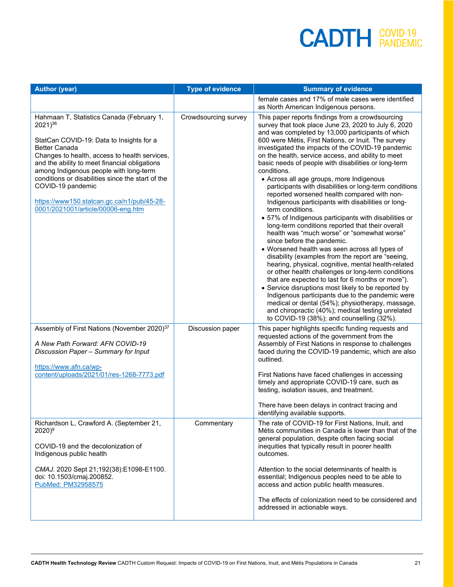| <b>Author (year)</b>                                                                                                                                                                                                                                                                                                                                                                                                                    | <b>Type of evidence</b> | <b>Summary of evidence</b>                                                                                                                                                                                                                                                                                                                                                                                                                                                                                                                                                                                                                                                                                                                                                                                                                                                                                                                                                                                                                                                                                                                                                                                                                                                                                                                                                |
|-----------------------------------------------------------------------------------------------------------------------------------------------------------------------------------------------------------------------------------------------------------------------------------------------------------------------------------------------------------------------------------------------------------------------------------------|-------------------------|---------------------------------------------------------------------------------------------------------------------------------------------------------------------------------------------------------------------------------------------------------------------------------------------------------------------------------------------------------------------------------------------------------------------------------------------------------------------------------------------------------------------------------------------------------------------------------------------------------------------------------------------------------------------------------------------------------------------------------------------------------------------------------------------------------------------------------------------------------------------------------------------------------------------------------------------------------------------------------------------------------------------------------------------------------------------------------------------------------------------------------------------------------------------------------------------------------------------------------------------------------------------------------------------------------------------------------------------------------------------------|
|                                                                                                                                                                                                                                                                                                                                                                                                                                         |                         | female cases and 17% of male cases were identified<br>as North American Indigenous persons.                                                                                                                                                                                                                                                                                                                                                                                                                                                                                                                                                                                                                                                                                                                                                                                                                                                                                                                                                                                                                                                                                                                                                                                                                                                                               |
| Hahmaan T, Statistics Canada (February 1,<br>$2021)^{36}$<br>StatCan COVID-19: Data to Insights for a<br><b>Better Canada</b><br>Changes to health, access to health services,<br>and the ability to meet financial obligations<br>among Indigenous people with long-term<br>conditions or disabilities since the start of the<br>COVID-19 pandemic<br>https://www150.statcan.gc.ca/n1/pub/45-28-<br>0001/2021001/article/00006-eng.htm | Crowdsourcing survey    | This paper reports findings from a crowdsourcing<br>survey that took place June 23, 2020 to July 6, 2020<br>and was completed by 13,000 participants of which<br>600 were Métis, First Nations, or Inuit. The survey<br>investigated the impacts of the COVID-19 pandemic<br>on the health, service access, and ability to meet<br>basic needs of people with disabilities or long-term<br>conditions.<br>• Across all age groups, more Indigenous<br>participants with disabilities or long-term conditions<br>reported worsened health compared with non-<br>Indigenous participants with disabilities or long-<br>term conditions.<br>• 57% of Indigenous participants with disabilities or<br>long-term conditions reported that their overall<br>health was "much worse" or "somewhat worse"<br>since before the pandemic.<br>• Worsened health was seen across all types of<br>disability (examples from the report are "seeing,<br>hearing, physical, cognitive, mental health-related<br>or other health challenges or long-term conditions<br>that are expected to last for 6 months or more").<br>• Service disruptions most likely to be reported by<br>Indigenous participants due to the pandemic were<br>medical or dental (54%); physiotherapy, massage,<br>and chiropractic (40%); medical testing unrelated<br>to COVID-19 (38%); and counselling (32%). |
| Assembly of First Nations (November 2020) <sup>37</sup><br>A New Path Forward: AFN COVID-19<br>Discussion Paper - Summary for Input<br>https://www.afn.ca/wp-                                                                                                                                                                                                                                                                           | Discussion paper        | This paper highlights specific funding requests and<br>requested actions of the government from the<br>Assembly of First Nations in response to challenges<br>faced during the COVID-19 pandemic, which are also<br>outlined.                                                                                                                                                                                                                                                                                                                                                                                                                                                                                                                                                                                                                                                                                                                                                                                                                                                                                                                                                                                                                                                                                                                                             |
| content/uploads/2021/01/res-1268-7773.pdf                                                                                                                                                                                                                                                                                                                                                                                               |                         | First Nations have faced challenges in accessing<br>timely and appropriate COVID-19 care, such as<br>testing, isolation issues, and treatment.                                                                                                                                                                                                                                                                                                                                                                                                                                                                                                                                                                                                                                                                                                                                                                                                                                                                                                                                                                                                                                                                                                                                                                                                                            |
|                                                                                                                                                                                                                                                                                                                                                                                                                                         |                         | There have been delays in contract tracing and<br>identifying available supports.                                                                                                                                                                                                                                                                                                                                                                                                                                                                                                                                                                                                                                                                                                                                                                                                                                                                                                                                                                                                                                                                                                                                                                                                                                                                                         |
| Richardson L, Crawford A. (September 21,<br>$2020)^9$<br>COVID-19 and the decolonization of<br>Indigenous public health                                                                                                                                                                                                                                                                                                                 | Commentary              | The rate of COVID-19 for First Nations, Inuit, and<br>Métis communities in Canada is lower than that of the<br>general population, despite often facing social<br>inequities that typically result in poorer health<br>outcomes.                                                                                                                                                                                                                                                                                                                                                                                                                                                                                                                                                                                                                                                                                                                                                                                                                                                                                                                                                                                                                                                                                                                                          |
| CMAJ. 2020 Sept 21;192(38):E1098-E1100.<br>doi: 10.1503/cmaj.200852.<br>PubMed: PM32958575                                                                                                                                                                                                                                                                                                                                              |                         | Attention to the social determinants of health is<br>essential; Indigenous peoples need to be able to<br>access and action public health measures.                                                                                                                                                                                                                                                                                                                                                                                                                                                                                                                                                                                                                                                                                                                                                                                                                                                                                                                                                                                                                                                                                                                                                                                                                        |
|                                                                                                                                                                                                                                                                                                                                                                                                                                         |                         | The effects of colonization need to be considered and<br>addressed in actionable ways.                                                                                                                                                                                                                                                                                                                                                                                                                                                                                                                                                                                                                                                                                                                                                                                                                                                                                                                                                                                                                                                                                                                                                                                                                                                                                    |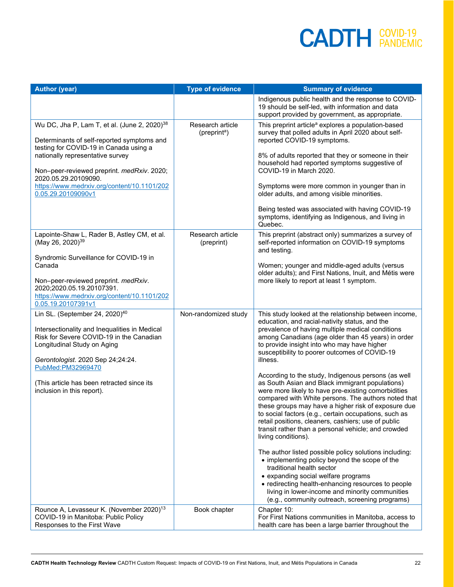| <b>Author (year)</b>                                                                                                                                                                                                             | <b>Type of evidence</b>                      | <b>Summary of evidence</b>                                                                                                                                                                                                                                                                                                                                                                                                                                                |
|----------------------------------------------------------------------------------------------------------------------------------------------------------------------------------------------------------------------------------|----------------------------------------------|---------------------------------------------------------------------------------------------------------------------------------------------------------------------------------------------------------------------------------------------------------------------------------------------------------------------------------------------------------------------------------------------------------------------------------------------------------------------------|
|                                                                                                                                                                                                                                  |                                              | Indigenous public health and the response to COVID-<br>19 should be self-led, with information and data<br>support provided by government, as appropriate.                                                                                                                                                                                                                                                                                                                |
| Wu DC, Jha P, Lam T, et al. (June 2, 2020) <sup>38</sup><br>Determinants of self-reported symptoms and<br>testing for COVID-19 in Canada using a<br>nationally representative survey                                             | Research article<br>(preprint <sup>a</sup> ) | This preprint article <sup>a</sup> explores a population-based<br>survey that polled adults in April 2020 about self-<br>reported COVID-19 symptoms.<br>8% of adults reported that they or someone in their                                                                                                                                                                                                                                                               |
| Non-peer-reviewed preprint. medRxiv. 2020;<br>2020.05.29.20109090.                                                                                                                                                               |                                              | household had reported symptoms suggestive of<br>COVID-19 in March 2020.                                                                                                                                                                                                                                                                                                                                                                                                  |
| https://www.medrxiv.org/content/10.1101/202<br>0.05.29.20109090v1                                                                                                                                                                |                                              | Symptoms were more common in younger than in<br>older adults, and among visible minorities.                                                                                                                                                                                                                                                                                                                                                                               |
|                                                                                                                                                                                                                                  |                                              | Being tested was associated with having COVID-19<br>symptoms, identifying as Indigenous, and living in<br>Quebec.                                                                                                                                                                                                                                                                                                                                                         |
| Lapointe-Shaw L, Rader B, Astley CM, et al.<br>(May 26, 2020) <sup>39</sup>                                                                                                                                                      | Research article<br>(preprint)               | This preprint (abstract only) summarizes a survey of<br>self-reported information on COVID-19 symptoms<br>and testing.                                                                                                                                                                                                                                                                                                                                                    |
| Syndromic Surveillance for COVID-19 in<br>Canada<br>Non-peer-reviewed preprint. medRxiv.                                                                                                                                         |                                              | Women; younger and middle-aged adults (versus<br>older adults); and First Nations, Inuit, and Métis were<br>more likely to report at least 1 symptom.                                                                                                                                                                                                                                                                                                                     |
| 2020;2020.05.19.20107391.<br>https://www.medrxiv.org/content/10.1101/202<br>0.05.19.20107391v1                                                                                                                                   |                                              |                                                                                                                                                                                                                                                                                                                                                                                                                                                                           |
| Lin SL. (September 24, 2020) <sup>40</sup><br>Intersectionality and Inequalities in Medical<br>Risk for Severe COVID-19 in the Canadian<br>Longitudinal Study on Aging<br>Gerontologist. 2020 Sep 24;24:24.<br>PubMed:PM32969470 | Non-randomized study                         | This study looked at the relationship between income,<br>education, and racial-nativity status, and the<br>prevalence of having multiple medical conditions<br>among Canadians (age older than 45 years) in order<br>to provide insight into who may have higher<br>susceptibility to poorer outcomes of COVID-19<br>illness.                                                                                                                                             |
| (This article has been retracted since its<br>inclusion in this report).                                                                                                                                                         |                                              | According to the study, Indigenous persons (as well<br>as South Asian and Black immigrant populations)<br>were more likely to have pre-existing comorbidities<br>compared with White persons. The authors noted that<br>these groups may have a higher risk of exposure due<br>to social factors (e.g., certain occupations, such as<br>retail positions, cleaners, cashiers; use of public<br>transit rather than a personal vehicle; and crowded<br>living conditions). |
|                                                                                                                                                                                                                                  |                                              | The author listed possible policy solutions including:<br>• implementing policy beyond the scope of the<br>traditional health sector<br>• expanding social welfare programs<br>• redirecting health-enhancing resources to people<br>living in lower-income and minority communities<br>(e.g., community outreach, screening programs)                                                                                                                                    |
| Rounce A, Levasseur K. (November 2020) <sup>13</sup><br>COVID-19 in Manitoba: Public Policy<br>Responses to the First Wave                                                                                                       | Book chapter                                 | Chapter 10:<br>For First Nations communities in Manitoba, access to<br>health care has been a large barrier throughout the                                                                                                                                                                                                                                                                                                                                                |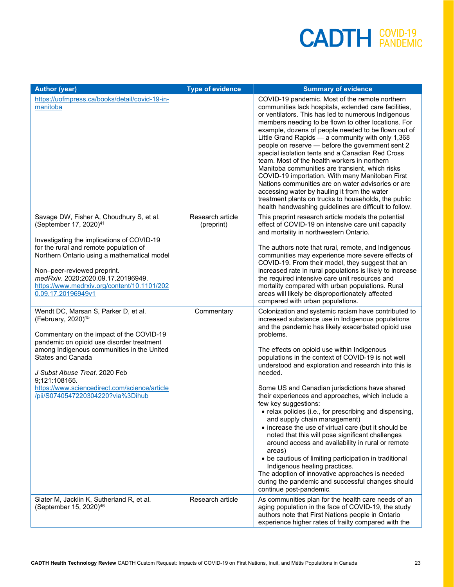| <b>Author (year)</b>                                                                                                                                                                                                                                                          | <b>Type of evidence</b>        | <b>Summary of evidence</b>                                                                                                                                                                                                                                                                                                                                                                                                                                                                                                                                                                                                                                                                                                                                                                                              |
|-------------------------------------------------------------------------------------------------------------------------------------------------------------------------------------------------------------------------------------------------------------------------------|--------------------------------|-------------------------------------------------------------------------------------------------------------------------------------------------------------------------------------------------------------------------------------------------------------------------------------------------------------------------------------------------------------------------------------------------------------------------------------------------------------------------------------------------------------------------------------------------------------------------------------------------------------------------------------------------------------------------------------------------------------------------------------------------------------------------------------------------------------------------|
| https://uofmpress.ca/books/detail/covid-19-in-<br>manitoba                                                                                                                                                                                                                    |                                | COVID-19 pandemic. Most of the remote northern<br>communities lack hospitals, extended care facilities,<br>or ventilators. This has led to numerous Indigenous<br>members needing to be flown to other locations. For<br>example, dozens of people needed to be flown out of<br>Little Grand Rapids - a community with only 1,368<br>people on reserve - before the government sent 2<br>special isolation tents and a Canadian Red Cross<br>team. Most of the health workers in northern<br>Manitoba communities are transient, which risks<br>COVID-19 importation. With many Manitoban First<br>Nations communities are on water advisories or are<br>accessing water by hauling it from the water<br>treatment plants on trucks to households, the public<br>health handwashing guidelines are difficult to follow. |
| Savage DW, Fisher A, Choudhury S, et al.<br>(September 17, 2020) <sup>41</sup>                                                                                                                                                                                                | Research article<br>(preprint) | This preprint research article models the potential<br>effect of COVID-19 on intensive care unit capacity<br>and mortality in northwestern Ontario.                                                                                                                                                                                                                                                                                                                                                                                                                                                                                                                                                                                                                                                                     |
| Investigating the implications of COVID-19<br>for the rural and remote population of<br>Northern Ontario using a mathematical model<br>Non-peer-reviewed preprint.<br>medRxiv. 2020;2020.09.17.20196949.<br>https://www.medrxiv.org/content/10.1101/202<br>0.09.17.20196949v1 |                                | The authors note that rural, remote, and Indigenous<br>communities may experience more severe effects of<br>COVID-19. From their model, they suggest that an<br>increased rate in rural populations is likely to increase<br>the required intensive care unit resources and<br>mortality compared with urban populations. Rural<br>areas will likely be disproportionately affected<br>compared with urban populations.                                                                                                                                                                                                                                                                                                                                                                                                 |
| Wendt DC, Marsan S, Parker D, et al.<br>(February, 2020) <sup>45</sup><br>Commentary on the impact of the COVID-19<br>pandemic on opioid use disorder treatment                                                                                                               | Commentary                     | Colonization and systemic racism have contributed to<br>increased substance use in Indigenous populations<br>and the pandemic has likely exacerbated opioid use<br>problems.                                                                                                                                                                                                                                                                                                                                                                                                                                                                                                                                                                                                                                            |
| among Indigenous communities in the United<br><b>States and Canada</b><br>J Subst Abuse Treat. 2020 Feb                                                                                                                                                                       |                                | The effects on opioid use within Indigenous<br>populations in the context of COVID-19 is not well<br>understood and exploration and research into this is<br>needed.                                                                                                                                                                                                                                                                                                                                                                                                                                                                                                                                                                                                                                                    |
| 9;121:108165.<br>https://www.sciencedirect.com/science/article<br>/pii/S0740547220304220?via%3Dihub                                                                                                                                                                           |                                | Some US and Canadian jurisdictions have shared<br>their experiences and approaches, which include a<br>few key suggestions:<br>• relax policies (i.e., for prescribing and dispensing,<br>and supply chain management)<br>• increase the use of virtual care (but it should be<br>noted that this will pose significant challenges<br>around access and availability in rural or remote<br>areas)<br>• be cautious of limiting participation in traditional<br>Indigenous healing practices.<br>The adoption of innovative approaches is needed<br>during the pandemic and successful changes should<br>continue post-pandemic.                                                                                                                                                                                         |
| Slater M, Jacklin K, Sutherland R, et al.<br>(September 15, 2020) <sup>46</sup>                                                                                                                                                                                               | Research article               | As communities plan for the health care needs of an<br>aging population in the face of COVID-19, the study<br>authors note that First Nations people in Ontario<br>experience higher rates of frailty compared with the                                                                                                                                                                                                                                                                                                                                                                                                                                                                                                                                                                                                 |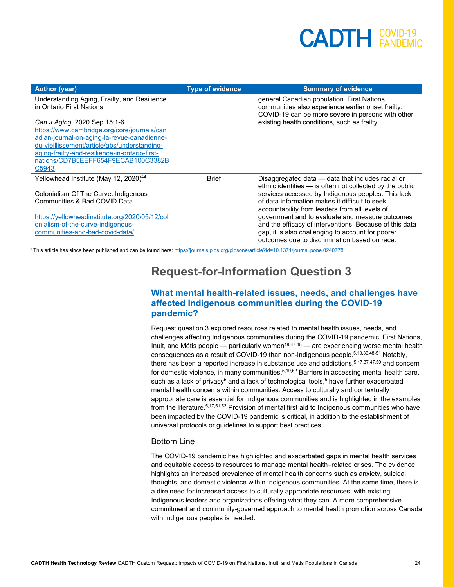| <b>Author (year)</b>                                                     | <b>Type of evidence</b> | <b>Summary of evidence</b>                                                                                                                            |
|--------------------------------------------------------------------------|-------------------------|-------------------------------------------------------------------------------------------------------------------------------------------------------|
| Understanding Aging, Frailty, and Resilience<br>in Ontario First Nations |                         | general Canadian population. First Nations<br>communities also experience earlier onset frailty.<br>COVID-19 can be more severe in persons with other |
| Can J Aging. 2020 Sep 15;1-6.                                            |                         | existing health conditions, such as frailty.                                                                                                          |
| https://www.cambridge.org/core/journals/can                              |                         |                                                                                                                                                       |
| adian-journal-on-aging-la-revue-canadienne-                              |                         |                                                                                                                                                       |
| du-vieillissement/article/abs/understanding-                             |                         |                                                                                                                                                       |
| aging-frailty-and-resilience-in-ontario-first-                           |                         |                                                                                                                                                       |
| nations/CD7B5EEFF654F9ECAB100C3382B<br>C5943                             |                         |                                                                                                                                                       |
|                                                                          |                         |                                                                                                                                                       |
| Yellowhead Institute (May 12, 2020) <sup>44</sup>                        | <b>Brief</b>            | Disaggregated data - data that includes racial or                                                                                                     |
| Colonialism Of The Curve: Indigenous                                     |                         | ethnic identities - is often not collected by the public<br>services accessed by Indigenous peoples. This lack                                        |
| Communities & Bad COVID Data                                             |                         | of data information makes it difficult to seek                                                                                                        |
|                                                                          |                         | accountability from leaders from all levels of                                                                                                        |
| https://yellowheadinstitute.org/2020/05/12/col                           |                         | government and to evaluate and measure outcomes                                                                                                       |
| onialism-of-the-curve-indigenous-                                        |                         | and the efficacy of interventions. Because of this data                                                                                               |
| communities-and-bad-covid-data/                                          |                         | gap, it is also challenging to account for poorer                                                                                                     |
|                                                                          |                         | outcomes due to discrimination based on race.                                                                                                         |

a This article has since been published and can be found here[: https://journals.plos.org/plosone/article?id=10.1371/journal.pone.0240778.](https://journals.plos.org/plosone/article?id=10.1371/journal.pone.0240778)

#### **Request-for-Information Question 3**

#### **What mental health-related issues, needs, and challenges have affected Indigenous communities during the COVID-19 pandemic?**

Request question 3 explored resources related to mental health issues, needs, and challenges affecting Indigenous communities during the COVID-19 pandemic. First Nations, Inuit, and Métis people — particularly women<sup>19,47,48</sup> — are experiencing worse mental health consequences as a result of COVID-19 than non-Indigenous people.5,13,36,48-51 Notably, there has been a reported increase in substance use and addictions, $\rm ^{5,17,37,47,50}$  and concern for domestic violence, in many communities.<sup>5,19,52</sup> Barriers in accessing mental health care, such as a lack of privacy $^5$  and a lack of technological tools, $^5$  have further exacerbated mental health concerns within communities. Access to culturally and contextually appropriate care is essential for Indigenous communities and is highlighted in the examples from the literature.<sup>5,17,51,53</sup> Provision of mental first aid to Indigenous communities who have been impacted by the COVID-19 pandemic is critical, in addition to the establishment of universal protocols or guidelines to support best practices.

#### Bottom Line

The COVID-19 pandemic has highlighted and exacerbated gaps in mental health services and equitable access to resources to manage mental health-related crises. The evidence highlights an increased prevalence of mental health concerns such as anxiety, suicidal thoughts, and domestic violence within Indigenous communities. At the same time, there is a dire need for increased access to culturally appropriate resources, with existing Indigenous leaders and organizations offering what they can. A more comprehensive commitment and community-governed approach to mental health promotion across Canada with Indigenous peoples is needed.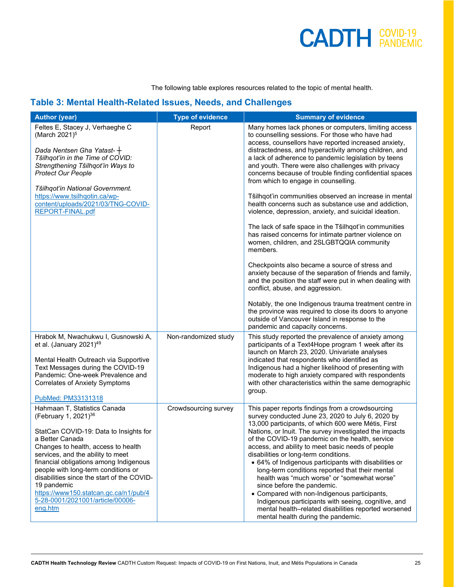The following table explores resources related to the topic of mental health.

#### **Table 3: Mental Health-Related Issues, Needs, and Challenges**

| <b>Author (year)</b>                                                                                                                                                                                                                                                                                                                                                                                                                            | <b>Type of evidence</b> | <b>Summary of evidence</b>                                                                                                                                                                                                                                                                                                                                                                                                                                                                                                                                                                                                                                                                                                                                                                                                                                                                                                                                                                                                                                                                                                                                                                                            |
|-------------------------------------------------------------------------------------------------------------------------------------------------------------------------------------------------------------------------------------------------------------------------------------------------------------------------------------------------------------------------------------------------------------------------------------------------|-------------------------|-----------------------------------------------------------------------------------------------------------------------------------------------------------------------------------------------------------------------------------------------------------------------------------------------------------------------------------------------------------------------------------------------------------------------------------------------------------------------------------------------------------------------------------------------------------------------------------------------------------------------------------------------------------------------------------------------------------------------------------------------------------------------------------------------------------------------------------------------------------------------------------------------------------------------------------------------------------------------------------------------------------------------------------------------------------------------------------------------------------------------------------------------------------------------------------------------------------------------|
| Feltes E, Stacey J, Verhaeghe C<br>(March 2021) <sup>5</sup><br>Dada Nentsen Gha Yatast- $+$<br>Tŝilhqot'in in the Time of COVID:<br>Strengthening Tŝilhqot'in Ways to<br><b>Protect Our People</b><br>Tŝilhqot'in National Government.<br>https://www.tsilhqotin.ca/wp-<br>content/uploads/2021/03/TNG-COVID-<br>REPORT-FINAL.pdf                                                                                                              | Report                  | Many homes lack phones or computers, limiting access<br>to counselling sessions. For those who have had<br>access, counsellors have reported increased anxiety,<br>distractedness, and hyperactivity among children, and<br>a lack of adherence to pandemic legislation by teens<br>and youth. There were also challenges with privacy<br>concerns because of trouble finding confidential spaces<br>from which to engage in counselling.<br>Tŝilhqot'in communities observed an increase in mental<br>health concerns such as substance use and addiction,<br>violence, depression, anxiety, and suicidal ideation.<br>The lack of safe space in the Tŝilhqot'in communities<br>has raised concerns for intimate partner violence on<br>women, children, and 2SLGBTQQIA community<br>members.<br>Checkpoints also became a source of stress and<br>anxiety because of the separation of friends and family,<br>and the position the staff were put in when dealing with<br>conflict, abuse, and aggression.<br>Notably, the one Indigenous trauma treatment centre in<br>the province was required to close its doors to anyone<br>outside of Vancouver Island in response to the<br>pandemic and capacity concerns. |
| Hrabok M, Nwachukwu I, Gusnowski A,<br>et al. (January 2021) <sup>49</sup><br>Mental Health Outreach via Supportive<br>Text Messages during the COVID-19<br>Pandemic: One-week Prevalence and<br>Correlates of Anxiety Symptoms<br>PubMed: PM33131318                                                                                                                                                                                           | Non-randomized study    | This study reported the prevalence of anxiety among<br>participants of a Text4Hope program 1 week after its<br>launch on March 23, 2020. Univariate analyses<br>indicated that respondents who identified as<br>Indigenous had a higher likelihood of presenting with<br>moderate to high anxiety compared with respondents<br>with other characteristics within the same demographic<br>group.                                                                                                                                                                                                                                                                                                                                                                                                                                                                                                                                                                                                                                                                                                                                                                                                                       |
| Hahmaan T, Statistics Canada<br>(February 1, 2021) <sup>36</sup><br>StatCan COVID-19: Data to Insights for<br>a Better Canada<br>Changes to health, access to health<br>services, and the ability to meet<br>financial obligations among Indigenous<br>people with long-term conditions or<br>disabilities since the start of the COVID-<br>19 pandemic<br>https://www150.statcan.gc.ca/n1/pub/4<br>5-28-0001/2021001/article/00006-<br>eng.htm | Crowdsourcing survey    | This paper reports findings from a crowdsourcing<br>survey conducted June 23, 2020 to July 6, 2020 by<br>13,000 participants, of which 600 were Métis, First<br>Nations, or Inuit. The survey investigated the impacts<br>of the COVID-19 pandemic on the health, service<br>access, and ability to meet basic needs of people<br>disabilities or long-term conditions.<br>• 64% of Indigenous participants with disabilities or<br>long-term conditions reported that their mental<br>health was "much worse" or "somewhat worse"<br>since before the pandemic.<br>• Compared with non-Indigenous participants,<br>Indigenous participants with seeing, cognitive, and<br>mental health-related disabilities reported worsened<br>mental health during the pandemic.                                                                                                                                                                                                                                                                                                                                                                                                                                                 |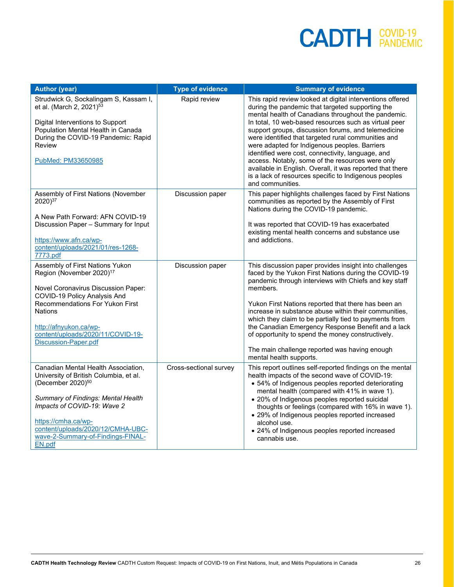| <b>Author (year)</b>                                                                                                                                                                                                                                                                              | <b>Type of evidence</b> | <b>Summary of evidence</b>                                                                                                                                                                                                                                                                                                                                                                                                                                                                                                                                                                                                                      |
|---------------------------------------------------------------------------------------------------------------------------------------------------------------------------------------------------------------------------------------------------------------------------------------------------|-------------------------|-------------------------------------------------------------------------------------------------------------------------------------------------------------------------------------------------------------------------------------------------------------------------------------------------------------------------------------------------------------------------------------------------------------------------------------------------------------------------------------------------------------------------------------------------------------------------------------------------------------------------------------------------|
| Strudwick G, Sockalingam S, Kassam I,<br>et al. (March 2, 2021) <sup>53</sup><br>Digital Interventions to Support<br>Population Mental Health in Canada<br>During the COVID-19 Pandemic: Rapid<br>Review<br>PubMed: PM33650985                                                                    | Rapid review            | This rapid review looked at digital interventions offered<br>during the pandemic that targeted supporting the<br>mental health of Canadians throughout the pandemic.<br>In total, 10 web-based resources such as virtual peer<br>support groups, discussion forums, and telemedicine<br>were identified that targeted rural communities and<br>were adapted for Indigenous peoples. Barriers<br>identified were cost, connectivity, language, and<br>access. Notably, some of the resources were only<br>available in English. Overall, it was reported that there<br>is a lack of resources specific to Indigenous peoples<br>and communities. |
| Assembly of First Nations (November<br>2020) <sup>37</sup><br>A New Path Forward: AFN COVID-19<br>Discussion Paper - Summary for Input<br>https://www.afn.ca/wp-<br>content/uploads/2021/01/res-1268-<br>7773.pdf                                                                                 | Discussion paper        | This paper highlights challenges faced by First Nations<br>communities as reported by the Assembly of First<br>Nations during the COVID-19 pandemic.<br>It was reported that COVID-19 has exacerbated<br>existing mental health concerns and substance use<br>and addictions.                                                                                                                                                                                                                                                                                                                                                                   |
| Assembly of First Nations Yukon<br>Region (November 2020) <sup>17</sup><br>Novel Coronavirus Discussion Paper:<br>COVID-19 Policy Analysis And<br><b>Recommendations For Yukon First</b><br><b>Nations</b><br>http://afnyukon.ca/wp-<br>content/uploads/2020/11/COVID-19-<br>Discussion-Paper.pdf | Discussion paper        | This discussion paper provides insight into challenges<br>faced by the Yukon First Nations during the COVID-19<br>pandemic through interviews with Chiefs and key staff<br>members.<br>Yukon First Nations reported that there has been an<br>increase in substance abuse within their communities,<br>which they claim to be partially tied to payments from<br>the Canadian Emergency Response Benefit and a lack<br>of opportunity to spend the money constructively.<br>The main challenge reported was having enough<br>mental health supports.                                                                                            |
| Canadian Mental Health Association,<br>University of British Columbia, et al.<br>(December 2020) <sup>50</sup><br>Summary of Findings: Mental Health<br>Impacts of COVID-19: Wave 2<br>https://cmha.ca/wp-<br>content/uploads/2020/12/CMHA-UBC-<br>wave-2-Summary-of-Findings-FINAL-<br>EN.pdf    | Cross-sectional survey  | This report outlines self-reported findings on the mental<br>health impacts of the second wave of COVID-19:<br>• 54% of Indigenous peoples reported deteriorating<br>mental health (compared with 41% in wave 1).<br>• 20% of Indigenous peoples reported suicidal<br>thoughts or feelings (compared with 16% in wave 1).<br>• 29% of Indigenous peoples reported increased<br>alcohol use.<br>• 24% of Indigenous peoples reported increased<br>cannabis use.                                                                                                                                                                                  |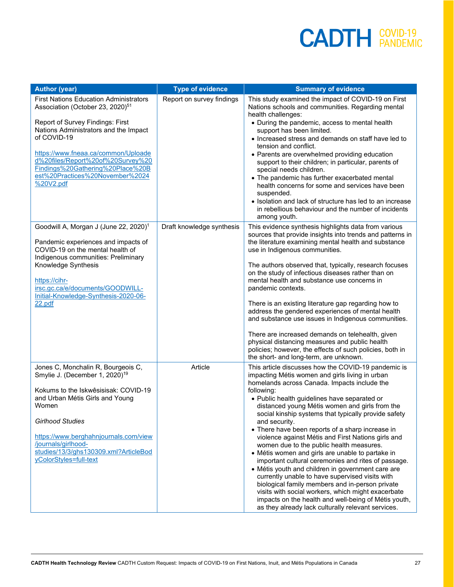| <b>Author (year)</b>                                                                                                                                                                                                                                                                                                                                      | <b>Type of evidence</b>   | <b>Summary of evidence</b>                                                                                                                                                                                                                                                                                                                                                                                                                                                                                                                                                                                                                                                                                                                                                                                                                                                                                                                      |
|-----------------------------------------------------------------------------------------------------------------------------------------------------------------------------------------------------------------------------------------------------------------------------------------------------------------------------------------------------------|---------------------------|-------------------------------------------------------------------------------------------------------------------------------------------------------------------------------------------------------------------------------------------------------------------------------------------------------------------------------------------------------------------------------------------------------------------------------------------------------------------------------------------------------------------------------------------------------------------------------------------------------------------------------------------------------------------------------------------------------------------------------------------------------------------------------------------------------------------------------------------------------------------------------------------------------------------------------------------------|
| <b>First Nations Education Administrators</b><br>Association (October 23, 2020) <sup>51</sup><br>Report of Survey Findings: First<br>Nations Administrators and the Impact<br>of COVID-19<br>https://www.fneaa.ca/common/Uploade<br>d%20files/Report%20of%20Survey%20<br>Findings%20Gathering%20Place%20B<br>est%20Practices%20November%2024<br>%20V2.pdf | Report on survey findings | This study examined the impact of COVID-19 on First<br>Nations schools and communities. Regarding mental<br>health challenges:<br>• During the pandemic, access to mental health<br>support has been limited.<br>• Increased stress and demands on staff have led to<br>tension and conflict.<br>• Parents are overwhelmed providing education<br>support to their children; in particular, parents of<br>special needs children.<br>• The pandemic has further exacerbated mental<br>health concerns for some and services have been<br>suspended.<br>• Isolation and lack of structure has led to an increase<br>in rebellious behaviour and the number of incidents<br>among youth.                                                                                                                                                                                                                                                          |
| Goodwill A, Morgan J (June 22, 2020) <sup>1</sup><br>Pandemic experiences and impacts of<br>COVID-19 on the mental health of<br>Indigenous communities: Preliminary<br>Knowledge Synthesis<br>https://cihr-<br>irsc.gc.ca/e/documents/GOODWILL-<br>Initial-Knowledge-Synthesis-2020-06-<br>22.pdf                                                         | Draft knowledge synthesis | This evidence synthesis highlights data from various<br>sources that provide insights into trends and patterns in<br>the literature examining mental health and substance<br>use in Indigenous communities.<br>The authors observed that, typically, research focuses<br>on the study of infectious diseases rather than on<br>mental health and substance use concerns in<br>pandemic contexts.<br>There is an existing literature gap regarding how to<br>address the gendered experiences of mental health<br>and substance use issues in Indigenous communities.<br>There are increased demands on telehealth, given<br>physical distancing measures and public health<br>policies; however, the effects of such policies, both in<br>the short- and long-term, are unknown.                                                                                                                                                                |
| Jones C, Monchalin R, Bourgeois C,<br>Smylie J. (December 1, 2020) <sup>19</sup><br>Kokums to the Iskwêsisisak: COVID-19<br>and Urban Métis Girls and Young<br>Women<br><b>Girlhood Studies</b><br>https://www.berghahnjournals.com/view<br>/journals/girlhood-<br>studies/13/3/ghs130309.xml?ArticleBod<br>yColorStyles=full-text                        | Article                   | This article discusses how the COVID-19 pandemic is<br>impacting Métis women and girls living in urban<br>homelands across Canada. Impacts include the<br>following:<br>• Public health guidelines have separated or<br>distanced young Métis women and girls from the<br>social kinship systems that typically provide safety<br>and security.<br>• There have been reports of a sharp increase in<br>violence against Métis and First Nations girls and<br>women due to the public health measures.<br>• Métis women and girls are unable to partake in<br>important cultural ceremonies and rites of passage.<br>• Métis youth and children in government care are<br>currently unable to have supervised visits with<br>biological family members and in-person private<br>visits with social workers, which might exacerbate<br>impacts on the health and well-being of Métis youth,<br>as they already lack culturally relevant services. |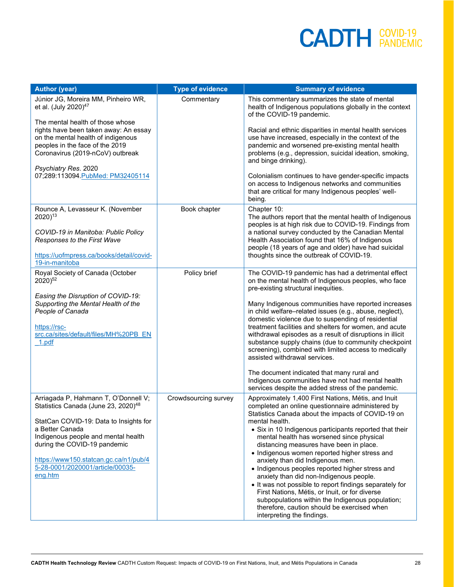| <b>Author (year)</b>                                                                                                                                                                                                                                                                                                | <b>Type of evidence</b> | <b>Summary of evidence</b>                                                                                                                                                                                                                                                                                                                                                                                                                                                                                                                                                                                                                                                                                                                                           |
|---------------------------------------------------------------------------------------------------------------------------------------------------------------------------------------------------------------------------------------------------------------------------------------------------------------------|-------------------------|----------------------------------------------------------------------------------------------------------------------------------------------------------------------------------------------------------------------------------------------------------------------------------------------------------------------------------------------------------------------------------------------------------------------------------------------------------------------------------------------------------------------------------------------------------------------------------------------------------------------------------------------------------------------------------------------------------------------------------------------------------------------|
| Júnior JG, Moreira MM, Pinheiro WR,<br>et al. (July 2020) <sup>47</sup>                                                                                                                                                                                                                                             | Commentary              | This commentary summarizes the state of mental<br>health of Indigenous populations globally in the context<br>of the COVID-19 pandemic.                                                                                                                                                                                                                                                                                                                                                                                                                                                                                                                                                                                                                              |
| The mental health of those whose<br>rights have been taken away: An essay<br>on the mental health of indigenous<br>peoples in the face of the 2019<br>Coronavirus (2019-nCoV) outbreak                                                                                                                              |                         | Racial and ethnic disparities in mental health services<br>use have increased, especially in the context of the<br>pandemic and worsened pre-existing mental health<br>problems (e.g., depression, suicidal ideation, smoking,<br>and binge drinking).                                                                                                                                                                                                                                                                                                                                                                                                                                                                                                               |
| Psychiatry Res. 2020<br>07;289:113094. PubMed: PM32405114                                                                                                                                                                                                                                                           |                         | Colonialism continues to have gender-specific impacts<br>on access to Indigenous networks and communities<br>that are critical for many Indigenous peoples' well-<br>being.                                                                                                                                                                                                                                                                                                                                                                                                                                                                                                                                                                                          |
| Rounce A, Levasseur K. (November<br>2020) <sup>13</sup><br>COVID-19 in Manitoba: Public Policy<br>Responses to the First Wave<br>https://uofmpress.ca/books/detail/covid-<br>19-in-manitoba                                                                                                                         | Book chapter            | Chapter 10:<br>The authors report that the mental health of Indigenous<br>peoples is at high risk due to COVID-19. Findings from<br>a national survey conducted by the Canadian Mental<br>Health Association found that 16% of Indigenous<br>people (18 years of age and older) have had suicidal<br>thoughts since the outbreak of COVID-19.                                                                                                                                                                                                                                                                                                                                                                                                                        |
| Royal Society of Canada (October<br>2020) <sup>52</sup><br>Easing the Disruption of COVID-19:<br>Supporting the Mental Health of the<br>People of Canada<br>https://rsc-<br>src.ca/sites/default/files/MH%20PB EN<br>1.pdf                                                                                          | Policy brief            | The COVID-19 pandemic has had a detrimental effect<br>on the mental health of Indigenous peoples, who face<br>pre-existing structural inequities.<br>Many Indigenous communities have reported increases<br>in child welfare-related issues (e.g., abuse, neglect),<br>domestic violence due to suspending of residential<br>treatment facilities and shelters for women, and acute<br>withdrawal episodes as a result of disruptions in illicit<br>substance supply chains (due to community checkpoint<br>screening), combined with limited access to medically<br>assisted withdrawal services.<br>The document indicated that many rural and<br>Indigenous communities have not had mental health<br>services despite the added stress of the pandemic.          |
| Arriagada P, Hahmann T, O'Donnell V;<br>Statistics Canada (June 23, 2020) <sup>48</sup><br>StatCan COVID-19: Data to Insights for<br>a Better Canada<br>Indigenous people and mental health<br>during the COVID-19 pandemic<br>https://www150.statcan.gc.ca/n1/pub/4<br>5-28-0001/2020001/article/00035-<br>eng.htm | Crowdsourcing survey    | Approximately 1,400 First Nations, Métis, and Inuit<br>completed an online questionnaire administered by<br>Statistics Canada about the impacts of COVID-19 on<br>mental health.<br>• Six in 10 Indigenous participants reported that their<br>mental health has worsened since physical<br>distancing measures have been in place.<br>• Indigenous women reported higher stress and<br>anxiety than did Indigenous men.<br>• Indigenous peoples reported higher stress and<br>anxiety than did non-Indigenous people.<br>• It was not possible to report findings separately for<br>First Nations, Métis, or Inuit, or for diverse<br>subpopulations within the Indigenous population;<br>therefore, caution should be exercised when<br>interpreting the findings. |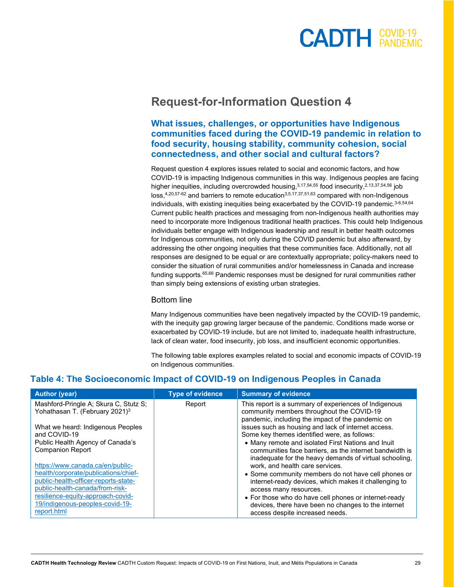#### **Request-for-Information Question 4**

#### **What issues, challenges, or opportunities have Indigenous communities faced during the COVID-19 pandemic in relation to food security, housing stability, community cohesion, social connectedness, and other social and cultural factors?**

Request question 4 explores issues related to social and economic factors, and how COVID-19 is impacting Indigenous communities in this way. Indigenous peoples are facing higher inequities, including overcrowded housing,  $3,17,54,55$  food insecurity,  $2,13,37,54,56$  job  $loss<sub>1</sub><sup>4,20,57-62</sup>$  and barriers to remote education<sup>3,5,17,37,51,63</sup> compared with non-Indigenous individuals, with existing inequities being exacerbated by the COVID-19 pandemic.<sup>3-6,54,64</sup> Current public health practices and messaging from non-Indigenous health authorities may need to incorporate more Indigenous traditional health practices. This could help Indigenous individuals better engage with Indigenous leadership and result in better health outcomes for Indigenous communities, not only during the COVID pandemic but also afterward, by addressing the other ongoing inequities that these communities face. Additionally, not all responses are designed to be equal or are contextually appropriate; policy-makers need to consider the situation of rural communities and/or homelessness in Canada and increase funding supports. 65,66 Pandemic responses must be designed for rural communities rather than simply being extensions of existing urban strategies.

#### Bottom line

Many Indigenous communities have been negatively impacted by the COVID-19 pandemic, with the inequity gap growing larger because of the pandemic. Conditions made worse or exacerbated by COVID-19 include, but are not limited to, inadequate health infrastructure, lack of clean water, food insecurity, job loss, and insufficient economic opportunities.

The following table explores examples related to social and economic impacts of COVID-19 on Indigenous communities.

#### **Table 4: The Socioeconomic Impact of COVID-19 on Indigenous Peoples in Canada**

| <b>Author (year)</b>                       | <b>Type of evidence</b> | <b>Summary of evidence</b>                                                                                        |
|--------------------------------------------|-------------------------|-------------------------------------------------------------------------------------------------------------------|
| Mashford-Pringle A; Skura C, Stutz S;      | Report                  | This report is a summary of experiences of Indigenous                                                             |
| Yohathasan T. (February 2021) <sup>3</sup> |                         | community members throughout the COVID-19                                                                         |
| What we heard: Indigenous Peoples          |                         | pandemic, including the impact of the pandemic on<br>issues such as housing and lack of internet access.          |
| and COVID-19                               |                         | Some key themes identified were, as follows:                                                                      |
| Public Health Agency of Canada's           |                         | • Many remote and isolated First Nations and Inuit                                                                |
| <b>Companion Report</b>                    |                         | communities face barriers, as the internet bandwidth is<br>inadequate for the heavy demands of virtual schooling, |
| https://www.canada.ca/en/public-           |                         | work, and health care services.                                                                                   |
| health/corporate/publications/chief-       |                         | • Some community members do not have cell phones or                                                               |
| public-health-officer-reports-state-       |                         | internet-ready devices, which makes it challenging to                                                             |
| public-health-canada/from-risk-            |                         | access many resources.                                                                                            |
| resilience-equity-approach-covid-          |                         | • For those who do have cell phones or internet-ready                                                             |
| 19/indigenous-peoples-covid-19-            |                         | devices, there have been no changes to the internet                                                               |
| report.html                                |                         | access despite increased needs.                                                                                   |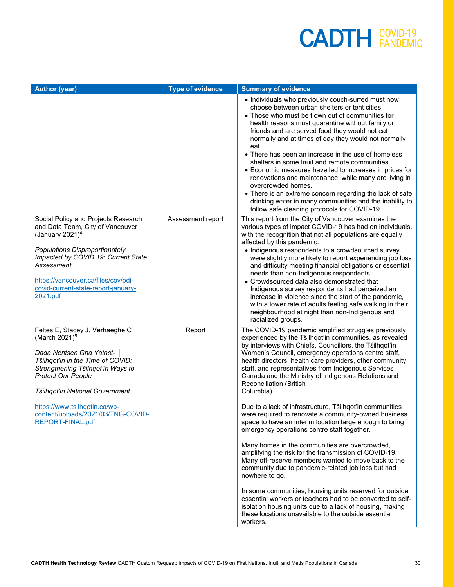| <b>Author (year)</b>                                                                                                                                                                                                                                                                                                            | <b>Type of evidence</b> | <b>Summary of evidence</b>                                                                                                                                                                                                                                                                                                                                                                                                                                                                                                                                                                                                                                                                                                                                                                                                                                                                                                                                                                                                                                                                                                                                                            |
|---------------------------------------------------------------------------------------------------------------------------------------------------------------------------------------------------------------------------------------------------------------------------------------------------------------------------------|-------------------------|---------------------------------------------------------------------------------------------------------------------------------------------------------------------------------------------------------------------------------------------------------------------------------------------------------------------------------------------------------------------------------------------------------------------------------------------------------------------------------------------------------------------------------------------------------------------------------------------------------------------------------------------------------------------------------------------------------------------------------------------------------------------------------------------------------------------------------------------------------------------------------------------------------------------------------------------------------------------------------------------------------------------------------------------------------------------------------------------------------------------------------------------------------------------------------------|
|                                                                                                                                                                                                                                                                                                                                 |                         | • Individuals who previously couch-surfed must now<br>choose between urban shelters or tent cities.<br>• Those who must be flown out of communities for<br>health reasons must quarantine without family or<br>friends and are served food they would not eat<br>normally and at times of day they would not normally<br>eat.<br>• There has been an increase in the use of homeless<br>shelters in some Inuit and remote communities.<br>• Economic measures have led to increases in prices for<br>renovations and maintenance, while many are living in<br>overcrowded homes.<br>• There is an extreme concern regarding the lack of safe<br>drinking water in many communities and the inability to<br>follow safe cleaning protocols for COVID-19.                                                                                                                                                                                                                                                                                                                                                                                                                               |
| Social Policy and Projects Research<br>and Data Team, City of Vancouver<br>(January 2021) $4$<br>Populations Disproportionately<br>Impacted by COVID 19: Current State<br>Assessment<br>https://vancouver.ca/files/cov/pdi-<br>covid-current-state-report-january-<br>2021.pdf                                                  | Assessment report       | This report from the City of Vancouver examines the<br>various types of impact COVID-19 has had on individuals,<br>with the recognition that not all populations are equally<br>affected by this pandemic.<br>• Indigenous respondents to a crowdsourced survey<br>were slightly more likely to report experiencing job loss<br>and difficulty meeting financial obligations or essential<br>needs than non-Indigenous respondents.<br>• Crowdsourced data also demonstrated that<br>Indigenous survey respondents had perceived an<br>increase in violence since the start of the pandemic,<br>with a lower rate of adults feeling safe walking in their<br>neighbourhood at night than non-Indigenous and<br>racialized groups.                                                                                                                                                                                                                                                                                                                                                                                                                                                     |
| Feltes E, Stacey J, Verhaeghe C<br>(March 2021) <sup>5</sup><br>Dada Nentsen Gha Yatast-+<br>Tŝilhqot'in in the Time of COVID:<br>Strengthening Tŝilhqot'in Ways to<br><b>Protect Our People</b><br>Tŝilhqot'in National Government.<br>https://www.tsilhqotin.ca/wp-<br>content/uploads/2021/03/TNG-COVID-<br>REPORT-FINAL.pdf | Report                  | The COVID-19 pandemic amplified struggles previously<br>experienced by the Tŝilhqot'in communities, as revealed<br>by interviews with Chiefs, Councillors, the Tsilhqot'in<br>Women's Council, emergency operations centre staff,<br>health directors, health care providers, other community<br>staff, and representatives from Indigenous Services<br>Canada and the Ministry of Indigenous Relations and<br>Reconciliation (British<br>Columbia).<br>Due to a lack of infrastructure, Tŝilhqot'in communities<br>were required to renovate a community-owned business<br>space to have an interim location large enough to bring<br>emergency operations centre staff together.<br>Many homes in the communities are overcrowded,<br>amplifying the risk for the transmission of COVID-19.<br>Many off-reserve members wanted to move back to the<br>community due to pandemic-related job loss but had<br>nowhere to go.<br>In some communities, housing units reserved for outside<br>essential workers or teachers had to be converted to self-<br>isolation housing units due to a lack of housing, making<br>these locations unavailable to the outside essential<br>workers. |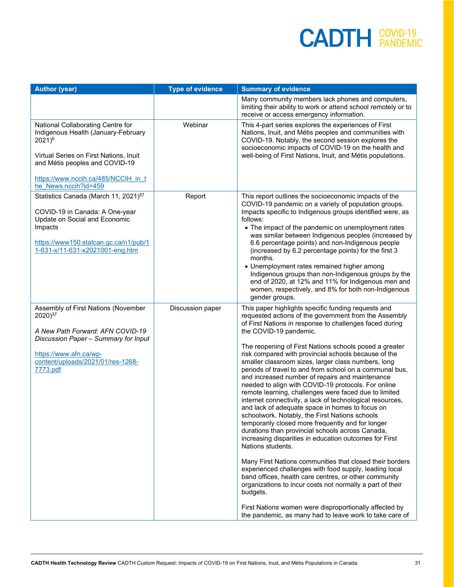| <b>Type of evidence</b> | <b>Summary of evidence</b>                                                                                                                                                                                                                                                                                                                                                                                                                                                                                                                                                                                                                                                                                                                                                                                                                                                                                                                                                                                                                                                                                                                                                                                                                                                                                                                      |
|-------------------------|-------------------------------------------------------------------------------------------------------------------------------------------------------------------------------------------------------------------------------------------------------------------------------------------------------------------------------------------------------------------------------------------------------------------------------------------------------------------------------------------------------------------------------------------------------------------------------------------------------------------------------------------------------------------------------------------------------------------------------------------------------------------------------------------------------------------------------------------------------------------------------------------------------------------------------------------------------------------------------------------------------------------------------------------------------------------------------------------------------------------------------------------------------------------------------------------------------------------------------------------------------------------------------------------------------------------------------------------------|
|                         | Many community members lack phones and computers,<br>limiting their ability to work or attend school remotely or to<br>receive or access emergency information.                                                                                                                                                                                                                                                                                                                                                                                                                                                                                                                                                                                                                                                                                                                                                                                                                                                                                                                                                                                                                                                                                                                                                                                 |
| Webinar                 | This 4-part series explores the experiences of First<br>Nations, Inuit, and Métis peoples and communities with<br>COVID-19. Notably, the second session explores the<br>socioeconomic impacts of COVID-19 on the health and<br>well-being of First Nations, Inuit, and Métis populations.                                                                                                                                                                                                                                                                                                                                                                                                                                                                                                                                                                                                                                                                                                                                                                                                                                                                                                                                                                                                                                                       |
| Report                  | This report outlines the socioeconomic impacts of the<br>COVID-19 pandemic on a variety of population groups.<br>Impacts specific to Indigenous groups identified were, as<br>follows:<br>• The impact of the pandemic on unemployment rates<br>was similar between Indigenous peoples (increased by<br>6.6 percentage points) and non-Indigenous people<br>(increased by 6.2 percentage points) for the first 3<br>months.<br>• Unemployment rates remained higher among<br>Indigenous groups than non-Indigenous groups by the<br>end of 2020, at 12% and 11% for Indigenous men and<br>women, respectively, and 8% for both non-Indigenous<br>gender groups.                                                                                                                                                                                                                                                                                                                                                                                                                                                                                                                                                                                                                                                                                 |
|                         | This paper highlights specific funding requests and<br>requested actions of the government from the Assembly<br>of First Nations in response to challenges faced during<br>the COVID-19 pandemic.<br>The reopening of First Nations schools posed a greater<br>risk compared with provincial schools because of the<br>smaller classroom sizes, larger class numbers, long<br>periods of travel to and from school on a communal bus,<br>and increased number of repairs and maintenance<br>needed to align with COVID-19 protocols. For online<br>remote learning, challenges were faced due to limited<br>internet connectivity, a lack of technological resources,<br>and lack of adequate space in homes to focus on<br>schoolwork. Notably, the First Nations schools<br>temporarily closed more frequently and for longer<br>durations than provincial schools across Canada,<br>increasing disparities in education outcomes for First<br>Nations students.<br>Many First Nations communities that closed their borders<br>experienced challenges with food supply, leading local<br>band offices, health care centres, or other community<br>organizations to incur costs not normally a part of their<br>budgets.<br>First Nations women were disproportionally affected by<br>the pandemic, as many had to leave work to take care of |
|                         | Discussion paper                                                                                                                                                                                                                                                                                                                                                                                                                                                                                                                                                                                                                                                                                                                                                                                                                                                                                                                                                                                                                                                                                                                                                                                                                                                                                                                                |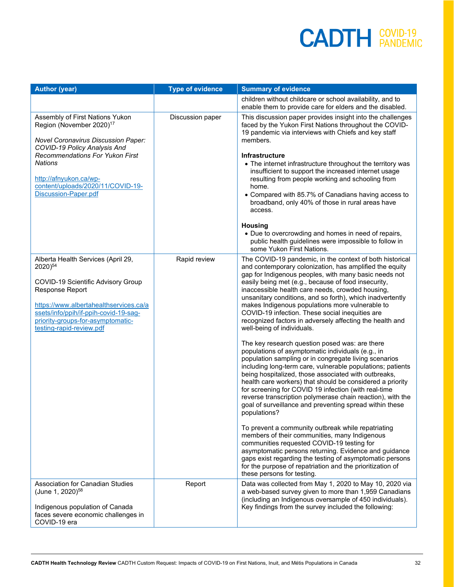| <b>Author (year)</b>                                                                                                                                                                                                                                                          | <b>Type of evidence</b> | <b>Summary of evidence</b>                                                                                                                                                                                                                                                                                                                                                                                                                                                                                                                                                                                                                                                                                           |
|-------------------------------------------------------------------------------------------------------------------------------------------------------------------------------------------------------------------------------------------------------------------------------|-------------------------|----------------------------------------------------------------------------------------------------------------------------------------------------------------------------------------------------------------------------------------------------------------------------------------------------------------------------------------------------------------------------------------------------------------------------------------------------------------------------------------------------------------------------------------------------------------------------------------------------------------------------------------------------------------------------------------------------------------------|
|                                                                                                                                                                                                                                                                               |                         | children without childcare or school availability, and to<br>enable them to provide care for elders and the disabled.                                                                                                                                                                                                                                                                                                                                                                                                                                                                                                                                                                                                |
| Assembly of First Nations Yukon<br>Region (November 2020) <sup>17</sup><br><b>Novel Coronavirus Discussion Paper:</b><br>COVID-19 Policy Analysis And<br><b>Recommendations For Yukon First</b><br><b>Nations</b>                                                             | Discussion paper        | This discussion paper provides insight into the challenges<br>faced by the Yukon First Nations throughout the COVID-<br>19 pandemic via interviews with Chiefs and key staff<br>members.<br>Infrastructure<br>• The internet infrastructure throughout the territory was                                                                                                                                                                                                                                                                                                                                                                                                                                             |
| http://afnyukon.ca/wp-<br>content/uploads/2020/11/COVID-19-<br>Discussion-Paper.pdf                                                                                                                                                                                           |                         | insufficient to support the increased internet usage<br>resulting from people working and schooling from<br>home.<br>• Compared with 85.7% of Canadians having access to<br>broadband, only 40% of those in rural areas have<br>access.                                                                                                                                                                                                                                                                                                                                                                                                                                                                              |
|                                                                                                                                                                                                                                                                               |                         | <b>Housing</b><br>• Due to overcrowding and homes in need of repairs,<br>public health guidelines were impossible to follow in<br>some Yukon First Nations.                                                                                                                                                                                                                                                                                                                                                                                                                                                                                                                                                          |
| Alberta Health Services (April 29,<br>2020) <sup>54</sup><br>COVID-19 Scientific Advisory Group<br><b>Response Report</b><br>https://www.albertahealthservices.ca/a<br>ssets/info/ppih/if-ppih-covid-19-sag-<br>priority-groups-for-asymptomatic-<br>testing-rapid-review.pdf | Rapid review            | The COVID-19 pandemic, in the context of both historical<br>and contemporary colonization, has amplified the equity<br>gap for Indigenous peoples, with many basic needs not<br>easily being met (e.g., because of food insecurity,<br>inaccessible health care needs, crowded housing,<br>unsanitary conditions, and so forth), which inadvertently<br>makes Indigenous populations more vulnerable to<br>COVID-19 infection. These social inequities are<br>recognized factors in adversely affecting the health and<br>well-being of individuals.<br>The key research question posed was: are there<br>populations of asymptomatic individuals (e.g., in<br>population sampling or in congregate living scenarios |
|                                                                                                                                                                                                                                                                               |                         | including long-term care, vulnerable populations; patients<br>being hospitalized, those associated with outbreaks,<br>health care workers) that should be considered a priority<br>for screening for COVID 19 infection (with real-time<br>reverse transcription polymerase chain reaction), with the<br>goal of surveillance and preventing spread within these<br>populations?                                                                                                                                                                                                                                                                                                                                     |
|                                                                                                                                                                                                                                                                               |                         | To prevent a community outbreak while repatriating<br>members of their communities, many Indigenous<br>communities requested COVID-19 testing for<br>asymptomatic persons returning. Evidence and guidance<br>gaps exist regarding the testing of asymptomatic persons<br>for the purpose of repatriation and the prioritization of<br>these persons for testing.                                                                                                                                                                                                                                                                                                                                                    |
| <b>Association for Canadian Studies</b><br>(June 1, 2020) <sup>58</sup><br>Indigenous population of Canada<br>faces severe economic challenges in<br>COVID-19 era                                                                                                             | Report                  | Data was collected from May 1, 2020 to May 10, 2020 via<br>a web-based survey given to more than 1,959 Canadians<br>(including an Indigenous oversample of 450 individuals).<br>Key findings from the survey included the following:                                                                                                                                                                                                                                                                                                                                                                                                                                                                                 |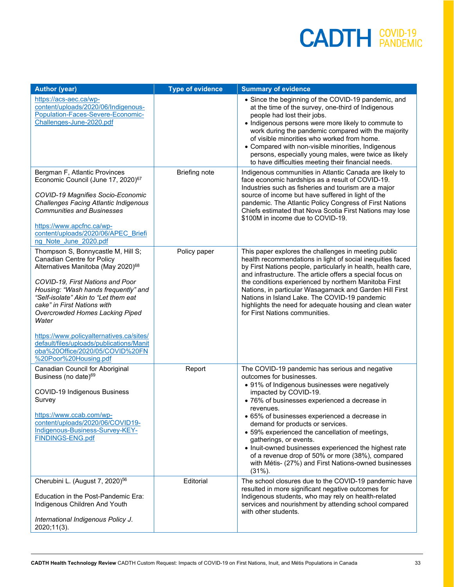| <b>Author (year)</b>                                                                                                                                                                                                                                                                                                                                                                                                                                                  | <b>Type of evidence</b> | <b>Summary of evidence</b>                                                                                                                                                                                                                                                                                                                                                                                                                                                                                                                                             |
|-----------------------------------------------------------------------------------------------------------------------------------------------------------------------------------------------------------------------------------------------------------------------------------------------------------------------------------------------------------------------------------------------------------------------------------------------------------------------|-------------------------|------------------------------------------------------------------------------------------------------------------------------------------------------------------------------------------------------------------------------------------------------------------------------------------------------------------------------------------------------------------------------------------------------------------------------------------------------------------------------------------------------------------------------------------------------------------------|
| https://acs-aec.ca/wp-<br>content/uploads/2020/06/Indigenous-<br>Population-Faces-Severe-Economic-<br>Challenges-June-2020.pdf                                                                                                                                                                                                                                                                                                                                        |                         | • Since the beginning of the COVID-19 pandemic, and<br>at the time of the survey, one-third of Indigenous<br>people had lost their jobs.<br>• Indigenous persons were more likely to commute to<br>work during the pandemic compared with the majority<br>of visible minorities who worked from home.<br>• Compared with non-visible minorities, Indigenous<br>persons, especially young males, were twice as likely<br>to have difficulties meeting their financial needs.                                                                                            |
| Bergman F, Atlantic Provinces<br>Economic Council (June 17, 2020) <sup>67</sup><br>COVID-19 Magnifies Socio-Economic<br>Challenges Facing Atlantic Indigenous<br><b>Communities and Businesses</b><br>https://www.apcfnc.ca/wp-<br>content/uploads/2020/06/APEC Briefi<br>ng Note June 2020.pdf                                                                                                                                                                       | <b>Briefing note</b>    | Indigenous communities in Atlantic Canada are likely to<br>face economic hardships as a result of COVID-19.<br>Industries such as fisheries and tourism are a major<br>source of income but have suffered in light of the<br>pandemic. The Atlantic Policy Congress of First Nations<br>Chiefs estimated that Nova Scotia First Nations may lose<br>\$100M in income due to COVID-19.                                                                                                                                                                                  |
| Thompson S, Bonnycastle M, Hill S;<br>Canadian Centre for Policy<br>Alternatives Manitoba (May 2020) <sup>68</sup><br>COVID-19, First Nations and Poor<br>Housing: "Wash hands frequently" and<br>"Self-isolate" Akin to "Let them eat<br>cake" in First Nations with<br>Overcrowded Homes Lacking Piped<br>Water<br>https://www.policyalternatives.ca/sites/<br>default/files/uploads/publications/Manit<br>oba%20Office/2020/05/COVID%20FN<br>%20Poor%20Housing.pdf | Policy paper            | This paper explores the challenges in meeting public<br>health recommendations in light of social inequities faced<br>by First Nations people, particularly in health, health care,<br>and infrastructure. The article offers a special focus on<br>the conditions experienced by northern Manitoba First<br>Nations, in particular Wasagamack and Garden Hill First<br>Nations in Island Lake. The COVID-19 pandemic<br>highlights the need for adequate housing and clean water<br>for First Nations communities.                                                    |
| Canadian Council for Aboriginal<br>Business (no date) <sup>69</sup><br>COVID-19 Indigenous Business<br>Survey<br>https://www.ccab.com/wp-<br>content/uploads/2020/06/COVID19-<br>Indigenous-Business-Survey-KEY-<br>FINDINGS-ENG.pdf                                                                                                                                                                                                                                  | Report                  | The COVID-19 pandemic has serious and negative<br>outcomes for businesses.<br>• 91% of Indigenous businesses were negatively<br>impacted by COVID-19.<br>• 76% of businesses experienced a decrease in<br>revenues.<br>65% of businesses experienced a decrease in<br>demand for products or services.<br>• 59% experienced the cancellation of meetings,<br>gatherings, or events.<br>• Inuit-owned businesses experienced the highest rate<br>of a revenue drop of 50% or more (38%), compared<br>with Métis- (27%) and First Nations-owned businesses<br>$(31\%)$ . |
| Cherubini L. (August 7, 2020) <sup>56</sup><br>Education in the Post-Pandemic Era:<br>Indigenous Children And Youth<br>International Indigenous Policy J.<br>2020;11(3).                                                                                                                                                                                                                                                                                              | Editorial               | The school closures due to the COVID-19 pandemic have<br>resulted in more significant negative outcomes for<br>Indigenous students, who may rely on health-related<br>services and nourishment by attending school compared<br>with other students.                                                                                                                                                                                                                                                                                                                    |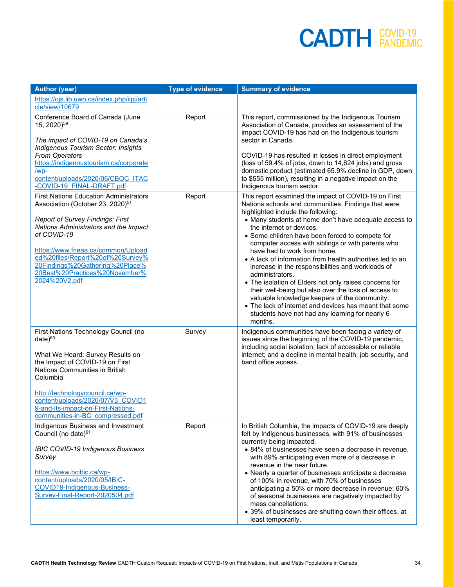| <b>Author (year)</b>                                                                                                                                                                                                                                                                                                                                             | <b>Type of evidence</b> | <b>Summary of evidence</b>                                                                                                                                                                                                                                                                                                                                                                                                                                                                                                                                                                                                                                                                                                                                                                                   |
|------------------------------------------------------------------------------------------------------------------------------------------------------------------------------------------------------------------------------------------------------------------------------------------------------------------------------------------------------------------|-------------------------|--------------------------------------------------------------------------------------------------------------------------------------------------------------------------------------------------------------------------------------------------------------------------------------------------------------------------------------------------------------------------------------------------------------------------------------------------------------------------------------------------------------------------------------------------------------------------------------------------------------------------------------------------------------------------------------------------------------------------------------------------------------------------------------------------------------|
| https://ojs.lib.uwo.ca/index.php/iipj/arti<br>cle/view/10679                                                                                                                                                                                                                                                                                                     |                         |                                                                                                                                                                                                                                                                                                                                                                                                                                                                                                                                                                                                                                                                                                                                                                                                              |
| Conference Board of Canada (June<br>15, 2020) <sup>59</sup><br>The impact of COVID-19 on Canada's<br>Indigenous Tourism Sector: Insights<br>From Operators                                                                                                                                                                                                       | Report                  | This report, commissioned by the Indigenous Tourism<br>Association of Canada, provides an assessment of the<br>impact COVID-19 has had on the Indigenous tourism<br>sector in Canada.<br>COVID-19 has resulted in losses in direct employment                                                                                                                                                                                                                                                                                                                                                                                                                                                                                                                                                                |
| https://indigenoustourism.ca/corporate<br>$/wp-$<br>content/uploads/2020/06/CBOC ITAC<br>-COVID-19 FINAL-DRAFT.pdf                                                                                                                                                                                                                                               |                         | (loss of 59.4% of jobs, down to 14,624 jobs) and gross<br>domestic product (estimated 65.9% decline in GDP, down<br>to \$555 million), resulting in a negative impact on the<br>Indigenous tourism sector.                                                                                                                                                                                                                                                                                                                                                                                                                                                                                                                                                                                                   |
| <b>First Nations Education Administrators</b><br>Association (October 23, 2020) <sup>51</sup><br><b>Report of Survey Findings: First</b><br>Nations Administrators and the Impact<br>of COVID-19<br>https://www.fneaa.ca/common/Upload<br>ed%20files/Report%20of%20Survey%<br>20Findings%20Gathering%20Place%<br>20Best%20Practices%20November%<br>2024%20V2.pdf | Report                  | This report examined the impact of COVID-19 on First<br>Nations schools and communities. Findings that were<br>highlighted include the following:<br>• Many students at home don't have adequate access to<br>the internet or devices.<br>• Some children have been forced to compete for<br>computer access with siblings or with parents who<br>have had to work from home.<br>• A lack of information from health authorities led to an<br>increase in the responsibilities and workloads of<br>administrators.<br>• The isolation of Elders not only raises concerns for<br>their well-being but also over the loss of access to<br>valuable knowledge keepers of the community.<br>• The lack of internet and devices has meant that some<br>students have not had any learning for nearly 6<br>months. |
| First Nations Technology Council (no<br>$date)^{60}$<br>What We Heard: Survey Results on<br>the Impact of COVID-19 on First<br>Nations Communities in British<br>Columbia<br>http://technologycouncil.ca/wp-<br>content/uploads/2020/07/V3 COVID1<br>9-and-its-impact-on-First-Nations-<br>communities-in-BC compressed.pdf                                      | Survey                  | Indigenous communities have been facing a variety of<br>issues since the beginning of the COVID-19 pandemic,<br>including social isolation; lack of accessible or reliable<br>internet; and a decline in mental health, job security, and<br>band office access.                                                                                                                                                                                                                                                                                                                                                                                                                                                                                                                                             |
| Indigenous Business and Investment<br>Council (no date) $61$<br><b>IBIC COVID-19 Indigenous Business</b><br>Survey<br>https://www.bcibic.ca/wp-<br>content/uploads/2020/05/IBIC-<br>COVID19-Indigenous-Business-<br>Survey-Final-Report-2020504.pdf                                                                                                              | Report                  | In British Columbia, the impacts of COVID-19 are deeply<br>felt by Indigenous businesses, with 91% of businesses<br>currently being impacted.<br>• 84% of businesses have seen a decrease in revenue,<br>with 89% anticipating even more of a decrease in<br>revenue in the near future.<br>• Nearly a quarter of businesses anticipate a decrease<br>of 100% in revenue, with 70% of businesses<br>anticipating a 50% or more decrease in revenue; 60%<br>of seasonal businesses are negatively impacted by<br>mass cancellations.<br>• 39% of businesses are shutting down their offices, at<br>least temporarily.                                                                                                                                                                                         |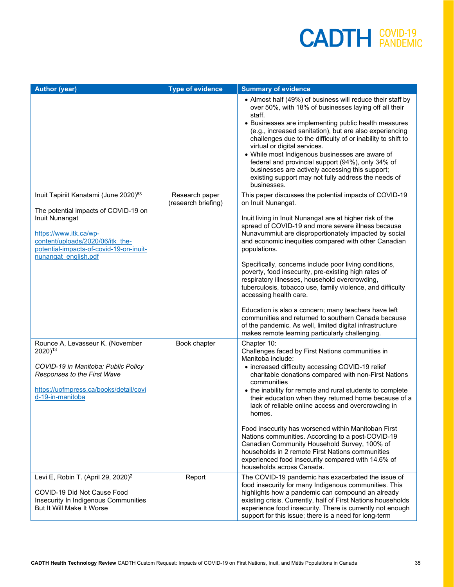| <b>Author (year)</b>                                                                                                                                                                    | <b>Type of evidence</b>               | <b>Summary of evidence</b>                                                                                                                                                                                                                                                                                                                                                                                                                                                                                                                                                        |
|-----------------------------------------------------------------------------------------------------------------------------------------------------------------------------------------|---------------------------------------|-----------------------------------------------------------------------------------------------------------------------------------------------------------------------------------------------------------------------------------------------------------------------------------------------------------------------------------------------------------------------------------------------------------------------------------------------------------------------------------------------------------------------------------------------------------------------------------|
|                                                                                                                                                                                         |                                       | • Almost half (49%) of business will reduce their staff by<br>over 50%, with 18% of businesses laying off all their<br>staff.<br>• Businesses are implementing public health measures<br>(e.g., increased sanitation), but are also experiencing<br>challenges due to the difficulty of or inability to shift to<br>virtual or digital services.<br>• While most Indigenous businesses are aware of<br>federal and provincial support (94%), only 34% of<br>businesses are actively accessing this support;<br>existing support may not fully address the needs of<br>businesses. |
| Inuit Tapiriit Kanatami (June 2020) <sup>63</sup>                                                                                                                                       | Research paper<br>(research briefing) | This paper discusses the potential impacts of COVID-19<br>on Inuit Nunangat.                                                                                                                                                                                                                                                                                                                                                                                                                                                                                                      |
| The potential impacts of COVID-19 on<br>Inuit Nunangat<br>https://www.itk.ca/wp-<br>content/uploads/2020/06/itk the-<br>potential-impacts-of-covid-19-on-inuit-<br>nunangat english.pdf |                                       | Inuit living in Inuit Nunangat are at higher risk of the<br>spread of COVID-19 and more severe illness because<br>Nunavummiut are disproportionately impacted by social<br>and economic inequities compared with other Canadian<br>populations.                                                                                                                                                                                                                                                                                                                                   |
|                                                                                                                                                                                         |                                       | Specifically, concerns include poor living conditions,<br>poverty, food insecurity, pre-existing high rates of<br>respiratory illnesses, household overcrowding,<br>tuberculosis, tobacco use, family violence, and difficulty<br>accessing health care.                                                                                                                                                                                                                                                                                                                          |
|                                                                                                                                                                                         |                                       | Education is also a concern; many teachers have left<br>communities and returned to southern Canada because<br>of the pandemic. As well, limited digital infrastructure<br>makes remote learning particularly challenging.                                                                                                                                                                                                                                                                                                                                                        |
| Rounce A, Levasseur K. (November<br>2020) <sup>13</sup><br>COVID-19 in Manitoba: Public Policy<br>Responses to the First Wave<br>https://uofmpress.ca/books/detail/covi                 | Book chapter                          | Chapter 10:<br>Challenges faced by First Nations communities in<br>Manitoba include:<br>• increased difficulty accessing COVID-19 relief<br>charitable donations compared with non-First Nations<br>communities<br>• the inability for remote and rural students to complete                                                                                                                                                                                                                                                                                                      |
| d-19-in-manitoba                                                                                                                                                                        |                                       | their education when they returned home because of a<br>lack of reliable online access and overcrowding in<br>homes.                                                                                                                                                                                                                                                                                                                                                                                                                                                              |
|                                                                                                                                                                                         |                                       | Food insecurity has worsened within Manitoban First<br>Nations communities. According to a post-COVID-19<br>Canadian Community Household Survey, 100% of<br>households in 2 remote First Nations communities<br>experienced food insecurity compared with 14.6% of<br>households across Canada.                                                                                                                                                                                                                                                                                   |
| Levi E, Robin T. (April 29, 2020) <sup>2</sup><br>COVID-19 Did Not Cause Food<br>Insecurity In Indigenous Communities<br>But It Will Make It Worse                                      | Report                                | The COVID-19 pandemic has exacerbated the issue of<br>food insecurity for many Indigenous communities. This<br>highlights how a pandemic can compound an already<br>existing crisis. Currently, half of First Nations households<br>experience food insecurity. There is currently not enough<br>support for this issue; there is a need for long-term                                                                                                                                                                                                                            |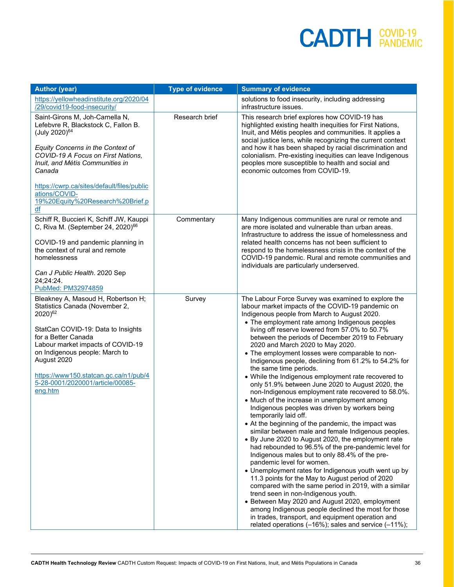| <b>Author (year)</b>                                                                                                                                                                                                                                                                                                                   | <b>Type of evidence</b> | <b>Summary of evidence</b>                                                                                                                                                                                                                                                                                                                                                                                                                                                                                                                                                                                                                                                                                                                                                                                                                                                                                                                                                                                                                                                                                                                                                                                                                                                                                                                                                                                                                                                                                                        |
|----------------------------------------------------------------------------------------------------------------------------------------------------------------------------------------------------------------------------------------------------------------------------------------------------------------------------------------|-------------------------|-----------------------------------------------------------------------------------------------------------------------------------------------------------------------------------------------------------------------------------------------------------------------------------------------------------------------------------------------------------------------------------------------------------------------------------------------------------------------------------------------------------------------------------------------------------------------------------------------------------------------------------------------------------------------------------------------------------------------------------------------------------------------------------------------------------------------------------------------------------------------------------------------------------------------------------------------------------------------------------------------------------------------------------------------------------------------------------------------------------------------------------------------------------------------------------------------------------------------------------------------------------------------------------------------------------------------------------------------------------------------------------------------------------------------------------------------------------------------------------------------------------------------------------|
| https://yellowheadinstitute.org/2020/04<br>/29/covid19-food-insecurity/                                                                                                                                                                                                                                                                |                         | solutions to food insecurity, including addressing<br>infrastructure issues.                                                                                                                                                                                                                                                                                                                                                                                                                                                                                                                                                                                                                                                                                                                                                                                                                                                                                                                                                                                                                                                                                                                                                                                                                                                                                                                                                                                                                                                      |
| Saint-Girons M, Joh-Carnella N,<br>Lefebvre R, Blackstock C, Fallon B.<br>(July 2020) <sup>64</sup><br>Equity Concerns in the Context of<br>COVID-19 A Focus on First Nations,<br>Inuit, and Métis Communities in<br>Canada<br>https://cwrp.ca/sites/default/files/public<br>ations/COVID-<br>19%20Equity%20Research%20Brief.p         | Research brief          | This research brief explores how COVID-19 has<br>highlighted existing health inequities for First Nations,<br>Inuit, and Métis peoples and communities. It applies a<br>social justice lens, while recognizing the current context<br>and how it has been shaped by racial discrimination and<br>colonialism. Pre-existing inequities can leave Indigenous<br>peoples more susceptible to health and social and<br>economic outcomes from COVID-19.                                                                                                                                                                                                                                                                                                                                                                                                                                                                                                                                                                                                                                                                                                                                                                                                                                                                                                                                                                                                                                                                               |
| df                                                                                                                                                                                                                                                                                                                                     |                         |                                                                                                                                                                                                                                                                                                                                                                                                                                                                                                                                                                                                                                                                                                                                                                                                                                                                                                                                                                                                                                                                                                                                                                                                                                                                                                                                                                                                                                                                                                                                   |
| Schiff R, Buccieri K, Schiff JW, Kauppi<br>C, Riva M. (September 24, 2020) <sup>66</sup><br>COVID-19 and pandemic planning in<br>the context of rural and remote<br>homelessness<br>Can J Public Health. 2020 Sep<br>24;24:24.                                                                                                         | Commentary              | Many Indigenous communities are rural or remote and<br>are more isolated and vulnerable than urban areas.<br>Infrastructure to address the issue of homelessness and<br>related health concerns has not been sufficient to<br>respond to the homelessness crisis in the context of the<br>COVID-19 pandemic. Rural and remote communities and<br>individuals are particularly underserved.                                                                                                                                                                                                                                                                                                                                                                                                                                                                                                                                                                                                                                                                                                                                                                                                                                                                                                                                                                                                                                                                                                                                        |
| PubMed: PM32974859                                                                                                                                                                                                                                                                                                                     |                         |                                                                                                                                                                                                                                                                                                                                                                                                                                                                                                                                                                                                                                                                                                                                                                                                                                                                                                                                                                                                                                                                                                                                                                                                                                                                                                                                                                                                                                                                                                                                   |
| Bleakney A, Masoud H, Robertson H;<br>Statistics Canada (November 2,<br>2020) <sup>62</sup><br>StatCan COVID-19: Data to Insights<br>for a Better Canada<br>Labour market impacts of COVID-19<br>on Indigenous people: March to<br>August 2020<br>https://www150.statcan.gc.ca/n1/pub/4<br>5-28-0001/2020001/article/00085-<br>eng.htm | Survey                  | The Labour Force Survey was examined to explore the<br>labour market impacts of the COVID-19 pandemic on<br>Indigenous people from March to August 2020.<br>• The employment rate among Indigenous peoples<br>living off reserve lowered from 57.0% to 50.7%<br>between the periods of December 2019 to February<br>2020 and March 2020 to May 2020.<br>• The employment losses were comparable to non-<br>Indigenous people, declining from 61.2% to 54.2% for<br>the same time periods.<br>• While the Indigenous employment rate recovered to<br>only 51.9% between June 2020 to August 2020, the<br>non-Indigenous employment rate recovered to 58.0%.<br>• Much of the increase in unemployment among<br>Indigenous peoples was driven by workers being<br>temporarily laid off.<br>• At the beginning of the pandemic, the impact was<br>similar between male and female Indigenous peoples.<br>• By June 2020 to August 2020, the employment rate<br>had rebounded to 96.5% of the pre-pandemic level for<br>Indigenous males but to only 88.4% of the pre-<br>pandemic level for women.<br>• Unemployment rates for Indigenous youth went up by<br>11.3 points for the May to August period of 2020<br>compared with the same period in 2019, with a similar<br>trend seen in non-Indigenous youth.<br>• Between May 2020 and August 2020, employment<br>among Indigenous people declined the most for those<br>in trades, transport, and equipment operation and<br>related operations (-16%); sales and service (-11%); |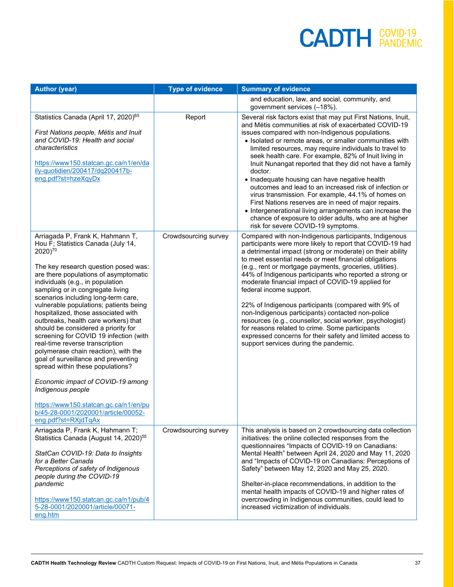| <b>Author (year)</b>                                                                                                                                                                                                                                                                                                                                                                                                                                                                                                                                                                                                                                                                                                                                                                                                           | <b>Type of evidence</b> | <b>Summary of evidence</b>                                                                                                                                                                                                                                                                                                                                                                                                                                                                                                                                                                                                                                                                                                                                                                                          |
|--------------------------------------------------------------------------------------------------------------------------------------------------------------------------------------------------------------------------------------------------------------------------------------------------------------------------------------------------------------------------------------------------------------------------------------------------------------------------------------------------------------------------------------------------------------------------------------------------------------------------------------------------------------------------------------------------------------------------------------------------------------------------------------------------------------------------------|-------------------------|---------------------------------------------------------------------------------------------------------------------------------------------------------------------------------------------------------------------------------------------------------------------------------------------------------------------------------------------------------------------------------------------------------------------------------------------------------------------------------------------------------------------------------------------------------------------------------------------------------------------------------------------------------------------------------------------------------------------------------------------------------------------------------------------------------------------|
|                                                                                                                                                                                                                                                                                                                                                                                                                                                                                                                                                                                                                                                                                                                                                                                                                                |                         | and education, law, and social, community, and<br>government services (-18%).                                                                                                                                                                                                                                                                                                                                                                                                                                                                                                                                                                                                                                                                                                                                       |
| Statistics Canada (April 17, 2020) <sup>65</sup><br>First Nations people, Métis and Inuit<br>and COVID-19: Health and social<br>characteristics<br>https://www150.statcan.gc.ca/n1/en/da<br>ily-quotidien/200417/dq200417b-<br>eng.pdf?st=hzeXqyDx                                                                                                                                                                                                                                                                                                                                                                                                                                                                                                                                                                             | Report                  | Several risk factors exist that may put First Nations, Inuit,<br>and Métis communities at risk of exacerbated COVID-19<br>issues compared with non-Indigenous populations.<br>• Isolated or remote areas, or smaller communities with<br>limited resources, may require individuals to travel to<br>seek health care. For example, 82% of Inuit living in<br>Inuit Nunangat reported that they did not have a family<br>doctor.<br>• Inadequate housing can have negative health<br>outcomes and lead to an increased risk of infection or<br>virus transmission. For example, 44.1% of homes on<br>First Nations reserves are in need of major repairs.<br>• Intergenerational living arrangements can increase the<br>chance of exposure to older adults, who are at higher<br>risk for severe COVID-19 symptoms. |
| Arriagada P, Frank K, Hahmann T,<br>Hou F; Statistics Canada (July 14,<br>2020) <sup>70</sup><br>The key research question posed was:<br>are there populations of asymptomatic<br>individuals (e.g., in population<br>sampling or in congregate living<br>scenarios including long-term care,<br>vulnerable populations; patients being<br>hospitalized, those associated with<br>outbreaks, health care workers) that<br>should be considered a priority for<br>screening for COVID 19 infection (with<br>real-time reverse transcription<br>polymerase chain reaction), with the<br>goal of surveillance and preventing<br>spread within these populations?<br>Economic impact of COVID-19 among<br>Indigenous people<br>https://www150.statcan.gc.ca/n1/en/pu<br>b/45-28-0001/2020001/article/00052-<br>eng.pdf?st=RXjdTqAx | Crowdsourcing survey    | Compared with non-Indigenous participants, Indigenous<br>participants were more likely to report that COVID-19 had<br>a detrimental impact (strong or moderate) on their ability<br>to meet essential needs or meet financial obligations<br>(e.g., rent or mortgage payments, groceries, utilities).<br>44% of Indigenous participants who reported a strong or<br>moderate financial impact of COVID-19 applied for<br>federal income support.<br>22% of Indigenous participants (compared with 9% of<br>non-Indigenous participants) contacted non-police<br>resources (e.g., counsellor, social worker, psychologist)<br>for reasons related to crime. Some participants<br>expressed concerns for their safety and limited access to<br>support services during the pandemic.                                  |
| Arriagada P, Frank K, Hahmann T;<br>Statistics Canada (August 14, 2020) <sup>55</sup><br>StatCan COVID-19: Data to Insights<br>for a Better Canada<br>Perceptions of safety of Indigenous<br>people during the COVID-19<br>pandemic<br>https://www150.statcan.gc.ca/n1/pub/4<br>5-28-0001/2020001/article/00071-<br>eng.htm                                                                                                                                                                                                                                                                                                                                                                                                                                                                                                    | Crowdsourcing survey    | This analysis is based on 2 crowdsourcing data collection<br>initiatives: the online collected responses from the<br>questionnaires "Impacts of COVID-19 on Canadians:<br>Mental Health" between April 24, 2020 and May 11, 2020<br>and "Impacts of COVID-19 on Canadians: Perceptions of<br>Safety" between May 12, 2020 and May 25, 2020.<br>Shelter-in-place recommendations, in addition to the<br>mental health impacts of COVID-19 and higher rates of<br>overcrowding in Indigenous communities, could lead to<br>increased victimization of individuals.                                                                                                                                                                                                                                                    |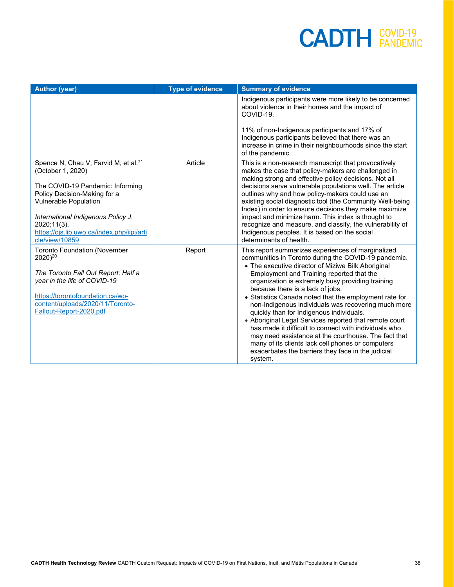| <b>Author (year)</b>                                                                                                                                                                                                                                                                              | <b>Type of evidence</b> | <b>Summary of evidence</b>                                                                                                                                                                                                                                                                                                                                                                                                                                                                                                                                                                                                                                                                                                                                           |
|---------------------------------------------------------------------------------------------------------------------------------------------------------------------------------------------------------------------------------------------------------------------------------------------------|-------------------------|----------------------------------------------------------------------------------------------------------------------------------------------------------------------------------------------------------------------------------------------------------------------------------------------------------------------------------------------------------------------------------------------------------------------------------------------------------------------------------------------------------------------------------------------------------------------------------------------------------------------------------------------------------------------------------------------------------------------------------------------------------------------|
|                                                                                                                                                                                                                                                                                                   |                         | Indigenous participants were more likely to be concerned<br>about violence in their homes and the impact of<br>COVID-19.                                                                                                                                                                                                                                                                                                                                                                                                                                                                                                                                                                                                                                             |
|                                                                                                                                                                                                                                                                                                   |                         | 11% of non-Indigenous participants and 17% of<br>Indigenous participants believed that there was an<br>increase in crime in their neighbourhoods since the start<br>of the pandemic.                                                                                                                                                                                                                                                                                                                                                                                                                                                                                                                                                                                 |
| Spence N, Chau V, Farvid M, et al. <sup>71</sup><br>(October 1, 2020)<br>The COVID-19 Pandemic: Informing<br>Policy Decision-Making for a<br><b>Vulnerable Population</b><br>International Indigenous Policy J.<br>$2020:11(3)$ .<br>https://ojs.lib.uwo.ca/index.php/iipj/arti<br>cle/view/10859 | Article                 | This is a non-research manuscript that provocatively<br>makes the case that policy-makers are challenged in<br>making strong and effective policy decisions. Not all<br>decisions serve vulnerable populations well. The article<br>outlines why and how policy-makers could use an<br>existing social diagnostic tool (the Community Well-being<br>Index) in order to ensure decisions they make maximize<br>impact and minimize harm. This index is thought to<br>recognize and measure, and classify, the vulnerability of<br>Indigenous peoples. It is based on the social<br>determinants of health.                                                                                                                                                            |
| <b>Toronto Foundation (November</b><br>2020) <sup>20</sup><br>The Toronto Fall Out Report: Half a<br>year in the life of COVID-19<br>https://torontofoundation.ca/wp-<br>content/uploads/2020/11/Toronto-<br>Fallout-Report-2020.pdf                                                              | Report                  | This report summarizes experiences of marginalized<br>communities in Toronto during the COVID-19 pandemic.<br>• The executive director of Miziwe Bilk Aboriginal<br>Employment and Training reported that the<br>organization is extremely busy providing training<br>because there is a lack of jobs.<br>• Statistics Canada noted that the employment rate for<br>non-Indigenous individuals was recovering much more<br>quickly than for Indigenous individuals.<br>• Aboriginal Legal Services reported that remote court<br>has made it difficult to connect with individuals who<br>may need assistance at the courthouse. The fact that<br>many of its clients lack cell phones or computers<br>exacerbates the barriers they face in the judicial<br>system. |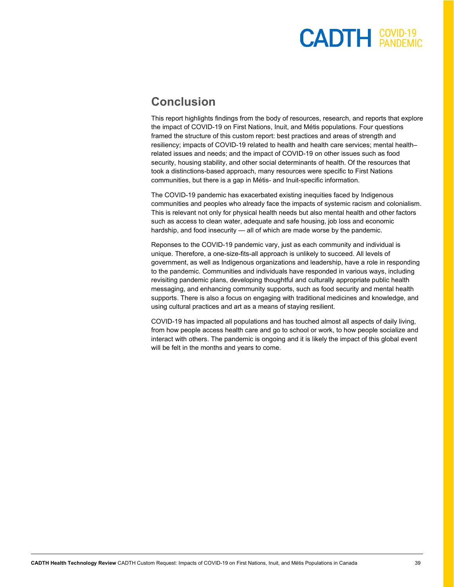#### **Conclusion**

This report highlights findings from the body of resources, research, and reports that explore the impact of COVID-19 on First Nations, Inuit, and Métis populations. Four questions framed the structure of this custom report: best practices and areas of strength and resiliency; impacts of COVID-19 related to health and health care services; mental health– related issues and needs; and the impact of COVID-19 on other issues such as food security, housing stability, and other social determinants of health. Of the resources that took a distinctions-based approach, many resources were specific to First Nations communities, but there is a gap in Métis- and Inuit-specific information.

The COVID-19 pandemic has exacerbated existing inequities faced by Indigenous communities and peoples who already face the impacts of systemic racism and colonialism. This is relevant not only for physical health needs but also mental health and other factors such as access to clean water, adequate and safe housing, job loss and economic hardship, and food insecurity — all of which are made worse by the pandemic.

Reponses to the COVID-19 pandemic vary, just as each community and individual is unique. Therefore, a one-size-fits-all approach is unlikely to succeed. All levels of government, as well as Indigenous organizations and leadership, have a role in responding to the pandemic. Communities and individuals have responded in various ways, including revisiting pandemic plans, developing thoughtful and culturally appropriate public health messaging, and enhancing community supports, such as food security and mental health supports. There is also a focus on engaging with traditional medicines and knowledge, and using cultural practices and art as a means of staying resilient.

COVID-19 has impacted all populations and has touched almost all aspects of daily living, from how people access health care and go to school or work, to how people socialize and interact with others. The pandemic is ongoing and it is likely the impact of this global event will be felt in the months and years to come.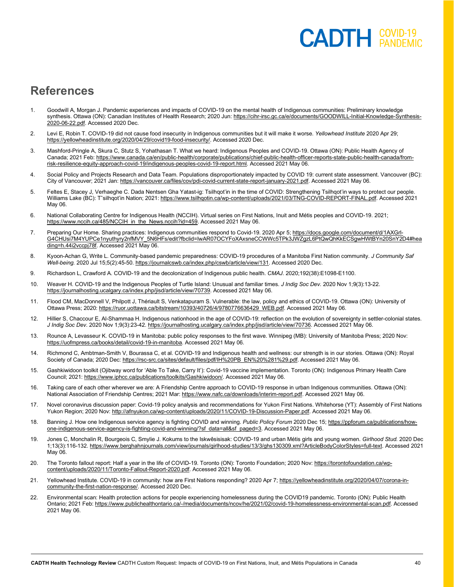#### **References**

- 1. Goodwill A, Morgan J. Pandemic experiences and impacts of COVID-19 on the mental health of Indigenous communities: Preliminary knowledge synthesis. Ottawa (ON): Canadian Institutes of Health Research; 2020 Jun[: https://cihr-irsc.gc.ca/e/documents/GOODWILL-Initial-Knowledge-Synthesis-](https://cihr-irsc.gc.ca/e/documents/GOODWILL-Initial-Knowledge-Synthesis-2020-06-22.pdf)[2020-06-22.pdf.](https://cihr-irsc.gc.ca/e/documents/GOODWILL-Initial-Knowledge-Synthesis-2020-06-22.pdf) Accessed 2020 Dec.
- 2. Levi E, Robin T. COVID-19 did not cause food insecurity in Indigenous communities but it will make it worse. *Yellowhead Institute* 2020 Apr 29; [https://yellowheadinstitute.org/2020/04/29/covid19-food-insecurity/.](https://yellowheadinstitute.org/2020/04/29/covid19-food-insecurity/) Accessed 2020 Dec.
- 3. Mashford-Pringle A, Skura C, Stutz S, Yohathasan T. What we heard: Indigenous Peoples and COVID-19. Ottawa (ON): Public Health Agency of Canada; 2021 Feb: [https://www.canada.ca/en/public-health/corporate/publications/chief-public-health-officer-reports-state-public-health-canada/from](https://www.canada.ca/en/public-health/corporate/publications/chief-public-health-officer-reports-state-public-health-canada/from-risk-resilience-equity-approach-covid-19/indigenous-peoples-covid-19-report.html)[risk-resilience-equity-approach-covid-19/indigenous-peoples-covid-19-report.html.](https://www.canada.ca/en/public-health/corporate/publications/chief-public-health-officer-reports-state-public-health-canada/from-risk-resilience-equity-approach-covid-19/indigenous-peoples-covid-19-report.html) Accessed 2021 May 06.
- 4. Social Policy and Projects Research and Data Team. Populations disproportionately impacted by COVID 19: current state assessment. Vancouver (BC): City of Vancouver; 2021 Jan[: https://vancouver.ca/files/cov/pdi-covid-current-state-report-january-2021.pdf.](https://vancouver.ca/files/cov/pdi-covid-current-state-report-january-2021.pdf) Accessed 2021 May 06.
- 5. Feltes E, Stacey J, Verhaeghe C. Dada Nentsen Gha Yatast-ig: Tsilhqot'in in the time of COVID: Strengthening Tsilhqot'in ways to protect our people. Williams Lake (BC): T^silhqot'in Nation; 2021[: https://www.tsilhqotin.ca/wp-content/uploads/2021/03/TNG-COVID-REPORT-FINAL.pdf.](https://www.tsilhqotin.ca/wp-content/uploads/2021/03/TNG-COVID-REPORT-FINAL.pdf) Accessed 2021 May 06.
- 6. National Collaborating Centre for Indigenous Health (NCCIH). Virtual series on First Nations, Inuit and Métis peoples and COVID-19. 2021; [https://www.nccih.ca/485/NCCIH\\_in\\_the\\_News.nccih?id=459.](https://www.nccih.ca/485/NCCIH_in_the_News.nccih?id=459) Accessed 2021 May 06.
- 7. Preparing Our Home. Sharing practices: Indigenous communities respond to Covid-19. 2020 Apr 5[; https://docs.google.com/document/d/1AXGrl-](https://docs.google.com/document/d/1AXGrl-G4CHUsi7M4YUPCe1nyuthyry2nfMVY_5N6HFs/edit?fbclid=IwAR07OCYFoXAxsneCCWWc5TPk3JWZgzL6PtQwQhKkECSgwHWtBYn20SnY2D4#heading=h.44i2vccpj78f)[G4CHUsi7M4YUPCe1nyuthyry2nfMVY\\_5N6HFs/edit?fbclid=IwAR07OCYFoXAxsneCCWWc5TPk3JWZgzL6PtQwQhKkECSgwHWtBYn20SnY2D4#hea](https://docs.google.com/document/d/1AXGrl-G4CHUsi7M4YUPCe1nyuthyry2nfMVY_5N6HFs/edit?fbclid=IwAR07OCYFoXAxsneCCWWc5TPk3JWZgzL6PtQwQhKkECSgwHWtBYn20SnY2D4#heading=h.44i2vccpj78f) [ding=h.44i2vccpj78f.](https://docs.google.com/document/d/1AXGrl-G4CHUsi7M4YUPCe1nyuthyry2nfMVY_5N6HFs/edit?fbclid=IwAR07OCYFoXAxsneCCWWc5TPk3JWZgzL6PtQwQhKkECSgwHWtBYn20SnY2D4#heading=h.44i2vccpj78f) Accessed 2021 May 06.
- 8. Kyoon-Achan G, Write L. Community-based pandemic preparedness: COVID-19 procedures of a Manitoba First Nation community. *J Community Saf Well-being.* 2020 Jul 15;5(2):45-50. [https://journalcswb.ca/index.php/cswb/article/view/131.](https://journalcswb.ca/index.php/cswb/article/view/131) Accessed 2020 Dec.
- 9. Richardson L, Crawford A. COVID-19 and the decolonization of Indigenous public health. *CMAJ.* 2020;192(38):E1098-E1100.
- 10. Weaver H. COVID-19 and the Indigenous Peoples of Turtle Island: Unusual and familiar times. *J Indig Soc Dev.* 2020 Nov 1;9(3):13-22. [https://journalhosting.ucalgary.ca/index.php/jisd/article/view/70739.](https://journalhosting.ucalgary.ca/index.php/jisd/article/view/70739) Accessed 2021 May 06.
- 11. Flood CM, MacDonnell V, Philpott J, Thériault S, Venkatapuram S. Vulnerable: the law, policy and ethics of COVID-19. Ottawa (ON): University of Ottawa Press; 2020[: https://ruor.uottawa.ca/bitstream/10393/40726/4/9780776636429\\_WEB.pdf.](https://ruor.uottawa.ca/bitstream/10393/40726/4/9780776636429_WEB.pdf) Accessed 2021 May 06.
- 12. Hillier S, Chaccour E, Al-Shammaa H. Indigenous nationhood in the age of COVID-19: reflection on the evolution of sovereignty in settler-colonial states. *J Indig Soc Dev.* 2020 Nov 1;9(3):23-42[. https://journalhosting.ucalgary.ca/index.php/jisd/article/view/70736.](https://journalhosting.ucalgary.ca/index.php/jisd/article/view/70736) Accessed 2021 May 06.
- 13. Rounce A, Levasseur K. COVID-19 in Manitoba: public policy responses to the first wave. Winnipeg (MB): University of Manitoba Press; 2020 Nov: [https://uofmpress.ca/books/detail/covid-19-in-manitoba.](https://uofmpress.ca/books/detail/covid-19-in-manitoba) Accessed 2021 May 06.
- 14. Richmond C, Ambtman-Smith V, Bourassa C, et al. COVID-19 and Indigenous health and wellness: our strength is in our stories. Ottawa (ON): Royal Society of Canada; 2020 Dec[: https://rsc-src.ca/sites/default/files/pdf/IH%20PB\\_EN%20%281%29.pdf.](https://rsc-src.ca/sites/default/files/pdf/IH%20PB_EN%20%281%29.pdf) Accessed 2021 May 06.
- 15. Gashkiwidoon toolkit (Ojibway word for 'Able To Take, Carry It'): Covid-19 vaccine implementation. Toronto (ON): Indigenous Primary Health Care Council; 2021[: https://www.iphcc.ca/publications/toolkits/Gashkiwidoon/.](https://www.iphcc.ca/publications/toolkits/Gashkiwidoon/) Accessed 2021 May 06.
- 16. Taking care of each other wherever we are: A Friendship Centre approach to COVID-19 response in urban Indigenous communities. Ottawa (ON): National Association of Friendship Centres; 2021 Mar[: https://www.nafc.ca/downloads/interim-report.pdf.](https://www.nafc.ca/downloads/interim-report.pdf) Accessed 2021 May 06.
- 17. Novel coronavirus discussion paper: Covid-19 policy analysis and recommendations for Yukon First Nations. Whitehorse (YT): Assembly of First Nations Yukon Region; 2020 Nov[: http://afnyukon.ca/wp-content/uploads/2020/11/COVID-19-Discussion-Paper.pdf.](http://afnyukon.ca/wp-content/uploads/2020/11/COVID-19-Discussion-Paper.pdf) Accessed 2021 May 06.
- 18. Banning J. How one Indigenous service agency is fighting COVID and winning. *Public Policy Forum* 2020 Dec 15[; https://ppforum.ca/publications/how](https://ppforum.ca/publications/how-one-indigenous-service-agency-is-fighting-covid-and-winning/?sf_data=all&sf_paged=3)[one-indigenous-service-agency-is-fighting-covid-and-winning/?sf\\_data=all&sf\\_paged=3.](https://ppforum.ca/publications/how-one-indigenous-service-agency-is-fighting-covid-and-winning/?sf_data=all&sf_paged=3) Accessed 2021 May 06.
- 19. Jones C, Monchalin R, Bourgeois C, Smylie J. Kokums to the Iskwêsisisak: COVID-19 and urban Métis girls and young women. *Girlhood Stud.* 2020 Dec 1;13(3):116-132[. https://www.berghahnjournals.com/view/journals/girlhood-studies/13/3/ghs130309.xml?ArticleBodyColorStyles=full-text.](https://www.berghahnjournals.com/view/journals/girlhood-studies/13/3/ghs130309.xml?ArticleBodyColorStyles=full-text) Accessed 2021 May 06.
- 20. The Toronto fallout report: Half a year in the life of COVID-19. Toronto (ON): Toronto Foundation; 2020 Nov[: https://torontofoundation.ca/wp](https://torontofoundation.ca/wp-content/uploads/2020/11/Toronto-Fallout-Report-2020.pdf)[content/uploads/2020/11/Toronto-Fallout-Report-2020.pdf.](https://torontofoundation.ca/wp-content/uploads/2020/11/Toronto-Fallout-Report-2020.pdf) Accessed 2021 May 06.
- 21. Yellowhead Institute. COVID-19 in community: how are First Nations responding? 2020 Apr 7[; https://yellowheadinstitute.org/2020/04/07/corona-in](https://yellowheadinstitute.org/2020/04/07/corona-in-community-the-first-nation-response/)[community-the-first-nation-response/.](https://yellowheadinstitute.org/2020/04/07/corona-in-community-the-first-nation-response/) Accessed 2020 Dec.
- 22. Environmental scan: Health protection actions for people experiencing homelessness during the COVID19 pandemic. Toronto (ON): Public Health Ontario; 2021 Feb[: https://www.publichealthontario.ca/-/media/documents/ncov/he/2021/02/covid-19-homelessness-environmental-scan.pdf.](https://www.publichealthontario.ca/-/media/documents/ncov/he/2021/02/covid-19-homelessness-environmental-scan.pdf) Accessed 2021 May 06.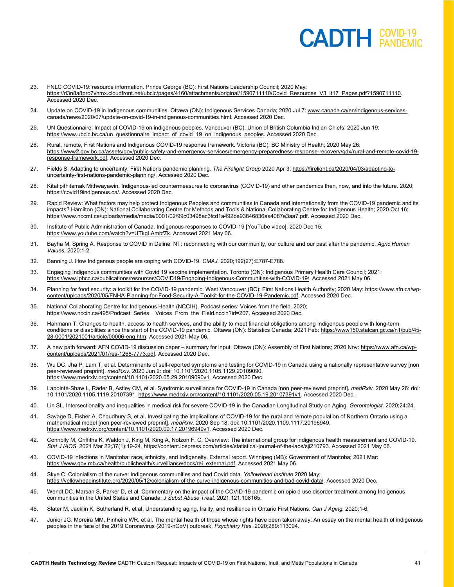- 23. FNLC COVID-19: resource information. Prince George (BC): First Nations Leadership Council; 2020 May: https://d3n8a8pro7vhmx.cloudfront.net/ubcic/pages/4160/attachments/original/1590711110/Covid\_Resources\_V3\_It17\_Pages.pdf?1590711110. Accessed 2020 Dec.
- 24. Update on COVID-19 in Indigenous communities. Ottawa (ON): Indigenous Services Canada; 2020 Jul 7[: www.canada.ca/en/indigenous-services](file://cadth-shares/Proj-Ctrl_Intake/Custom%20Info/Active/CI0157%20COVID%20Indigenous%20Impact%20Update/www.canada.ca/en/indigenous-services-canada/news/2020/07/update-on-covid-19-in-indigenous-communities.html)[canada/news/2020/07/update-on-covid-19-in-indigenous-communities.html.](file://cadth-shares/Proj-Ctrl_Intake/Custom%20Info/Active/CI0157%20COVID%20Indigenous%20Impact%20Update/www.canada.ca/en/indigenous-services-canada/news/2020/07/update-on-covid-19-in-indigenous-communities.html) Accessed 2020 Dec.
- 25. UN Questionnaire: Impact of COVID-19 on indigenous peoples. Vancouver (BC): Union of British Columbia Indian Chiefs; 2020 Jun 19: [https://www.ubcic.bc.ca/un\\_questionnaire\\_impact\\_of\\_covid\\_19\\_on\\_indigenous\\_peoples.](https://www.ubcic.bc.ca/un_questionnaire_impact_of_covid_19_on_indigenous_peoples) Accessed 2020 Dec.
- 26. Rural, remote, First Nations and Indigenous COVID-19 response framework. Victoria (BC): BC Ministry of Health; 2020 May 26: [https://www2.gov.bc.ca/assets/gov/public-safety-and-emergency-services/emergency-preparedness-response-recovery/gdx/rural-and-remote-covid-19](https://www2.gov.bc.ca/assets/gov/public-safety-and-emergency-services/emergency-preparedness-response-recovery/gdx/rural-and-remote-covid-19-response-framework.pdf) [response-framework.pdf.](https://www2.gov.bc.ca/assets/gov/public-safety-and-emergency-services/emergency-preparedness-response-recovery/gdx/rural-and-remote-covid-19-response-framework.pdf) Accessed 2020 Dec.
- 27. Fields S. Adapting to uncertainty: First Nations pandemic planning. *The Firelight Group* 2020 Apr 3[; https://firelight.ca/2020/04/03/adapting-to](https://firelight.ca/2020/04/03/adapting-to-uncertainty-first-nations-pandemic-planning/)[uncertainty-first-nations-pandemic-planning/.](https://firelight.ca/2020/04/03/adapting-to-uncertainty-first-nations-pandemic-planning/) Accessed 2020 Dec.
- 28. Kitatipithitamak Mithwayawin. Indigenous-led countermeasures to coronavirus (COVID-19) and other pandemics then, now, and into the future. 2020; [https://covid19indigenous.ca/.](https://covid19indigenous.ca/) Accessed 2020 Dec.
- 29. Rapid Review: What factors may help protect Indigenous Peoples and communities in Canada and internationally from the COVID-19 pandemic and its impacts? Hamilton (ON): National Collaborating Centre for Methods and Tools & National Collaborating Centre for Indigenous Health; 2020 Oct 16: [https://www.nccmt.ca/uploads/media/media/0001/02/99c03498ac3fcd1a492be93846836aa4087e3aa7.pdf.](https://www.nccmt.ca/uploads/media/media/0001/02/99c03498ac3fcd1a492be93846836aa4087e3aa7.pdf) Accessed 2020 Dec.
- 30. Institute of Public Administration of Canada. Indigenous responses to COVID-19 [YouTube video]. 2020 Dec 15: [https://www.youtube.com/watch?v=UTkgLAmbfZk.](https://www.youtube.com/watch?v=UTkgLAmbfZk) Accessed 2021 May 06.
- 31. Bayha M, Spring A. Response to COVID in Deline, NT: reconnecting with our community, our culture and our past after the pandemic. *Agric Human Values.* 2020:1-2.
- 32. Banning J. How Indigenous people are coping with COVID-19. *CMAJ.* 2020;192(27):E787-E788.
- 33. Engaging Indigenous communities with Covid 19 vaccine implementation. Toronto (ON): Indigenous Primary Health Care Council; 2021: [https://www.iphcc.ca/publications/resources/COVID19/Engaging-Indigenous-Communities-with-COVID-19/.](https://www.iphcc.ca/publications/resources/COVID19/Engaging-Indigenous-Communities-with-COVID-19/) Accessed 2021 May 06.
- 34. Planning for food security: a toolkit for the COVID-19 pandemic. West Vancouver (BC): First Nations Health Authority; 2020 May[: https://www.afn.ca/wp](https://www.afn.ca/wp-content/uploads/2020/05/FNHA-Planning-for-Food-Security-A-Toolkit-for-the-COVID-19-Pandemic.pdf)[content/uploads/2020/05/FNHA-Planning-for-Food-Security-A-Toolkit-for-the-COVID-19-Pandemic.pdf.](https://www.afn.ca/wp-content/uploads/2020/05/FNHA-Planning-for-Food-Security-A-Toolkit-for-the-COVID-19-Pandemic.pdf) Accessed 2020 Dec.
- 35. National Collaborating Centre for Indigenous Health (NCCIH). Podcast series: Voices from the field. 2020; [https://www.nccih.ca/495/Podcast\\_Series\\_\\_Voices\\_From\\_the\\_Field.nccih?id=207.](https://www.nccih.ca/495/Podcast_Series__Voices_From_the_Field.nccih?id=207) Accessed 2020 Dec.
- 36. Hahmann T. Changes to health, access to health services, and the ability to meet financial obligations among Indigenous people with long-term conditions or disabilities since the start of the COVID-19 pandemic. Ottawa (ON): Statistics Canada; 2021 Feb[: https://www150.statcan.gc.ca/n1/pub/45-](https://www150.statcan.gc.ca/n1/pub/45-28-0001/2021001/article/00006-eng.htm) [28-0001/2021001/article/00006-eng.htm.](https://www150.statcan.gc.ca/n1/pub/45-28-0001/2021001/article/00006-eng.htm) Accessed 2021 May 06.
- 37. A new path forward: AFN COVID-19 discussion paper summary for input. Ottawa (ON): Assembly of First Nations; 2020 Nov[: https://www.afn.ca/wp](https://www.afn.ca/wp-content/uploads/2021/01/res-1268-7773.pdf)[content/uploads/2021/01/res-1268-7773.pdf.](https://www.afn.ca/wp-content/uploads/2021/01/res-1268-7773.pdf) Accessed 2020 Dec.
- 38. Wu DC, Jha P, Lam T, et al. Determinants of self-reported symptoms and testing for COVID-19 in Canada using a nationally representative survey [non peer-reviewed preprint]. *medRxiv.* 2020 Jun 2: doi: 10.1101/2020.1105.1129.20109090. [https://www.medrxiv.org/content/10.1101/2020.05.29.20109090v1.](https://www.medrxiv.org/content/10.1101/2020.05.29.20109090v1) Accessed 2020 Dec.
- 39. Lapointe-Shaw L, Rader B, Astley CM, et al. Syndromic surveillance for COVID-19 in Canada [non peer-reviewed preprint]. *medRxiv.* 2020 May 26: doi: 10.1101/2020.1105.1119.20107391[. https://www.medrxiv.org/content/10.1101/2020.05.19.20107391v1.](https://www.medrxiv.org/content/10.1101/2020.05.19.20107391v1) Accessed 2020 Dec.
- 40. Lin SL. Intersectionality and inequalities in medical risk for severe COVID-19 in the Canadian Longitudinal Study on Aging. *Gerontologist.* 2020;24:24.
- 41. Savage D, Fisher A, Choudhury S, et al. Investigating the implications of COVID-19 for the rural and remote population of Northern Ontario using a mathematical model [non peer-reviewed preprint]. *medRxiv.* 2020 Sep 18: doi: 10.1101/2020.1109.1117.20196949. [https://www.medrxiv.org/content/10.1101/2020.09.17.20196949v1.](https://www.medrxiv.org/content/10.1101/2020.09.17.20196949v1) Accessed 2020 Dec.
- 42. Connolly M, Griffiths K, Waldon J, King M, King A, Notzon F. C. Overview: The international group for indigenous health measurement and COVID-19. *Stat J IAOS.* 2021 Mar 22;37(1):19-24[. https://content.iospress.com/articles/statistical-journal-of-the-iaos/sji210793.](https://content.iospress.com/articles/statistical-journal-of-the-iaos/sji210793) Accessed 2021 May 06.
- 43. COVID-19 infections in Manitoba: race, ethnicity, and Indigeneity. External report. Winnipeg (MB): Government of Manitoba; 2021 Mar: [https://www.gov.mb.ca/health/publichealth/surveillance/docs/rei\\_external.pdf.](https://www.gov.mb.ca/health/publichealth/surveillance/docs/rei_external.pdf) Accessed 2021 May 06.
- 44. Skye C. Colonialism of the curve: Indigenous communities and bad Covid data. *Yellowhead Institute* 2020 May; [https://yellowheadinstitute.org/2020/05/12/colonialism-of-the-curve-indigenous-communities-and-bad-covid-data/.](https://yellowheadinstitute.org/2020/05/12/colonialism-of-the-curve-indigenous-communities-and-bad-covid-data/) Accessed 2020 Dec.
- 45. Wendt DC, Marsan S, Parker D, et al. Commentary on the impact of the COVID-19 pandemic on opioid use disorder treatment among Indigenous communities in the United States and Canada. *J Subst Abuse Treat.* 2021;121:108165.
- 46. Slater M, Jacklin K, Sutherland R, et al. Understanding aging, frailty, and resilience in Ontario First Nations. *Can J Aging.* 2020:1-6.
- 47. Junior JG, Moreira MM, Pinheiro WR, et al. The mental health of those whose rights have been taken away: An essay on the mental health of indigenous peoples in the face of the 2019 Coronavirus (2019-nCoV) outbreak. *Psychiatry Res.* 2020;289:113094.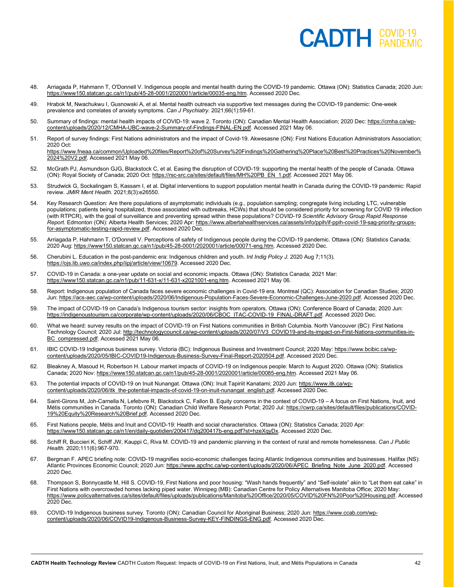- 48. Arriagada P, Hahmann T, O'Donnell V. Indigenous people and mental health during the COVID-19 pandemic. Ottawa (ON): Statistics Canada; 2020 Jun: [https://www150.statcan.gc.ca/n1/pub/45-28-0001/2020001/article/00035-eng.htm.](https://www150.statcan.gc.ca/n1/pub/45-28-0001/2020001/article/00035-eng.htm) Accessed 2020 Dec.
- 49. Hrabok M, Nwachukwu I, Gusnowski A, et al. Mental health outreach via supportive text messages during the COVID-19 pandemic: One-week prevalence and correlates of anxiety symptoms. *Can J Psychiatry.* 2021;66(1):59-61.
- 50. Summary of findings: mental health impacts of COVID-19: wave 2. Toronto (ON): Canadian Mental Health Association; 2020 Dec: [https://cmha.ca/wp](https://cmha.ca/wp-content/uploads/2020/12/CMHA-UBC-wave-2-Summary-of-Findings-FINAL-EN.pdf)[content/uploads/2020/12/CMHA-UBC-wave-2-Summary-of-Findings-FINAL-EN.pdf.](https://cmha.ca/wp-content/uploads/2020/12/CMHA-UBC-wave-2-Summary-of-Findings-FINAL-EN.pdf) Accessed 2021 May 06.
- 51. Report of survey findings: First Nations administrators and the impact of Covid-19. Akwesasne (ON): First Nations Education Administrators Association; 2020 Oct:

[https://www.fneaa.ca/common/Uploaded%20files/Report%20of%20Survey%20Findings%20Gathering%20Place%20Best%20Practices%20November%](https://www.fneaa.ca/common/Uploaded%20files/Report%20of%20Survey%20Findings%20Gathering%20Place%20Best%20Practices%20November%2024%20V2.pdf) [2024%20V2.pdf.](https://www.fneaa.ca/common/Uploaded%20files/Report%20of%20Survey%20Findings%20Gathering%20Place%20Best%20Practices%20November%2024%20V2.pdf) Accessed 2021 May 06.

- 52. McGrath PJ, Asmundson GJG, Blackstock C, et al. Easing the disruption of COVID-19: supporting the mental health of the people of Canada. Ottawa (ON): Royal Society of Canada; 2020 Oct[: https://rsc-src.ca/sites/default/files/MH%20PB\\_EN\\_1.pdf.](https://rsc-src.ca/sites/default/files/MH%20PB_EN_1.pdf) Accessed 2021 May 06.
- 53. Strudwick G, Sockalingam S, Kassam I, et al. Digital interventions to support population mental health in Canada during the COVID-19 pandemic: Rapid review. *JMIR Ment Health.* 2021;8(3):e26550.
- 54. Key Research Question: Are there populations of asymptomatic individuals (e.g., population sampling; congregate living including LTC, vulnerable populations; patients being hospitalized, those associated with outbreaks, HCWs) that should be considered priority for screening for COVID 19 infection (with RTPCR), with the goal of surveillance and preventing spread within these populations? *COVID-19 Scientific Advisory Group Rapid Response Report*. Edmonton (ON): Alberta Health Services; 2020 Apr[: https://www.albertahealthservices.ca/assets/info/ppih/if-ppih-covid-19-sag-priority-groups](https://www.albertahealthservices.ca/assets/info/ppih/if-ppih-covid-19-sag-priority-groups-for-asymptomatic-testing-rapid-review.pdf)[for-asymptomatic-testing-rapid-review.pdf.](https://www.albertahealthservices.ca/assets/info/ppih/if-ppih-covid-19-sag-priority-groups-for-asymptomatic-testing-rapid-review.pdf) Accessed 2020 Dec.
- 55. Arriagada P, Hahmann T, O'Donnell V. Perceptions of safety of Indigenous people during the COVID-19 pandemic. Ottawa (ON): Statistics Canada; 2020 Aug: [https://www150.statcan.gc.ca/n1/pub/45-28-0001/2020001/article/00071-eng.htm.](https://www150.statcan.gc.ca/n1/pub/45-28-0001/2020001/article/00071-eng.htm) Accessed 2020 Dec.
- 56. Cherubini L. Education in the post-pandemic era: Indigenous children and youth. *Int Indig Policy J.* 2020 Aug 7;11(3). [https://ojs.lib.uwo.ca/index.php/iipj/article/view/10679.](https://ojs.lib.uwo.ca/index.php/iipj/article/view/10679) Accessed 2020 Dec.
- 57. COVID-19 in Canada: a one-year update on social and economic impacts. Ottawa (ON): Statistics Canada; 2021 Mar: [https://www150.statcan.gc.ca/n1/pub/11-631-x/11-631-x2021001-eng.htm.](https://www150.statcan.gc.ca/n1/pub/11-631-x/11-631-x2021001-eng.htm) Accessed 2021 May 06.
- 58. Report: Indigenous population of Canada faces severe economic challenges in Covid-19 era. Montreal (QC): Association for Canadian Studies; 2020 Jun: [https://acs-aec.ca/wp-content/uploads/2020/06/Indigenous-Population-Faces-Severe-Economic-Challenges-June-2020.pdf.](https://acs-aec.ca/wp-content/uploads/2020/06/Indigenous-Population-Faces-Severe-Economic-Challenges-June-2020.pdf) Accessed 2020 Dec.
- 59. The impact of COVID-19 on Canada's Indigenous tourism sector: insights from operators. Ottawa (ON): Conference Board of Canada; 2020 Jun: [https://indigenoustourism.ca/corporate/wp-content/uploads/2020/06/CBOC\\_ITAC-COVID-19\\_FINAL-DRAFT.pdf.](https://indigenoustourism.ca/corporate/wp-content/uploads/2020/06/CBOC_ITAC-COVID-19_FINAL-DRAFT.pdf) Accessed 2020 Dec.
- 60. What we heard: survey results on the impact of COVID-19 on First Nations communities in British Columbia. North Vancouver (BC): First Nations Technology Council; 2020 Jul[: http://technologycouncil.ca/wp-content/uploads/2020/07/V3\\_COVID19-and-its-impact-on-First-Nations-communities-in-](http://technologycouncil.ca/wp-content/uploads/2020/07/V3_COVID19-and-its-impact-on-First-Nations-communities-in-BC_compressed.pdf)[BC\\_compressed.pdf.](http://technologycouncil.ca/wp-content/uploads/2020/07/V3_COVID19-and-its-impact-on-First-Nations-communities-in-BC_compressed.pdf) Accessed 2021 May 06.
- 61. IBIC COVID-19 Indigenous business survey. Victoria (BC): Indigenous Business and Investment Council; 2020 May[: https://www.bcibic.ca/wp](https://www.bcibic.ca/wp-content/uploads/2020/05/IBIC-COVID19-Indigenous-Business-Survey-Final-Report-2020504.pdf)[content/uploads/2020/05/IBIC-COVID19-Indigenous-Business-Survey-Final-Report-2020504.pdf.](https://www.bcibic.ca/wp-content/uploads/2020/05/IBIC-COVID19-Indigenous-Business-Survey-Final-Report-2020504.pdf) Accessed 2020 Dec.
- 62. Bleakney A, Masoud H, Robertson H. Labour market impacts of COVID-19 on Indigenous people: March to August 2020. Ottawa (ON): Statistics Canada; 2020 Nov[: https://www150.statcan.gc.ca/n1/pub/45-28-0001/2020001/article/00085-eng.htm.](https://www150.statcan.gc.ca/n1/pub/45-28-0001/2020001/article/00085-eng.htm) Accessed 2021 May 06.
- 63. The potential impacts of COVID-19 on Inuit Nunangat. Ottawa (ON): Inuit Tapiriit Kanatami; 2020 Jun[: https://www.itk.ca/wp](https://www.itk.ca/wp-content/uploads/2020/06/itk_the-potential-impacts-of-covid-19-on-inuit-nunangat_english.pdf)[content/uploads/2020/06/itk\\_the-potential-impacts-of-covid-19-on-inuit-nunangat\\_english.pdf.](https://www.itk.ca/wp-content/uploads/2020/06/itk_the-potential-impacts-of-covid-19-on-inuit-nunangat_english.pdf) Accessed 2020 Dec
- 64. Saint-Girons M, Joh-Carnella N, Lefebvre R, Blackstock C, Fallon B. Equity concerns in the context of COVID-19 A focus on First Nations, Inuit, and Métis communities in Canada. Toronto (ON): Canadian Child Welfare Research Portal; 2020 Jul[: https://cwrp.ca/sites/default/files/publications/COVID-](https://cwrp.ca/sites/default/files/publications/COVID-19%20Equity%20Research%20Brief.pdf)[19%20Equity%20Research%20Brief.pdf.](https://cwrp.ca/sites/default/files/publications/COVID-19%20Equity%20Research%20Brief.pdf) Accessed 2020 Dec.
- 65. First Nations people, Métis and Inuit and COVID-19: Health and social characteristics. Ottawa (ON): Statistics Canada; 2020 Apr: [https://www150.statcan.gc.ca/n1/en/daily-quotidien/200417/dq200417b-eng.pdf?st=hzeXqyDx.](https://www150.statcan.gc.ca/n1/en/daily-quotidien/200417/dq200417b-eng.pdf?st=hzeXqyDx) Accessed 2020 Dec.
- 66. Schiff R, Buccieri K, Schiff JW, Kauppi C, Riva M. COVID-19 and pandemic planning in the context of rural and remote homelessness. *Can J Public Health.* 2020;111(6):967-970.
- 67. Bergman F. APEC briefing note: COVID-19 magnifies socio-economic challenges facing Atlantic Indigenous communities and businesses. Halifax (NS): Atlantic Provinces Economic Council; 2020 Jun[: https://www.apcfnc.ca/wp-content/uploads/2020/06/APEC\\_Briefing\\_Note\\_June\\_2020.pdf.](https://www.apcfnc.ca/wp-content/uploads/2020/06/APEC_Briefing_Note_June_2020.pdf) Accessed 2020 Dec.
- 68. Thompson S, Bonnycastle M, Hill S. COVID-19, First Nations and poor housing: "Wash hands frequently" and "Self-isolate" akin to "Let them eat cake" in First Nations with overcrowded homes lacking piped water. Winnipeg (MB): Canadian Centre for Policy Alternatives Manitoba Office; 2020 May: [https://www.policyalternatives.ca/sites/default/files/uploads/publications/Manitoba%20Office/2020/05/COVID%20FN%20Poor%20Housing.pdf.](https://www.policyalternatives.ca/sites/default/files/uploads/publications/Manitoba%20Office/2020/05/COVID%20FN%20Poor%20Housing.pdf) Accessed 2020 Dec.
- 69. COVID-19 Indigenous business survey. Toronto (ON): Canadian Council for Aboriginal Business; 2020 Jun[: https://www.ccab.com/wp](https://www.ccab.com/wp-content/uploads/2020/06/COVID19-Indigenous-Business-Survey-KEY-FINDINGS-ENG.pdf)[content/uploads/2020/06/COVID19-Indigenous-Business-Survey-KEY-FINDINGS-ENG.pdf.](https://www.ccab.com/wp-content/uploads/2020/06/COVID19-Indigenous-Business-Survey-KEY-FINDINGS-ENG.pdf) Accessed 2020 Dec.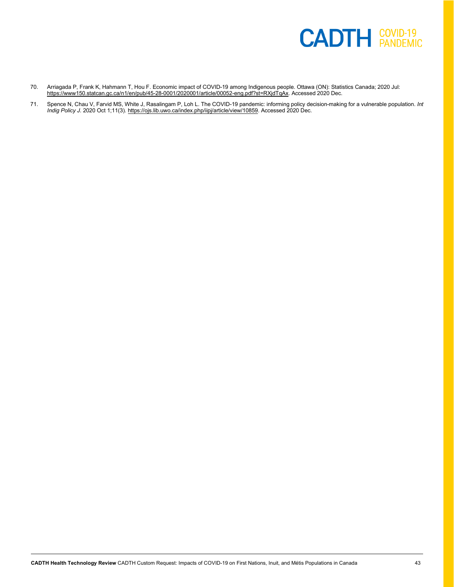

- 70. Arriagada P, Frank K, Hahmann T, Hou F. Economic impact of COVID-19 among Indigenous people. Ottawa (ON): Statistics Canada; 2020 Jul: [https://www150.statcan.gc.ca/n1/en/pub/45-28-0001/2020001/article/00052-eng.pdf?st=RXjdTqAx.](https://www150.statcan.gc.ca/n1/en/pub/45-28-0001/2020001/article/00052-eng.pdf?st=RXjdTqAx) Accessed 2020 Dec.
- 71. Spence N, Chau V, Farvid MS, White J, Rasalingam P, Loh L. The COVID-19 pandemic: informing policy decision-making for a vulnerable population. *Int Indig Policy J.* 2020 Oct 1;11(3)[. https://ojs.lib.uwo.ca/index.php/iipj/article/view/10859.](https://ojs.lib.uwo.ca/index.php/iipj/article/view/10859) Accessed 2020 Dec.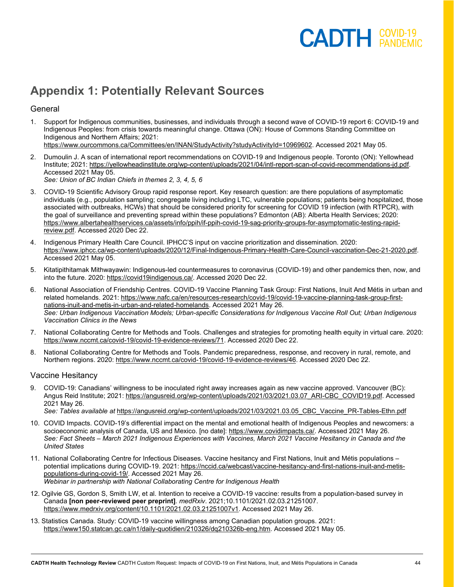#### **Appendix 1: Potentially Relevant Sources**

#### **General**

1. Support for Indigenous communities, businesses, and individuals through a second wave of COVID-19 report 6: COVID-19 and Indigenous Peoples: from crisis towards meaningful change. Ottawa (ON): House of Commons Standing Committee on Indigenous and Northern Affairs; 2021:

[https://www.ourcommons.ca/Committees/en/INAN/StudyActivity?studyActivityId=10969602.](https://www.ourcommons.ca/Committees/en/INAN/StudyActivity?studyActivityId=10969602) Accessed 2021 May 05.

- 2. Dumoulin J. A scan of international report recommendations on COVID-19 and Indigenous people. Toronto (ON): Yellowhead Institute; 2021[: https://yellowheadinstitute.org/wp-content/uploads/2021/04/intl-report-scan-of-covid-recommendations-jd.pdf.](https://yellowheadinstitute.org/wp-content/uploads/2021/04/intl-report-scan-of-covid-recommendations-jd.pdf) Accessed 2021 May 05. *See: Union of BC Indian Chiefs in themes 2, 3, 4, 5, 6*
- 3. COVID-19 Scientific Advisory Group rapid response report. Key research question: are there populations of asymptomatic individuals (e.g., population sampling; congregate living including LTC, vulnerable populations; patients being hospitalized, those associated with outbreaks, HCWs) that should be considered priority for screening for COVID 19 infection (with RTPCR), with the goal of surveillance and preventing spread within these populations? Edmonton (AB): Alberta Health Services; 2020: [https://www.albertahealthservices.ca/assets/info/ppih/if-ppih-covid-19-sag-priority-groups-for-asymptomatic-testing-rapid](https://www.albertahealthservices.ca/assets/info/ppih/if-ppih-covid-19-sag-priority-groups-for-asymptomatic-testing-rapid-review.pdf)[review.pdf.](https://www.albertahealthservices.ca/assets/info/ppih/if-ppih-covid-19-sag-priority-groups-for-asymptomatic-testing-rapid-review.pdf) Accessed 2020 Dec 22.
- 4. Indigenous Primary Health Care Council. IPHCC'S input on vaccine prioritization and dissemination. 2020: [https://www.iphcc.ca/wp-content/uploads/2020/12/Final-Indigenous-Primary-Health-Care-Council-vaccination-Dec-21-2020.pdf.](https://www.iphcc.ca/wp-content/uploads/2020/12/Final-Indigenous-Primary-Health-Care-Council-vaccination-Dec-21-2020.pdf) Accessed 2021 May 05.
- 5. Kitatipithitamak Mithwayawin: Indigenous-led countermeasures to coronavirus (COVID-19) and other pandemics then, now, and into the future. 2020: [https://covid19indigenous.ca/.](https://covid19indigenous.ca/) Accessed 2020 Dec 22.
- 6. National Association of Friendship Centres. COVID-19 Vaccine Planning Task Group: First Nations, Inuit And Métis in urban and related homelands. 2021: [https://www.nafc.ca/en/resources-research/covid-19/covid-19-vaccine-planning-task-group-first](https://www.nafc.ca/en/resources-research/covid-19/covid-19-vaccine-planning-task-group-first-nations-inuit-and-metis-in-urban-and-related-homelands)[nations-inuit-and-metis-in-urban-and-related-homelands.](https://www.nafc.ca/en/resources-research/covid-19/covid-19-vaccine-planning-task-group-first-nations-inuit-and-metis-in-urban-and-related-homelands) Accessed 2021 May 26. *See: Urban Indigenous Vaccination Models; Urban-specific Considerations for Indigenous Vaccine Roll Out; Urban Indigenous Vaccination Clinics in the News*
- 7. National Collaborating Centre for Methods and Tools. Challenges and strategies for promoting health equity in virtual care. 2020: [https://www.nccmt.ca/covid-19/covid-19-evidence-reviews/71.](https://www.nccmt.ca/covid-19/covid-19-evidence-reviews/71) Accessed 2020 Dec 22.
- 8. National Collaborating Centre for Methods and Tools. Pandemic preparedness, response, and recovery in rural, remote, and Northern regions. 2020: [https://www.nccmt.ca/covid-19/covid-19-evidence-reviews/46.](https://www.nccmt.ca/covid-19/covid-19-evidence-reviews/46) Accessed 2020 Dec 22.

#### Vaccine Hesitancy

- 9. COVID-19: Canadians' willingness to be inoculated right away increases again as new vaccine approved. Vancouver (BC): Angus Reid Institute; 2021[: https://angusreid.org/wp-content/uploads/2021/03/2021.03.07\\_ARI-CBC\\_COVID19.pdf.](https://angusreid.org/wp-content/uploads/2021/03/2021.03.07_ARI-CBC_COVID19.pdf) Accessed 2021 May 26. *See: Tables available at* [https://angusreid.org/wp-content/uploads/2021/03/2021.03.05\\_CBC\\_Vaccine\\_PR-Tables-Ethn.pdf](https://angusreid.org/wp-content/uploads/2021/03/2021.03.05_CBC_Vaccine_PR-Tables-Ethn.pdf)
- 10. COVID Impacts. COVID-19's differential impact on the mental and emotional health of Indigenous Peoples and newcomers: a socioeconomic analysis of Canada, US and Mexico. [no date][: https://www.covidimpacts.ca/.](https://www.covidimpacts.ca/) Accessed 2021 May 26.
- *See: Fact Sheets – March 2021 Indigenous Experiences with Vaccines, March 2021 Vaccine Hesitancy in Canada and the United States*
- 11. National Collaborating Centre for Infectious Diseases. Vaccine hesitancy and First Nations, Inuit and Métis populations potential implications during COVID-19. 2021: [https://nccid.ca/webcast/vaccine-hesitancy-and-first-nations-inuit-and-metis](https://nccid.ca/webcast/vaccine-hesitancy-and-first-nations-inuit-and-metis-populations-during-covid-19/)[populations-during-covid-19/.](https://nccid.ca/webcast/vaccine-hesitancy-and-first-nations-inuit-and-metis-populations-during-covid-19/) Accessed 2021 May 26. *Webinar in partnership with National Collaborating Centre for Indigenous Health*
- 12. Ogilvie GS, Gordon S, Smith LW, et al. Intention to receive a COVID-19 vaccine: results from a population-based survey in Canada **[non peer-reviewed peer preprint]**. *medRxiv*. 2021;10.1101/2021.02.03.21251007. [https://www.medrxiv.org/content/10.1101/2021.02.03.21251007v1.](https://www.medrxiv.org/content/10.1101/2021.02.03.21251007v1) Accessed 2021 May 26.
- 13. Statistics Canada. Study: COVID-19 vaccine willingness among Canadian population groups. 2021: [https://www150.statcan.gc.ca/n1/daily-quotidien/210326/dq210326b-eng.htm.](https://www150.statcan.gc.ca/n1/daily-quotidien/210326/dq210326b-eng.htm) Accessed 2021 May 05.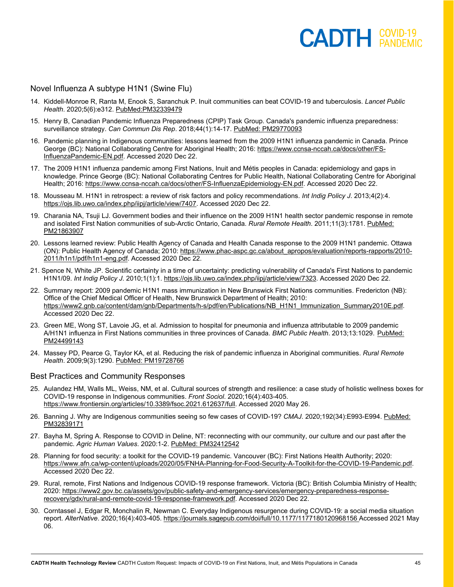Novel Influenza A subtype H1N1 (Swine Flu)

- 14. Kiddell-Monroe R, Ranta M, Enook S, Saranchuk P. Inuit communities can beat COVID-19 and tuberculosis. *Lancet Public Health*. 2020;5(6):e312. [PubMed:PM32339479](http://www.ncbi.nlm.nih.gov/pubmed/32339479)
- 15. Henry B, Canadian Pandemic Influenza Preparedness (CPIP) Task Group. Canada's pandemic influenza preparedness: surveillance strategy. *Can Commun Dis Rep*. 2018;44(1):14-17. [PubMed: PM29770093](http://www.ncbi.nlm.nih.gov/pubmed/29770093)
- 16. Pandemic planning in Indigenous communities: lessons learned from the 2009 H1N1 influenza pandemic in Canada. Prince George (BC): National Collaborating Centre for Aboriginal Health; 2016: [https://www.ccnsa-nccah.ca/docs/other/FS-](https://www.ccnsa-nccah.ca/docs/other/FS-InfluenzaPandemic-EN.pdf)[InfluenzaPandemic-EN.pdf.](https://www.ccnsa-nccah.ca/docs/other/FS-InfluenzaPandemic-EN.pdf) Accessed 2020 Dec 22.
- 17. The 2009 H1N1 influenza pandemic among First Nations, Inuit and Métis peoples in Canada: epidemiology and gaps in knowledge. Prince George (BC): National Collaborating Centres for Public Health, National Collaborating Centre for Aboriginal Health; 2016: [https://www.ccnsa-nccah.ca/docs/other/FS-InfluenzaEpidemiology-EN.pdf.](https://www.ccnsa-nccah.ca/docs/other/FS-InfluenzaEpidemiology-EN.pdf) Accessed 2020 Dec 22.
- 18. Mousseau M. H1N1 in retrospect: a review of risk factors and policy recommendations. *Int Indig Policy J*. 2013;4(2):4. [https://ojs.lib.uwo.ca/index.php/iipj/article/view/7407.](https://ojs.lib.uwo.ca/index.php/iipj/article/view/7407) Accessed 2020 Dec 22.
- 19. Charania NA, Tsuji LJ. Government bodies and their influence on the 2009 H1N1 health sector pandemic response in remote and isolated First Nation communities of sub-Arctic Ontario, Canada. *Rural Remote Health*. 2011;11(3):1781. [PubMed:](http://www.ncbi.nlm.nih.gov/pubmed/21863907)  [PM21863907](http://www.ncbi.nlm.nih.gov/pubmed/21863907)
- 20. Lessons learned review: Public Health Agency of Canada and Health Canada response to the 2009 H1N1 pandemic. Ottawa (ON): Public Health Agency of Canada; 2010: [https://www.phac-aspc.gc.ca/about\\_apropos/evaluation/reports-rapports/2010-](https://www.phac-aspc.gc.ca/about_apropos/evaluation/reports-rapports/2010-2011/h1n1/pdf/h1n1-eng.pdf) [2011/h1n1/pdf/h1n1-eng.pdf.](https://www.phac-aspc.gc.ca/about_apropos/evaluation/reports-rapports/2010-2011/h1n1/pdf/h1n1-eng.pdf) Accessed 2020 Dec 22.
- 21. Spence N, White JP. Scientific certainty in a time of uncertainty: predicting vulnerability of Canada's First Nations to pandemic H1N1/09. *Int Indig Policy J*. 2010;1(1):1. [https://ojs.lib.uwo.ca/index.php/iipj/article/view/7323.](https://ojs.lib.uwo.ca/index.php/iipj/article/view/7323) Accessed 2020 Dec 22.
- 22. Summary report: 2009 pandemic H1N1 mass immunization in New Brunswick First Nations communities. Fredericton (NB): Office of the Chief Medical Officer of Health, New Brunswick Department of Health; 2010: [https://www2.gnb.ca/content/dam/gnb/Departments/h-s/pdf/en/Publications/NB\\_H1N1\\_Immunization\\_Summary2010E.pdf.](https://www2.gnb.ca/content/dam/gnb/Departments/h-s/pdf/en/Publications/NB_H1N1_Immunization_Summary2010E.pdf)  Accessed 2020 Dec 22.
- 23. Green ME, Wong ST, Lavoie JG, et al. Admission to hospital for pneumonia and influenza attributable to 2009 pandemic A/H1N1 influenza in First Nations communities in three provinces of Canada. *BMC Public Health*. 2013;13:1029. [PubMed:](http://www.ncbi.nlm.nih.gov/pubmed/24499143)  [PM24499143](http://www.ncbi.nlm.nih.gov/pubmed/24499143)
- 24. Massey PD, Pearce G, Taylor KA, et al. Reducing the risk of pandemic influenza in Aboriginal communities. *Rural Remote Health*. 2009;9(3):1290. [PubMed: PM19728766](http://www.ncbi.nlm.nih.gov/pubmed/19728766)

#### Best Practices and Community Responses

- 25. Aulandez HM, Walls ML, Weiss, NM, et al. Cultural sources of strength and resilience: a case study of holistic wellness boxes for COVID-19 response in Indigenous communities. *Front Sociol*. 2020;16(4):403-405. [https://www.frontiersin.org/articles/10.3389/fsoc.2021.612637/full.](https://www.frontiersin.org/articles/10.3389/fsoc.2021.612637/full) Accessed 2020 May 26.
- 26. Banning J. Why are Indigenous communities seeing so few cases of COVID-19? *CMAJ*. 2020;192(34):E993-E994. [PubMed:](http://www.ncbi.nlm.nih.gov/pubmed/32839171)  [PM32839171](http://www.ncbi.nlm.nih.gov/pubmed/32839171)
- 27. Bayha M, Spring A. Response to COVID in Deline, NT: reconnecting with our community, our culture and our past after the pandemic. *Agric Human Values*. 2020:1-2. [PubMed: PM32412542](http://www.ncbi.nlm.nih.gov/pubmed/32412542)
- 28. Planning for food security: a toolkit for the COVID-19 pandemic. Vancouver (BC): First Nations Health Authority; 2020: [https://www.afn.ca/wp-content/uploads/2020/05/FNHA-Planning-for-Food-Security-A-Toolkit-for-the-COVID-19-Pandemic.pdf.](https://www.afn.ca/wp-content/uploads/2020/05/FNHA-Planning-for-Food-Security-A-Toolkit-for-the-COVID-19-Pandemic.pdf) Accessed 2020 Dec 22.
- 29. Rural, remote, First Nations and Indigenous COVID-19 response framework. Victoria (BC): British Columbia Ministry of Health; 2020: [https://www2.gov.bc.ca/assets/gov/public-safety-and-emergency-services/emergency-preparedness-response](https://www2.gov.bc.ca/assets/gov/public-safety-and-emergency-services/emergency-preparedness-response-recovery/gdx/rural-and-remote-covid-19-response-framework.pdf)[recovery/gdx/rural-and-remote-covid-19-response-framework.pdf.](https://www2.gov.bc.ca/assets/gov/public-safety-and-emergency-services/emergency-preparedness-response-recovery/gdx/rural-and-remote-covid-19-response-framework.pdf) Accessed 2020 Dec 22.
- 30. Corntassel J, Edgar R, Monchalin R, Newman C. Everyday Indigenous resurgence during COVID-19: a social media situation report. *AlterNative*. 2020;16(4):403-405[. https://journals.sagepub.com/doi/full/10.1177/1177180120968156](https://journals.sagepub.com/doi/full/10.1177/1177180120968156) Accessed 2021 May 06.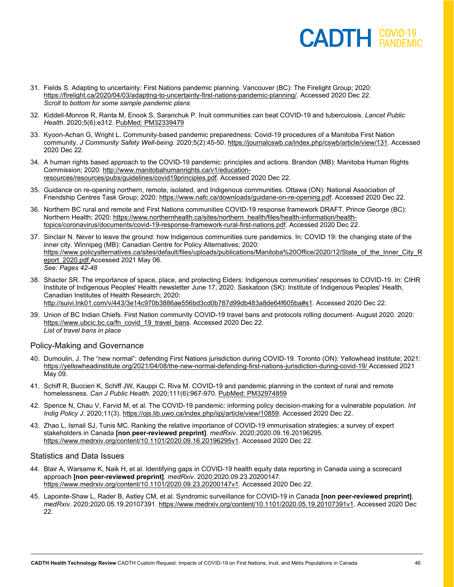- 31. Fields S. Adapting to uncertainty: First Nations pandemic planning. Vancouver (BC): The Firelight Group; 2020: [https://firelight.ca/2020/04/03/adapting-to-uncertainty-first-nations-pandemic-planning/.](https://firelight.ca/2020/04/03/adapting-to-uncertainty-first-nations-pandemic-planning/) Accessed 2020 Dec 22. *Scroll to bottom for some sample pandemic plans*
- 32. Kiddell-Monroe R, Ranta M, Enook S, Saranchuk P. Inuit communities can beat COVID-19 and tuberculosis. *Lancet Public Health*. 2020;5(6):e312. [PubMed: PM32339479](http://www.ncbi.nlm.nih.gov/pubmed/32339479)
- 33. Kyoon-Achan G, Wright L. Community-based pandemic preparedness: Covid-19 procedures of a Manitoba First Nation community. *J Community Safety Well-being*. 2020;5(2):45-50. [https://journalcswb.ca/index.php/cswb/article/view/131.](https://journalcswb.ca/index.php/cswb/article/view/131) Accessed 2020 Dec 22.
- 34. A human rights based approach to the COVID-19 pandemic: principles and actions. Brandon (MB): Manitoba Human Rights Commission; 2020[: http://www.manitobahumanrights.ca/v1/education](http://www.manitobahumanrights.ca/v1/education-resources/resources/pubs/guidelines/covid19principles.pdf)[resources/resources/pubs/guidelines/covid19principles.pdf.](http://www.manitobahumanrights.ca/v1/education-resources/resources/pubs/guidelines/covid19principles.pdf) Accessed 2020 Dec 22.
- 35. Guidance on re-opening northern, remote, isolated, and Indigenous communities. Ottawa (ON): National Association of Friendship Centres Task Group; 2020[: https://www.nafc.ca/downloads/guidane-on-re-opening.pdf.](https://www.nafc.ca/downloads/guidane-on-re-opening.pdf) Accessed 2020 Dec 22.
- 36. Northern BC rural and remote and First Nations communities COVID-19 response framework DRAFT. Prince George (BC): Northern Health; 2020[: https://www.northernhealth.ca/sites/northern\\_health/files/health-information/health](https://www.northernhealth.ca/sites/northern_health/files/health-information/health-topics/coronavirus/documents/covid-19-response-framework-rural-first-nations.pdf)[topics/coronavirus/documents/covid-19-response-framework-rural-first-nations.pdf.](https://www.northernhealth.ca/sites/northern_health/files/health-information/health-topics/coronavirus/documents/covid-19-response-framework-rural-first-nations.pdf) Accessed 2020 Dec 22.
- 37. Sinclair N. Never to leave the ground: how Indigenous communities cure pandemics. In: COVID 19: the changing state of the inner city. Winnipeg (MB): Canadian Centre for Policy Alternatives; 2020: [https://www.policyalternatives.ca/sites/default/files/uploads/publications/Manitoba%20Office/2020/12/State\\_of\\_the\\_Inner\\_City\\_R](https://www.policyalternatives.ca/sites/default/files/uploads/publications/Manitoba%20Office/2020/12/State_of_the_Inner_City_Report_2020.pdf) [eport\\_2020.pdf](https://www.policyalternatives.ca/sites/default/files/uploads/publications/Manitoba%20Office/2020/12/State_of_the_Inner_City_Report_2020.pdf) Accessed 2021 May 06. *See: Pages 42-48*
- 38. Shacter SR. The importance of space, place, and protecting Elders: Indigenous communities' responses to COVID-19. In: CIHR Institute of Indigenous Peoples' Health newsletter June 17, 2020. Saskatoon (SK): Institute of Indigenous Peoples' Health, Canadian Institutes of Health Research; 2020: [http://suivi.lnk01.com/v/443/3e14c970b3886ae556bd3cd0b787d99db483a8de64f605ba#s1.](http://suivi.lnk01.com/v/443/3e14c970b3886ae556bd3cd0b787d99db483a8de64f605ba#s1) Accessed 2020 Dec 22.
- 39. Union of BC Indian Chiefs. First Nation community COVID-19 travel bans and protocols rolling document- August 2020. 2020: [https://www.ubcic.bc.ca/fn\\_covid\\_19\\_travel\\_bans.](https://www.ubcic.bc.ca/fn_covid_19_travel_bans) Accessed 2020 Dec 22. *List of travel bans in place*

#### Policy-Making and Governance

- 40. Dumoulin, J. The "new normal": defending First Nations jurisdiction during COVID-19. Toronto (ON): Yellowhead Institute; 2021: <https://yellowheadinstitute.org/2021/04/08/the-new-normal-defending-first-nations-jurisdiction-during-covid-19/> Accessed 2021 May 09.
- 41. Schiff R, Buccieri K, Schiff JW, Kauppi C, Riva M. COVID-19 and pandemic planning in the context of rural and remote homelessness. *Can J Public Health*. 2020;111(6):967-970. [PubMed: PM32974859](http://www.ncbi.nlm.nih.gov/pubmed/32974859)
- 42. Spence N, Chau V, Farvid M, et al. The COVID-19 pandemic: informing policy decision-making for a vulnerable population. *Int Indig Policy J*. 2020;11(3)[. https://ojs.lib.uwo.ca/index.php/iipj/article/view/10859.](https://ojs.lib.uwo.ca/index.php/iipj/article/view/10859) Accessed 2020 Dec 22.
- 43. Zhao L, Ismail SJ, Tunis MC. Ranking the relative importance of COVID-19 immunisation strategies: a survey of expert stakeholders in Canada **[non peer-reviewed preprint]**. *medRxiv*. 2020;2020.09.16.20196295. [https://www.medrxiv.org/content/10.1101/2020.09.16.20196295v1.](https://www.medrxiv.org/content/10.1101/2020.09.16.20196295v1) Accessed 2020 Dec 22.

#### Statistics and Data Issues

- 44. Blair A, Warsame K, Naik H, et al. Identifying gaps in COVID-19 health equity data reporting in Canada using a scorecard approach **[non peer-reviewed preprint]**. *medRxiv*. 2020;2020.09.23.20200147. [https://www.medrxiv.org/content/10.1101/2020.09.23.20200147v1.](https://www.medrxiv.org/content/10.1101/2020.09.23.20200147v1) Accessed 2020 Dec 22.
- 45. Lapointe-Shaw L, Rader B, Astley CM, et al. Syndromic surveillance for COVID-19 in Canada **[non peer-reviewed preprint]**. *medRxiv*. 2020;2020.05.19.20107391. [https://www.medrxiv.org/content/10.1101/2020.05.19.20107391v1.](https://www.medrxiv.org/content/10.1101/2020.05.19.20107391v1) Accessed 2020 Dec 22.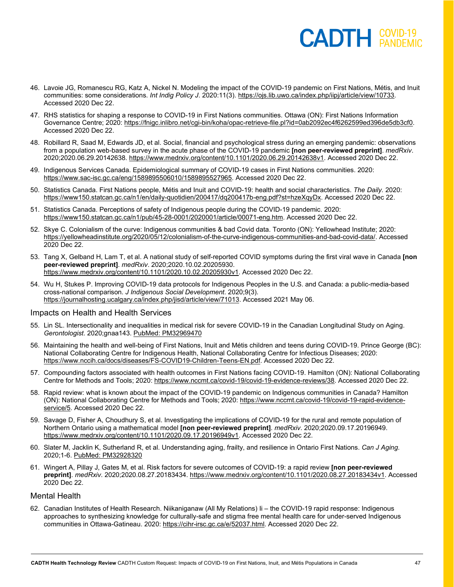- 46. Lavoie JG, Romanescu RG, Katz A, Nickel N. Modeling the impact of the COVID-19 pandemic on First Nations, Métis, and Inuit communities: some considerations. *Int Indig Policy J*. 2020:11(3). [https://ojs.lib.uwo.ca/index.php/iipj/article/view/10733.](https://ojs.lib.uwo.ca/index.php/iipj/article/view/10733) Accessed 2020 Dec 22.
- 47. RHS statistics for shaping a response to COVID-19 in First Nations communities. Ottawa (ON): First Nations Information Governance Centre; 2020[: https://fnigc.inlibro.net/cgi-bin/koha/opac-retrieve-file.pl?id=0ab2092ec4f6262599ed396de5db3cf0.](https://fnigc.inlibro.net/cgi-bin/koha/opac-retrieve-file.pl?id=0ab2092ec4f6262599ed396de5db3cf0) Accessed 2020 Dec 22.
- 48. Robillard R, Saad M, Edwards JD, et al. Social, financial and psychological stress during an emerging pandemic: observations from a population web-based survey in the acute phase of the COVID-19 pandemic **[non peer-reviewed preprint]**. *medRxiv*. 2020;2020.06.29.20142638. [https://www.medrxiv.org/content/10.1101/2020.06.29.20142638v1.](https://www.medrxiv.org/content/10.1101/2020.06.29.20142638v1) Accessed 2020 Dec 22.
- 49. Indigenous Services Canada. Epidemiological summary of COVID-19 cases in First Nations communities. 2020: [https://www.sac-isc.gc.ca/eng/1589895506010/1589895527965.](https://www.sac-isc.gc.ca/eng/1589895506010/1589895527965) Accessed 2020 Dec 22.
- 50. Statistics Canada. First Nations people, Métis and Inuit and COVID-19: health and social characteristics. *The Daily.* 2020: [https://www150.statcan.gc.ca/n1/en/daily-quotidien/200417/dq200417b-eng.pdf?st=hzeXqyDx.](https://www150.statcan.gc.ca/n1/en/daily-quotidien/200417/dq200417b-eng.pdf?st=hzeXqyDx) Accessed 2020 Dec 22.
- 51. Statistics Canada. Perceptions of safety of Indigenous people during the COVID-19 pandemic. 2020: [https://www150.statcan.gc.ca/n1/pub/45-28-0001/2020001/article/00071-eng.htm.](https://www150.statcan.gc.ca/n1/pub/45-28-0001/2020001/article/00071-eng.htm) Accessed 2020 Dec 22.
- 52. Skye C. Colonialism of the curve: Indigenous communities & bad Covid data. Toronto (ON): Yellowhead Institute; 2020: [https://yellowheadinstitute.org/2020/05/12/colonialism-of-the-curve-indigenous-communities-and-bad-covid-data/.](https://yellowheadinstitute.org/2020/05/12/colonialism-of-the-curve-indigenous-communities-and-bad-covid-data/) Accessed 2020 Dec 22.
- 53. Tang X, Gelband H, Lam T, et al. A national study of self-reported COVID symptoms during the first viral wave in Canada **[non peer-reviewed preprint]**. *medRxiv*. 2020;2020.10.02.20205930. [https://www.medrxiv.org/content/10.1101/2020.10.02.20205930v1.](https://www.medrxiv.org/content/10.1101/2020.10.02.20205930v1) Accessed 2020 Dec 22.
- 54. Wu H, Stukes P. Improving COVID-19 data protocols for Indigenous Peoples in the U.S. and Canada: a public-media-based cross-national comparison. *J Indigenous Social Development*. 2020;9(3). [https://journalhosting.ucalgary.ca/index.php/jisd/article/view/71013.](https://journalhosting.ucalgary.ca/index.php/jisd/article/view/71013) Accessed 2021 May 06.

#### Impacts on Health and Health Services

- 55. Lin SL. Intersectionality and inequalities in medical risk for severe COVID-19 in the Canadian Longitudinal Study on Aging. *Gerontologist*. 2020;gnaa143. [PubMed: PM32969470](http://www.ncbi.nlm.nih.gov/pubmed/32969470)
- 56. Maintaining the health and well-being of First Nations, Inuit and Métis children and teens during COVID-19. Prince George (BC): National Collaborating Centre for Indigenous Health, National Collaborating Centre for Infectious Diseases; 2020: [https://www.nccih.ca/docs/diseases/FS-COVID19-Children-Teens-EN.pdf.](https://www.nccih.ca/docs/diseases/FS-COVID19-Children-Teens-EN.pdf) Accessed 2020 Dec 22.
- 57. Compounding factors associated with health outcomes in First Nations facing COVID-19. Hamilton (ON): National Collaborating Centre for Methods and Tools; 2020: [https://www.nccmt.ca/covid-19/covid-19-evidence-reviews/38.](https://www.nccmt.ca/covid-19/covid-19-evidence-reviews/38) Accessed 2020 Dec 22.
- 58. Rapid review: what is known about the impact of the COVID-19 pandemic on Indigenous communities in Canada? Hamilton (ON): National Collaborating Centre for Methods and Tools; 2020: [https://www.nccmt.ca/covid-19/covid-19-rapid-evidence](https://www.nccmt.ca/covid-19/covid-19-rapid-evidence-service/5)[service/5.](https://www.nccmt.ca/covid-19/covid-19-rapid-evidence-service/5) Accessed 2020 Dec 22.
- 59. Savage D, Fisher A, Choudhury S, et al. Investigating the implications of COVID-19 for the rural and remote population of Northern Ontario using a mathematical model **[non peer-reviewed preprint]**. *medRxiv*. 2020;2020.09.17.20196949. [https://www.medrxiv.org/content/10.1101/2020.09.17.20196949v1.](https://www.medrxiv.org/content/10.1101/2020.09.17.20196949v1) Accessed 2020 Dec 22.
- 60. Slater M, Jacklin K, Sutherland R, et al. Understanding aging, frailty, and resilience in Ontario First Nations. *Can J Aging*. 2020;1-6. [PubMed: PM32928320](https://pubmed.ncbi.nlm.nih.gov/32928320/)
- 61. Wingert A, Pillay J, Gates M, et al. Risk factors for severe outcomes of COVID-19: a rapid review **[non peer-reviewed preprint]**. *medRxiv*. 2020;2020.08.27.20183434. [https://www.medrxiv.org/content/10.1101/2020.08.27.20183434v1.](https://www.medrxiv.org/content/10.1101/2020.08.27.20183434v1) Accessed 2020 Dec 22.

#### Mental Health

62. Canadian Institutes of Health Research. Niikaniganaw (All My Relations) Ii – the COVID-19 rapid response: Indigenous approaches to synthesizing knowledge for culturally-safe and stigma free mental health care for under-served Indigenous communities in Ottawa-Gatineau. 2020[: https://cihr-irsc.gc.ca/e/52037.html.](https://cihr-irsc.gc.ca/e/52037.html) Accessed 2020 Dec 22.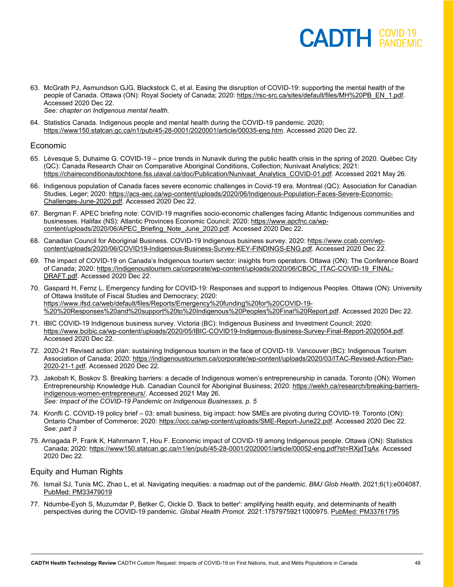- 63. McGrath PJ, Asmundson GJG, Blackstock C, et al. Easing the disruption of COVID-19: supporting the mental health of the people of Canada. Ottawa (ON): Royal Society of Canada; 2020[: https://rsc-src.ca/sites/default/files/MH%20PB\\_EN\\_1.pdf.](https://rsc-src.ca/sites/default/files/MH%20PB_EN_1.pdf) Accessed 2020 Dec 22.
	- *See: chapter on Indigenous mental health.*
- 64. Statistics Canada. Indigenous people and mental health during the COVID-19 pandemic. 2020; [https://www150.statcan.gc.ca/n1/pub/45-28-0001/2020001/article/00035-eng.htm.](https://www150.statcan.gc.ca/n1/pub/45-28-0001/2020001/article/00035-eng.htm) Accessed 2020 Dec 22.

#### Economic

- 65. Lévesque S, Duhaime G. COVID-19 price trends in Nunavik during the public health crisis in the spring of 2020. Québec City (QC): Canada Research Chair on Comparative Aboriginal Conditions, Collection; Nunivaat Analytics; 2021: [https://chaireconditionautochtone.fss.ulaval.ca/doc/Publication/Nunivaat\\_Analytics\\_COVID-01.pdf.](https://chaireconditionautochtone.fss.ulaval.ca/doc/Publication/Nunivaat_Analytics_COVID-01.pdf) Accessed 2021 May 26.
- 66. Indigenous population of Canada faces severe economic challenges in Covid-19 era. Montreal (QC): Association for Canadian Studies, Leger; 2020: [https://acs-aec.ca/wp-content/uploads/2020/06/Indigenous-Population-Faces-Severe-Economic-](https://acs-aec.ca/wp-content/uploads/2020/06/Indigenous-Population-Faces-Severe-Economic-Challenges-June-2020.pdf)[Challenges-June-2020.pdf.](https://acs-aec.ca/wp-content/uploads/2020/06/Indigenous-Population-Faces-Severe-Economic-Challenges-June-2020.pdf) Accessed 2020 Dec 22.
- 67. Bergman F. APEC briefing note: COVID-19 magnifies socio-economic challenges facing Atlantic Indigenous communities and businesses. Halifax (NS): Atlantic Provinces Economic Council; 2020[: https://www.apcfnc.ca/wp](https://www.apcfnc.ca/wp-content/uploads/2020/06/APEC_Briefing_Note_June_2020.pdf)[content/uploads/2020/06/APEC\\_Briefing\\_Note\\_June\\_2020.pdf.](https://www.apcfnc.ca/wp-content/uploads/2020/06/APEC_Briefing_Note_June_2020.pdf) Accessed 2020 Dec 22.
- 68. Canadian Council for Aboriginal Business. COVID-19 Indigenous business survey. 2020[: https://www.ccab.com/wp](https://www.ccab.com/wp-content/uploads/2020/06/COVID19-Indigenous-Business-Survey-KEY-FINDINGS-ENG.pdf)[content/uploads/2020/06/COVID19-Indigenous-Business-Survey-KEY-FINDINGS-ENG.pdf.](https://www.ccab.com/wp-content/uploads/2020/06/COVID19-Indigenous-Business-Survey-KEY-FINDINGS-ENG.pdf) Accessed 2020 Dec 22.
- 69. The impact of COVID-19 on Canada's Indigenous tourism sector: insights from operators. Ottawa (ON): The Conference Board of Canada; 2020[: https://indigenoustourism.ca/corporate/wp-content/uploads/2020/06/CBOC\\_ITAC-COVID-19\\_FINAL-](https://indigenoustourism.ca/corporate/wp-content/uploads/2020/06/CBOC_ITAC-COVID-19_FINAL-DRAFT.pdf)[DRAFT.pdf.](https://indigenoustourism.ca/corporate/wp-content/uploads/2020/06/CBOC_ITAC-COVID-19_FINAL-DRAFT.pdf) Accessed 2020 Dec 22.
- 70. Gaspard H, Fernz L. Emergency funding for COVID-19: Responses and support to Indigenous Peoples. Ottawa (ON): University of Ottawa Institute of Fiscal Studies and Democracy; 2020: [https://www.ifsd.ca/web/default/files/Reports/Emergency%20funding%20for%20COVID-19-](https://www.ifsd.ca/web/default/files/Reports/Emergency%20funding%20for%20COVID-19-%20%20Responses%20and%20support%20to%20Indigenous%20Peoples%20Final%20Report.pdf) [%20%20Responses%20and%20support%20to%20Indigenous%20Peoples%20Final%20Report.pdf.](https://www.ifsd.ca/web/default/files/Reports/Emergency%20funding%20for%20COVID-19-%20%20Responses%20and%20support%20to%20Indigenous%20Peoples%20Final%20Report.pdf) Accessed 2020 Dec 22.
- 71. IBIC COVID-19 Indigenous business survey. Victoria (BC): Indigenous Business and Investment Council; 2020: [https://www.bcibic.ca/wp-content/uploads/2020/05/IBIC-COVID19-Indigenous-Business-Survey-Final-Report-2020504.pdf.](https://www.bcibic.ca/wp-content/uploads/2020/05/IBIC-COVID19-Indigenous-Business-Survey-Final-Report-2020504.pdf) Accessed 2020 Dec 22.
- 72. 2020-21 Revised action plan: sustaining Indigenous tourism in the face of COVID-19. Vancouver (BC): Indigenous Tourism Association of Canada; 2020: [https://indigenoustourism.ca/corporate/wp-content/uploads/2020/03/ITAC-Revised-Action-Plan-](https://indigenoustourism.ca/corporate/wp-content/uploads/2020/03/ITAC-Revised-Action-Plan-2020-21-1.pdf)[2020-21-1.pdf.](https://indigenoustourism.ca/corporate/wp-content/uploads/2020/03/ITAC-Revised-Action-Plan-2020-21-1.pdf) Accessed 2020 Dec 22.
- 73. Jakobsh K, Boskov S. Breaking barriers: a decade of Indigenous women's entrepreneurship in canada. Toronto (ON): Women Entrepreneurship Knowledge Hub. Canadian Council for Aboriginal Business; 2020: [https://wekh.ca/research/breaking-barriers](https://wekh.ca/research/breaking-barriers-indigenous-women-entrepreneurs/)[indigenous-women-entrepreneurs/.](https://wekh.ca/research/breaking-barriers-indigenous-women-entrepreneurs/) Accessed 2021 May 26. *See: Impact of the COVID-19 Pandemic on Indigenous Businesses, p. 5*
- 74. Kronfli C. COVID-19 policy brief 03: small business, big impact: how SMEs are pivoting during COVID-19. Toronto (ON): Ontario Chamber of Commerce; 2020: [https://occ.ca/wp-content/uploads/SME-Report-June22.pdf.](https://occ.ca/wp-content/uploads/SME-Report-June22.pdf) Accessed 2020 Dec 22. *See: part 3*
- 75. Arriagada P, Frank K, Hahnmann T, Hou F. Economic impact of COVID-19 among Indigenous people. Ottawa (ON): Statistics Canada; 2020[: https://www150.statcan.gc.ca/n1/en/pub/45-28-0001/2020001/article/00052-eng.pdf?st=RXjdTqAx.](https://www150.statcan.gc.ca/n1/en/pub/45-28-0001/2020001/article/00052-eng.pdf?st=RXjdTqAx) Accessed 2020 Dec 22.

#### Equity and Human Rights

- 76. Ismail SJ, Tunis MC, Zhao L, et al. Navigating inequities: a roadmap out of the pandemic. *BMJ Glob Health*. 2021;6(1):e004087. [PubMed: PM33479019](https://pubmed.ncbi.nlm.nih.gov/33479019/)
- 77. Ndumbe-Eyoh S, Muzumdar P, Betker C, Oickle D. 'Back to better': amplifying health equity, and determinants of health perspectives during the COVID-19 pandemic. *Global Health Promot*. 2021:17579759211000975. [PubMed: PM33761795](http://www.ncbi.nlm.nih.gov/pubmed/33761795)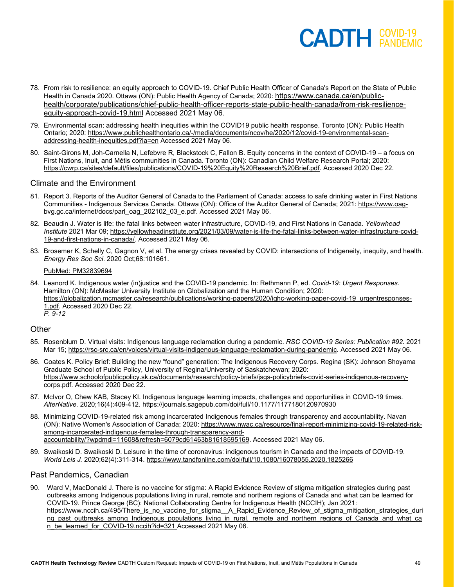- 78. From risk to resilience: an equity approach to COVID-19. Chief Public Health Officer of Canada's Report on the State of Public Health in Canada 2020. Ottawa (ON): Public Health Agency of Canada; 2020: [https://www.canada.ca/en/public](https://www.canada.ca/en/public-health/corporate/publications/chief-public-health-officer-reports-state-public-health-canada/from-risk-resilience-equity-approach-covid-19.html)[health/corporate/publications/chief-public-health-officer-reports-state-public-health-canada/from-risk-resilience](https://www.canada.ca/en/public-health/corporate/publications/chief-public-health-officer-reports-state-public-health-canada/from-risk-resilience-equity-approach-covid-19.html)[equity-approach-covid-19.html](https://www.canada.ca/en/public-health/corporate/publications/chief-public-health-officer-reports-state-public-health-canada/from-risk-resilience-equity-approach-covid-19.html) Accessed 2021 May 06.
- 79. Environmental scan: addressing health inequities within the COVID19 public health response. Toronto (ON): Public Health Ontario; 2020[: https://www.publichealthontario.ca/-/media/documents/ncov/he/2020/12/covid-19-environmental-scan](https://www.publichealthontario.ca/-/media/documents/ncov/he/2020/12/covid-19-environmental-scan-addressing-health-inequities.pdf?la=en)[addressing-health-inequities.pdf?la=en](https://www.publichealthontario.ca/-/media/documents/ncov/he/2020/12/covid-19-environmental-scan-addressing-health-inequities.pdf?la=en) Accessed 2021 May 06.
- 80. Saint-Girons M, Joh-Carnella N, Lefebvre R, Blackstock C, Fallon B. Equity concerns in the context of COVID-19 a focus on First Nations, Inuit, and Métis communities in Canada. Toronto (ON): Canadian Child Welfare Research Portal; 2020: [https://cwrp.ca/sites/default/files/publications/COVID-19%20Equity%20Research%20Brief.pdf.](https://cwrp.ca/sites/default/files/publications/COVID-19%20Equity%20Research%20Brief.pdf) Accessed 2020 Dec 22.

#### Climate and the Environment

- 81. Report 3. Reports of the Auditor General of Canada to the Parliament of Canada: access to safe drinking water in First Nations Communities - Indigenous Services Canada. Ottawa (ON): Office of the Auditor General of Canada; 2021: [https://www.oag](https://www.oag-bvg.gc.ca/internet/docs/parl_oag_202102_03_e.pdf)[bvg.gc.ca/internet/docs/parl\\_oag\\_202102\\_03\\_e.pdf.](https://www.oag-bvg.gc.ca/internet/docs/parl_oag_202102_03_e.pdf) Accessed 2021 May 06.
- 82. Beaudin J. Water is life: the fatal links between water infrastructure, COVID-19, and First Nations in Canada. *Yellowhead Institute* 2021 Mar 09[; https://yellowheadinstitute.org/2021/03/09/water-is-life-the-fatal-links-between-water-infrastructure-covid-](https://yellowheadinstitute.org/2021/03/09/water-is-life-the-fatal-links-between-water-infrastructure-covid-19-and-first-nations-in-canada/)[19-and-first-nations-in-canada/.](https://yellowheadinstitute.org/2021/03/09/water-is-life-the-fatal-links-between-water-infrastructure-covid-19-and-first-nations-in-canada/) Accessed 2021 May 06.
- 83. Brosemer K, Schelly C, Gagnon V, et al. The energy crises revealed by COVID: intersections of Indigeneity, inequity, and health. *Energy Res Soc Sci*. 2020 Oct;68:101661.

#### [PubMed: PM32839694](http://www.ncbi.nlm.nih.gov/pubmed/32839694)

84. Leanord K. Indigenous water (in)justice and the COVID-19 pandemic. In: Rethmann P, ed. *Covid-19: Urgent Responses*. Hamilton (ON): McMaster University Institute on Globalization and the Human Condition; 2020: [https://globalization.mcmaster.ca/research/publications/working-papers/2020/ighc-working-paper-covid-19\\_urgentresponses-](https://globalization.mcmaster.ca/research/publications/working-papers/2020/ighc-working-paper-covid-19_urgentresponses-1.pdf)[1.pdf.](https://globalization.mcmaster.ca/research/publications/working-papers/2020/ighc-working-paper-covid-19_urgentresponses-1.pdf) Accessed 2020 Dec 22. *P. 9-12*

#### **Other**

- 85. Rosenblum D. Virtual visits: Indigenous language reclamation during a pandemic. *RSC COVID-19 Series: Publication #92.* 2021 Mar 15; [https://rsc-src.ca/en/voices/virtual-visits-indigenous-language-reclamation-during-pandemic.](https://rsc-src.ca/en/voices/virtual-visits-indigenous-language-reclamation-during-pandemic) Accessed 2021 May 06.
- 86. Coates K. Policy Brief: Building the new "found" generation: The Indigenous Recovery Corps. Regina (SK): Johnson Shoyama Graduate School of Public Policy, University of Regina/University of Saskatchewan; 2020: [https://www.schoolofpublicpolicy.sk.ca/documents/research/policy-briefs/jsgs-policybriefs-covid-series-indigenous-recovery](https://www.schoolofpublicpolicy.sk.ca/documents/research/policy-briefs/jsgs-policybriefs-covid-series-indigenous-recovery-corps.pdf)[corps.pdf.](https://www.schoolofpublicpolicy.sk.ca/documents/research/policy-briefs/jsgs-policybriefs-covid-series-indigenous-recovery-corps.pdf) Accessed 2020 Dec 22.
- 87. McIvor O, Chew KAB, Stacey KI. Indigenous language learning impacts, challenges and opportunities in COVID-19 times. *AlterNative.* 2020;16(4):409-412. <https://journals.sagepub.com/doi/full/10.1177/1177180120970930>
- 88. Minimizing COVID-19-related risk among incarcerated Indigenous females through transparency and accountability. Navan (ON): Native Women's Association of Canada; 2020[: https://www.nwac.ca/resource/final-report-minimizing-covid-19-related-risk](https://www.nwac.ca/resource/final-report-minimizing-covid-19-related-risk-among-incarcerated-indigenous-females-through-transparency-and-accountability/?wpdmdl=11608&refresh=6079cd61463b81618595169)[among-incarcerated-indigenous-females-through-transparency-and](https://www.nwac.ca/resource/final-report-minimizing-covid-19-related-risk-among-incarcerated-indigenous-females-through-transparency-and-accountability/?wpdmdl=11608&refresh=6079cd61463b81618595169)[accountability/?wpdmdl=11608&refresh=6079cd61463b81618595169.](https://www.nwac.ca/resource/final-report-minimizing-covid-19-related-risk-among-incarcerated-indigenous-females-through-transparency-and-accountability/?wpdmdl=11608&refresh=6079cd61463b81618595169) Accessed 2021 May 06.
- 89. Swaikoski D. Swaikoski D. Leisure in the time of coronavirus: indigenous tourism in Canada and the impacts of COVID-19. *World Leis J.* 2020;62(4):311-314. <https://www.tandfonline.com/doi/full/10.1080/16078055.2020.1825266>

#### Past Pandemics, Canadian

90. Ward V, MacDonald J. There is no vaccine for stigma: A Rapid Evidence Review of stigma mitigation strategies during past outbreaks among Indigenous populations living in rural, remote and northern regions of Canada and what can be learned for COVID-19. Prince George (BC): National Collaborating Centre for Indigenous Health (NCCIH); Jan 2021: [https://www.nccih.ca/495/There\\_is\\_no\\_vaccine\\_for\\_stigma\\_\\_A\\_Rapid\\_Evidence\\_Review\\_of\\_stigma\\_mitigation\\_strategies\\_duri](https://www.nccih.ca/495/There_is_no_vaccine_for_stigma__A_Rapid_Evidence_Review_of_stigma_mitigation_strategies_during_past_outbreaks_among_Indigenous_populations_living_in_rural,_remote_and_northern_regions_of_Canada_and_what_can_be_learned_for_COVID-19.nccih?id=321) [ng\\_past\\_outbreaks\\_among\\_Indigenous\\_populations\\_living\\_in\\_rural,\\_remote\\_and\\_northern\\_regions\\_of\\_Canada\\_and\\_what\\_ca](https://www.nccih.ca/495/There_is_no_vaccine_for_stigma__A_Rapid_Evidence_Review_of_stigma_mitigation_strategies_during_past_outbreaks_among_Indigenous_populations_living_in_rural,_remote_and_northern_regions_of_Canada_and_what_can_be_learned_for_COVID-19.nccih?id=321) [n\\_be\\_learned\\_for\\_COVID-19.nccih?id=321](https://www.nccih.ca/495/There_is_no_vaccine_for_stigma__A_Rapid_Evidence_Review_of_stigma_mitigation_strategies_during_past_outbreaks_among_Indigenous_populations_living_in_rural,_remote_and_northern_regions_of_Canada_and_what_can_be_learned_for_COVID-19.nccih?id=321) Accessed 2021 May 06.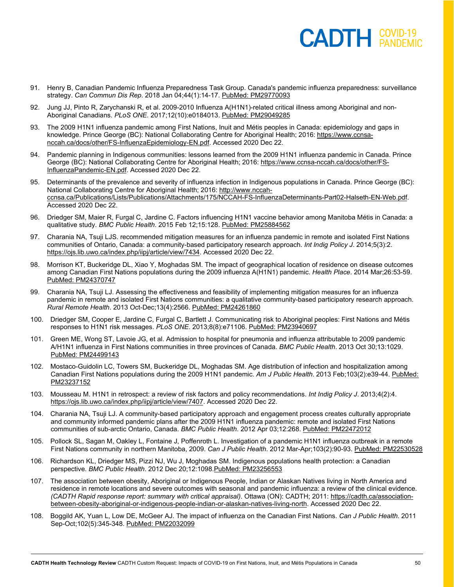- 91. Henry B, Canadian Pandemic Influenza Preparedness Task Group. Canada's pandemic influenza preparedness: surveillance strategy. *Can Commun Dis Rep*. 2018 Jan 04;44(1):14-17. [PubMed: PM29770093](http://www.ncbi.nlm.nih.gov/pubmed/29770093)
- 92. Jung JJ, Pinto R, Zarychanski R, et al. 2009-2010 Influenza A(H1N1)-related critical illness among Aboriginal and non-Aboriginal Canadians. *PLoS ONE*. 2017;12(10):e0184013. [PubMed: PM29049285](http://www.ncbi.nlm.nih.gov/pubmed/29049285)
- 93. The 2009 H1N1 influenza pandemic among First Nations, Inuit and Métis peoples in Canada: epidemiology and gaps in knowledge. Prince George (BC): National Collaborating Centre for Aboriginal Health; 2016: [https://www.ccnsa](https://www.ccnsa-nccah.ca/docs/other/FS-InfluenzaEpidemiology-EN.pdf)[nccah.ca/docs/other/FS-InfluenzaEpidemiology-EN.pdf.](https://www.ccnsa-nccah.ca/docs/other/FS-InfluenzaEpidemiology-EN.pdf) Accessed 2020 Dec 22.
- 94. Pandemic planning in Indigenous communities: lessons learned from the 2009 H1N1 influenza pandemic in Canada. Prince George (BC): National Collaborating Centre for Aboriginal Health; 2016[: https://www.ccnsa-nccah.ca/docs/other/FS-](https://www.ccnsa-nccah.ca/docs/other/FS-InfluenzaPandemic-EN.pdf)[InfluenzaPandemic-EN.pdf.](https://www.ccnsa-nccah.ca/docs/other/FS-InfluenzaPandemic-EN.pdf) Accessed 2020 Dec 22.
- 95. Determinants of the prevalence and severity of influenza infection in Indigenous populations in Canada. Prince George (BC): National Collaborating Centre for Aboriginal Health; 2016[: http://www.nccah](http://www.nccah-ccnsa.ca/Publications/Lists/Publications/Attachments/175/NCCAH-FS-InfluenzaDeterminants-Part02-Halseth-EN-Web.pdf)[ccnsa.ca/Publications/Lists/Publications/Attachments/175/NCCAH-FS-InfluenzaDeterminants-Part02-Halseth-EN-Web.pdf.](http://www.nccah-ccnsa.ca/Publications/Lists/Publications/Attachments/175/NCCAH-FS-InfluenzaDeterminants-Part02-Halseth-EN-Web.pdf)  Accessed 2020 Dec 22.
- 96. Driedger SM, Maier R, Furgal C, Jardine C. Factors influencing H1N1 vaccine behavior among Manitoba Métis in Canada: a qualitative study. *BMC Public Health*. 2015 Feb 12;15:128. [PubMed: PM25884562](http://www.ncbi.nlm.nih.gov/pubmed/25884562)
- 97. Charania NA, Tsuji LJS. recommended mitigation measures for an influenza pandemic in remote and isolated First Nations communities of Ontario, Canada: a community-based participatory research approach. *Int Indig Policy J*. 2014;5(3):2. [https://ojs.lib.uwo.ca/index.php/iipj/article/view/7434.](https://ojs.lib.uwo.ca/index.php/iipj/article/view/7434) Accessed 2020 Dec 22.
- 98. Morrison KT, Buckeridge DL, Xiao Y, Moghadas SM. The impact of geographical location of residence on disease outcomes among Canadian First Nations populations during the 2009 influenza A(H1N1) pandemic. *Health Place*. 2014 Mar;26:53-59. [PubMed: PM24370747](http://www.ncbi.nlm.nih.gov/pubmed/24370747)
- 99. Charania NA, Tsuji LJ. Assessing the effectiveness and feasibility of implementing mitigation measures for an influenza pandemic in remote and isolated First Nations communities: a qualitative community-based participatory research approach. *Rural Remote Health*. 2013 Oct-Dec;13(4):2566. [PubMed: PM24261860](http://www.ncbi.nlm.nih.gov/pubmed/24261860)
- 100. Driedger SM, Cooper E, Jardine C, Furgal C, Bartlett J. Communicating risk to Aboriginal peoples: First Nations and Métis responses to H1N1 risk messages. *PLoS ONE*. 2013;8(8):e71106. [PubMed: PM23940697](http://www.ncbi.nlm.nih.gov/pubmed/23940697)
- 101. Green ME, Wong ST, Lavoie JG, et al. Admission to hospital for pneumonia and influenza attributable to 2009 pandemic A/H1N1 influenza in First Nations communities in three provinces of Canada. *BMC Public Health*. 2013 Oct 30;13:1029. [PubMed: PM24499143](http://www.ncbi.nlm.nih.gov/pubmed/24499143)
- 102. Mostaco-Guidolin LC, Towers SM, Buckeridge DL, Moghadas SM. Age distribution of infection and hospitalization among Canadian First Nations populations during the 2009 H1N1 pandemic. *Am J Public Health*. 2013 Feb;103(2):e39-44. [PubMed:](http://www.ncbi.nlm.nih.gov/pubmed/23237152)  [PM23237152](http://www.ncbi.nlm.nih.gov/pubmed/23237152)
- 103. Mousseau M. H1N1 in retrospect: a review of risk factors and policy recommendations. *Int Indig Policy J*. 2013;4(2):4. [https://ojs.lib.uwo.ca/index.php/iipj/article/view/7407.](https://ojs.lib.uwo.ca/index.php/iipj/article/view/7407) Accessed 2020 Dec 22.
- 104. Charania NA, Tsuji LJ. A community-based participatory approach and engagement process creates culturally appropriate and community informed pandemic plans after the 2009 H1N1 influenza pandemic: remote and isolated First Nations communities of sub-arctic Ontario, Canada. *BMC Public Health*. 2012 Apr 03;12:268. [PubMed: PM22472012](http://www.ncbi.nlm.nih.gov/pubmed/22472012)
- 105. Pollock SL, Sagan M, Oakley L, Fontaine J, Poffenroth L. Investigation of a pandemic H1N1 influenza outbreak in a remote First Nations community in northern Manitoba, 2009. *Can J Public Health*. 2012 Mar-Apr;103(2):90-93. [PubMed: PM22530528](http://www.ncbi.nlm.nih.gov/pubmed/22530528)
- 106. Richardson KL, Driedger MS, Pizzi NJ, Wu J, Moghadas SM. Indigenous populations health protection: a Canadian perspective. *BMC Public Health*. 2012 Dec 20;12:109[8.PubMed: PM23256553](http://www.ncbi.nlm.nih.gov/pubmed/23256553)
- 107. The association between obesity, Aboriginal or Indigenous People, Indian or Alaskan Natives living in North America and residence in remote locations and severe outcomes with seasonal and pandemic influenza: a review of the clinical evidence. *(CADTH Rapid response report: summary with critical appraisal)*. Ottawa (ON): CADTH; 2011: [https://cadth.ca/association](https://cadth.ca/association-between-obesity-aboriginal-or-indigenous-people-indian-or-alaskan-natives-living-north)[between-obesity-aboriginal-or-indigenous-people-indian-or-alaskan-natives-living-north.](https://cadth.ca/association-between-obesity-aboriginal-or-indigenous-people-indian-or-alaskan-natives-living-north) Accessed 2020 Dec 22.
- 108. Boggild AK, Yuan L, Low DE, McGeer AJ. The impact of influenza on the Canadian First Nations. *Can J Public Health*. 2011 Sep-Oct;102(5):345-348. [PubMed: PM22032099](http://www.ncbi.nlm.nih.gov/pubmed/22032099)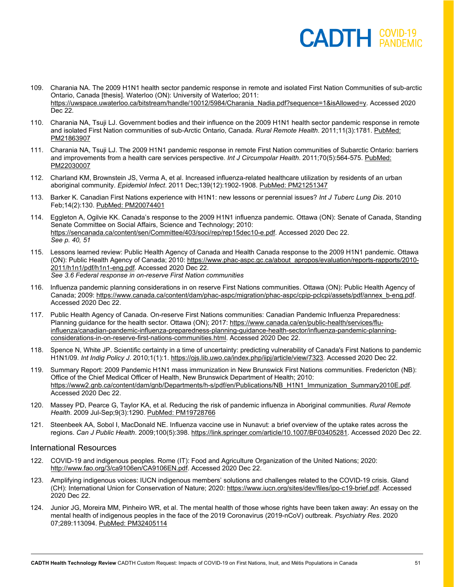- 109. Charania NA. The 2009 H1N1 health sector pandemic response in remote and isolated First Nation Communities of sub-arctic Ontario, Canada [thesis]. Waterloo (ON): University of Waterloo; 2011: [https://uwspace.uwaterloo.ca/bitstream/handle/10012/5984/Charania\\_Nadia.pdf?sequence=1&isAllowed=y.](https://uwspace.uwaterloo.ca/bitstream/handle/10012/5984/Charania_Nadia.pdf?sequence=1&isAllowed=y) Accessed 2020 Dec 22.
- 110. Charania NA, Tsuji LJ. Government bodies and their influence on the 2009 H1N1 health sector pandemic response in remote and isolated First Nation communities of sub-Arctic Ontario, Canada. *Rural Remote Health*. 2011;11(3):1781. [PubMed:](http://www.ncbi.nlm.nih.gov/pubmed/21863907)  [PM21863907](http://www.ncbi.nlm.nih.gov/pubmed/21863907)
- 111. Charania NA, Tsuji LJ. The 2009 H1N1 pandemic response in remote First Nation communities of Subarctic Ontario: barriers and improvements from a health care services perspective. *Int J Circumpolar Health*. 2011;70(5):564-575. [PubMed:](http://www.ncbi.nlm.nih.gov/pubmed/22030007)  [PM22030007](http://www.ncbi.nlm.nih.gov/pubmed/22030007)
- 112. Charland KM, Brownstein JS, Verma A, et al. Increased influenza-related healthcare utilization by residents of an urban aboriginal community. *Epidemiol Infect*. 2011 Dec;139(12):1902-1908. [PubMed: PM21251347](http://www.ncbi.nlm.nih.gov/pubmed/21251347)
- 113. Barker K. Canadian First Nations experience with H1N1: new lessons or perennial issues? *Int J Tuberc Lung Dis*. 2010 Feb;14(2):130. [PubMed: PM20074401](http://www.ncbi.nlm.nih.gov/pubmed/20074401)
- 114. Eggleton A, Ogilvie KK. Canada's response to the 2009 H1N1 influenza pandemic. Ottawa (ON): Senate of Canada, Standing Senate Committee on Social Affairs, Science and Technology; 2010: [https://sencanada.ca/content/sen/Committee/403/soci/rep/rep15dec10-e.pdf.](https://sencanada.ca/content/sen/Committee/403/soci/rep/rep15dec10-e.pdf) Accessed 2020 Dec 22. *See p. 40, 51*
- 115. Lessons learned review: Public Health Agency of Canada and Health Canada response to the 2009 H1N1 pandemic. Ottawa (ON): Public Health Agency of Canada; 2010[: https://www.phac-aspc.gc.ca/about\\_apropos/evaluation/reports-rapports/2010-](https://www.phac-aspc.gc.ca/about_apropos/evaluation/reports-rapports/2010-2011/h1n1/pdf/h1n1-eng.pdf) [2011/h1n1/pdf/h1n1-eng.pdf.](https://www.phac-aspc.gc.ca/about_apropos/evaluation/reports-rapports/2010-2011/h1n1/pdf/h1n1-eng.pdf) Accessed 2020 Dec 22. *See 3.6 Federal response in on-reserve First Nation communities*
- 116. Influenza pandemic planning considerations in on reserve First Nations communities. Ottawa (ON): Public Health Agency of Canada; 2009: [https://www.canada.ca/content/dam/phac-aspc/migration/phac-aspc/cpip-pclcpi/assets/pdf/annex\\_b-eng.pdf.](https://www.canada.ca/content/dam/phac-aspc/migration/phac-aspc/cpip-pclcpi/assets/pdf/annex_b-eng.pdf) Accessed 2020 Dec 22.
- 117. Public Health Agency of Canada. On-reserve First Nations communities: Canadian Pandemic Influenza Preparedness: Planning guidance for the health sector. Ottawa (ON); 2017: [https://www.canada.ca/en/public-health/services/flu](https://www.canada.ca/en/public-health/services/flu-influenza/canadian-pandemic-influenza-preparedness-planning-guidance-health-sector/influenza-pandemic-planning-considerations-in-on-reserve-first-nations-communities.html)[influenza/canadian-pandemic-influenza-preparedness-planning-guidance-health-sector/influenza-pandemic-planning](https://www.canada.ca/en/public-health/services/flu-influenza/canadian-pandemic-influenza-preparedness-planning-guidance-health-sector/influenza-pandemic-planning-considerations-in-on-reserve-first-nations-communities.html)[considerations-in-on-reserve-first-nations-communities.html.](https://www.canada.ca/en/public-health/services/flu-influenza/canadian-pandemic-influenza-preparedness-planning-guidance-health-sector/influenza-pandemic-planning-considerations-in-on-reserve-first-nations-communities.html) Accessed 2020 Dec 22.
- 118. Spence N, White JP. Scientific certainty in a time of uncertainty: predicting vulnerability of Canada's First Nations to pandemic H1N1/09. *Int Indig Policy J*. 2010;1(1):1[. https://ojs.lib.uwo.ca/index.php/iipj/article/view/7323.](https://ojs.lib.uwo.ca/index.php/iipj/article/view/7323) Accessed 2020 Dec 22.
- 119. Summary Report: 2009 Pandemic H1N1 mass immunization in New Brunswick First Nations communities. Fredericton (NB): Office of the Chief Medical Officer of Health, New Brunswick Department of Health; 2010: [https://www2.gnb.ca/content/dam/gnb/Departments/h-s/pdf/en/Publications/NB\\_H1N1\\_Immunization\\_Summary2010E.pdf.](https://www2.gnb.ca/content/dam/gnb/Departments/h-s/pdf/en/Publications/NB_H1N1_Immunization_Summary2010E.pdf) Accessed 2020 Dec 22.
- 120. Massey PD, Pearce G, Taylor KA, et al. Reducing the risk of pandemic influenza in Aboriginal communities. *Rural Remote Health*. 2009 Jul-Sep;9(3):1290. [PubMed: PM19728766](http://www.ncbi.nlm.nih.gov/pubmed/19728766)
- 121. Steenbeek AA, Sobol I, MacDonald NE. Influenza vaccine use in Nunavut: a brief overview of the uptake rates across the regions. *Can J Public Health*. 2009;100(5):398. [https://link.springer.com/article/10.1007/BF03405281.](https://link.springer.com/article/10.1007/BF03405281) Accessed 2020 Dec 22.

#### International Resources

- 122. COVID-19 and indigenous peoples. Rome (IT): Food and Agriculture Organization of the United Nations; 2020: [http://www.fao.org/3/ca9106en/CA9106EN.pdf.](http://www.fao.org/3/ca9106en/CA9106EN.pdf) Accessed 2020 Dec 22.
- 123. Amplifying indigenous voices: IUCN indigenous members' solutions and challenges related to the COVID-19 crisis. Gland (CH): International Union for Conservation of Nature; 2020: [https://www.iucn.org/sites/dev/files/ipo-c19-brief.pdf.](https://www.iucn.org/sites/dev/files/ipo-c19-brief.pdf) Accessed 2020 Dec 22.
- 124. Junior JG, Moreira MM, Pinheiro WR, et al. The mental health of those whose rights have been taken away: An essay on the mental health of indigenous peoples in the face of the 2019 Coronavirus (2019-nCoV) outbreak. *Psychiatry Res*. 2020 07;289:113094. [PubMed: PM32405114](http://www.ncbi.nlm.nih.gov/pubmed/32405114)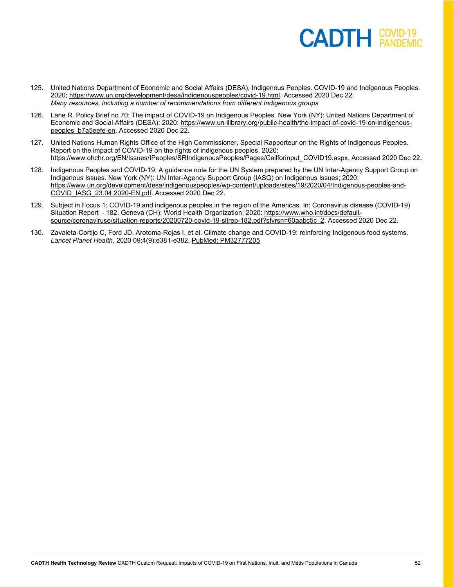#### $\mathsf{CADTH}$   $\overset{\mathsf{COVID-19}}{\mathsf{PANDEMIC}}$

- 125. United Nations Department of Economic and Social Affairs (DESA), Indigenous Peoples. COVID-19 and Indigenous Peoples. 2020[; https://www.un.org/development/desa/indigenouspeoples/covid-19.html.](https://www.un.org/development/desa/indigenouspeoples/covid-19.html) Accessed 2020 Dec 22. *Many resources, including a number of recommendations from different Indigenous groups*
- 126. Lane R. Policy Brief no 70: The impact of COVID-19 on Indigenous Peoples. New York (NY): United Nations Department of Economic and Social Affairs (DESA); 2020[: https://www.un-ilibrary.org/public-health/the-impact-of-covid-19-on-indigenous](https://www.un-ilibrary.org/public-health/the-impact-of-covid-19-on-indigenous-peoples_b7a5eefe-en)peoples b7a5eefe-en. Accessed 2020 Dec 22.
- 127. United Nations Human Rights Office of the High Commissioner, Special Rapporteur on the Rights of Indigenous Peoples. Report on the impact of COVID-19 on the rights of indigenous peoples. 2020: [https://www.ohchr.org/EN/Issues/IPeoples/SRIndigenousPeoples/Pages/Callforinput\\_COVID19.aspx.](https://www.ohchr.org/EN/Issues/IPeoples/SRIndigenousPeoples/Pages/Callforinput_COVID19.aspx) Accessed 2020 Dec 22.
- 128. Indigenous Peoples and COVID-19: A guidance note for the UN System prepared by the UN Inter-Agency Support Group on Indigenous Issues. New York (NY): UN Inter-Agency Support Group (IASG) on Indigenous Issues; 2020: [https://www.un.org/development/desa/indigenouspeoples/wp-content/uploads/sites/19/2020/04/Indigenous-peoples-and-](https://www.un.org/development/desa/indigenouspeoples/wp-content/uploads/sites/19/2020/04/Indigenous-peoples-and-COVID_IASG_23.04.2020-EN.pdf)[COVID\\_IASG\\_23.04.2020-EN.pdf.](https://www.un.org/development/desa/indigenouspeoples/wp-content/uploads/sites/19/2020/04/Indigenous-peoples-and-COVID_IASG_23.04.2020-EN.pdf) Accessed 2020 Dec 22.
- 129. Subject in Focus 1: COVID-19 and indigenous peoples in the region of the Americas. In: Coronavirus disease (COVID-19) Situation Report – 182. Geneva (CH): World Health Organization; 2020[: https://www.who.int/docs/default](https://www.who.int/docs/default-source/coronaviruse/situation-reports/20200720-covid-19-sitrep-182.pdf?sfvrsn=60aabc5c_2)[source/coronaviruse/situation-reports/20200720-covid-19-sitrep-182.pdf?sfvrsn=60aabc5c\\_2.](https://www.who.int/docs/default-source/coronaviruse/situation-reports/20200720-covid-19-sitrep-182.pdf?sfvrsn=60aabc5c_2) Accessed 2020 Dec 22.
- 130. Zavaleta-Cortijo C, Ford JD, Arotoma-Rojas I, et al. Climate change and COVID-19: reinforcing Indigenous food systems. *Lancet Planet Health*. 2020 09;4(9):e381-e382. [PubMed: PM32777205](http://www.ncbi.nlm.nih.gov/pubmed/32777205)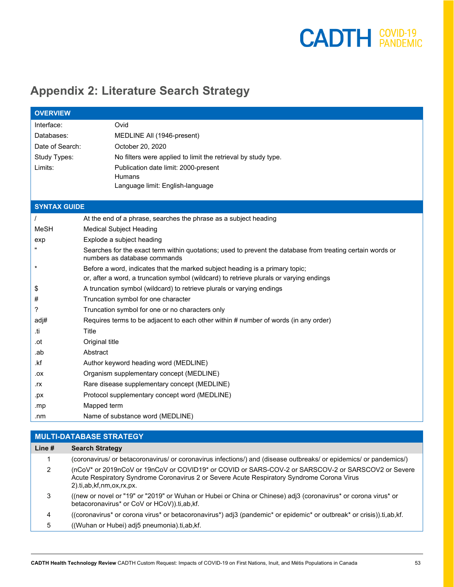#### <span id="page-52-0"></span>**Appendix 2: Literature Search Strategy**

| <b>OVERVIEW</b>     |                                                                                                                                            |
|---------------------|--------------------------------------------------------------------------------------------------------------------------------------------|
| Interface:          | Ovid                                                                                                                                       |
| Databases:          | MEDLINE All (1946-present)                                                                                                                 |
| Date of Search:     | October 20, 2020                                                                                                                           |
| Study Types:        | No filters were applied to limit the retrieval by study type.                                                                              |
| Limits:             | Publication date limit: 2000-present                                                                                                       |
|                     | <b>Humans</b>                                                                                                                              |
|                     | Language limit: English-language                                                                                                           |
|                     |                                                                                                                                            |
| <b>SYNTAX GUIDE</b> |                                                                                                                                            |
|                     | At the end of a phrase, searches the phrase as a subject heading                                                                           |
| MeSH                | <b>Medical Subject Heading</b>                                                                                                             |
| exp                 | Explode a subject heading                                                                                                                  |
|                     | Searches for the exact term within quotations; used to prevent the database from treating certain words or<br>numbers as database commands |
| $\star$             | Before a word, indicates that the marked subject heading is a primary topic;                                                               |
|                     | or, after a word, a truncation symbol (wildcard) to retrieve plurals or varying endings                                                    |
| \$                  | A truncation symbol (wildcard) to retrieve plurals or varying endings                                                                      |
| #                   | Truncation symbol for one character                                                                                                        |
| ?                   | Truncation symbol for one or no characters only                                                                                            |
| adj#                | Requires terms to be adjacent to each other within # number of words (in any order)                                                        |
| .ti                 | Title                                                                                                                                      |
| .ot                 | Original title                                                                                                                             |
| .ab                 | Abstract                                                                                                                                   |
| .kf                 | Author keyword heading word (MEDLINE)                                                                                                      |
| XO.                 | Organism supplementary concept (MEDLINE)                                                                                                   |
| .rx                 | Rare disease supplementary concept (MEDLINE)                                                                                               |
| .px                 | Protocol supplementary concept word (MEDLINE)                                                                                              |
| .mp                 | Mapped term                                                                                                                                |
| .nm                 | Name of substance word (MEDLINE)                                                                                                           |
|                     |                                                                                                                                            |

| <b>MULTI-DATABASE STRATEGY</b> |                                                                                                                                                                                                                              |  |
|--------------------------------|------------------------------------------------------------------------------------------------------------------------------------------------------------------------------------------------------------------------------|--|
| Line $#$                       | <b>Search Strategy</b>                                                                                                                                                                                                       |  |
|                                | (coronavirus/ or betacoronavirus/ or coronavirus infections/) and (disease outbreaks/ or epidemics/ or pandemics/)                                                                                                           |  |
| 2                              | (nCoV* or 2019nCoV or 19nCoV or COVID19* or COVID or SARS-COV-2 or SARSCOV-2 or SARSCOV2 or Severe<br>Acute Respiratory Syndrome Coronavirus 2 or Severe Acute Respiratory Syndrome Corona Virus<br>2).ti,ab,kf,nm,ox,rx,px. |  |
| 3                              | ((new or novel or "19" or "2019" or Wuhan or Hubei or China or Chinese) adj3 (coronavirus* or corona virus* or<br>betacoronavirus* or CoV or HCoV)).ti.ab.kf.                                                                |  |
| 4                              | ((coronavirus* or corona virus* or betacoronavirus*) adj3 (pandemic* or epidemic* or outbreak* or crisis)) ti,ab,kf.                                                                                                         |  |
| 5                              | ((Wuhan or Hubei) adj5 pneumonia).ti,ab,kf.                                                                                                                                                                                  |  |
|                                |                                                                                                                                                                                                                              |  |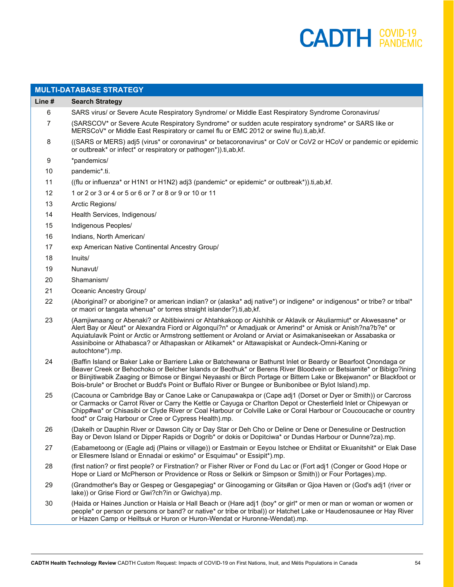|                | <b>MULTI-DATABASE STRATEGY</b>                                                                                                                                                                                                                                                                                                                                                                                                                                        |
|----------------|-----------------------------------------------------------------------------------------------------------------------------------------------------------------------------------------------------------------------------------------------------------------------------------------------------------------------------------------------------------------------------------------------------------------------------------------------------------------------|
| Line #         | <b>Search Strategy</b>                                                                                                                                                                                                                                                                                                                                                                                                                                                |
| 6              | SARS virus/ or Severe Acute Respiratory Syndrome/ or Middle East Respiratory Syndrome Coronavirus/                                                                                                                                                                                                                                                                                                                                                                    |
| $\overline{7}$ | (SARSCOV* or Severe Acute Respiratory Syndrome* or sudden acute respiratory syndrome* or SARS like or<br>MERSCoV* or Middle East Respiratory or camel flu or EMC 2012 or swine flu).ti,ab,kf.                                                                                                                                                                                                                                                                         |
| 8              | ((SARS or MERS) adj5 (virus* or coronavirus* or betacoronavirus* or CoV or CoV2 or HCoV or pandemic or epidemic<br>or outbreak* or infect* or respiratory or pathogen*)).ti,ab,kf.                                                                                                                                                                                                                                                                                    |
| 9              | *pandemics/                                                                                                                                                                                                                                                                                                                                                                                                                                                           |
| 10             | pandemic*.ti.                                                                                                                                                                                                                                                                                                                                                                                                                                                         |
| 11             | ((flu or influenza* or H1N1 or H1N2) adj3 (pandemic* or epidemic* or outbreak*)).ti,ab,kf.                                                                                                                                                                                                                                                                                                                                                                            |
| 12             | 1 or 2 or 3 or 4 or 5 or 6 or 7 or 8 or 9 or 10 or 11                                                                                                                                                                                                                                                                                                                                                                                                                 |
| 13             | Arctic Regions/                                                                                                                                                                                                                                                                                                                                                                                                                                                       |
| 14             | Health Services, Indigenous/                                                                                                                                                                                                                                                                                                                                                                                                                                          |
| 15             | Indigenous Peoples/                                                                                                                                                                                                                                                                                                                                                                                                                                                   |
| 16             | Indians, North American/                                                                                                                                                                                                                                                                                                                                                                                                                                              |
| 17             | exp American Native Continental Ancestry Group/                                                                                                                                                                                                                                                                                                                                                                                                                       |
| 18             | Inuits/                                                                                                                                                                                                                                                                                                                                                                                                                                                               |
| 19             | Nunavut/                                                                                                                                                                                                                                                                                                                                                                                                                                                              |
| 20             | Shamanism/                                                                                                                                                                                                                                                                                                                                                                                                                                                            |
| 21             | Oceanic Ancestry Group/                                                                                                                                                                                                                                                                                                                                                                                                                                               |
| 22             | (Aboriginal? or aborigine? or american indian? or (alaska* adj native*) or indigene* or indigenous* or tribe? or tribal*<br>or maori or tangata whenua* or torres straight islander?).ti,ab,kf.                                                                                                                                                                                                                                                                       |
| 23             | (Aamjiwnaang or Abenaki? or Abitibiwinni or Ahtahkakoop or Aishihik or Aklavik or Akuliarmiut* or Akwesasne* or<br>Alert Bay or Aleut* or Alexandra Fiord or Algonqui?n* or Amadjuak or Amerind* or Amisk or Anish?na?b?e* or<br>Aquiatulavik Point or Arctic or Armstrong settlement or Aroland or Arviat or Asimakaniseekan or Assabaska or<br>Assiniboine or Athabasca? or Athapaskan or Atikamek* or Attawapiskat or Aundeck-Omni-Kaning or<br>autochtone*).mp.   |
| 24             | (Baffin Island or Baker Lake or Barriere Lake or Batchewana or Bathurst Inlet or Beardy or Bearfoot Onondaga or<br>Beaver Creek or Behochoko or Belcher Islands or Beothuk* or Berens River Bloodvein or Betsiamite* or Bibigo?ining<br>or Biinjitiwabik Zaaging or Bimose or Bingwi Neyaashi or Birch Portage or Bittern Lake or Bkejwanon* or Blackfoot or<br>Bois-brule* or Brochet or Budd's Point or Buffalo River or Bungee or Bunibonibee or Bylot Island).mp. |
| 25             | (Cacouna or Cambridge Bay or Canoe Lake or Canupawakpa or (Cape adj1 (Dorset or Dyer or Smith)) or Carcross<br>or Carmacks or Carrot River or Carry the Kettle or Cayuga or Charlton Depot or Chesterfield Inlet or Chipewyan or<br>Chipp#wa* or Chisasibi or Clyde River or Coal Harbour or Colville Lake or Coral Harbour or Coucoucache or country<br>food* or Craig Harbour or Cree or Cypress Health).mp.                                                        |
| 26             | (Dakelh or Dauphin River or Dawson City or Day Star or Deh Cho or Deline or Dene or Denesuline or Destruction<br>Bay or Devon Island or Dipper Rapids or Dogrib* or dokis or Dopitciwa* or Dundas Harbour or Dunne?za).mp.                                                                                                                                                                                                                                            |
| 27             | (Eabametoong or (Eagle adj (Plains or village)) or Eastmain or Eeyou Istchee or Ehdiitat or Ekuanitshit* or Elak Dase<br>or Ellesmere Island or Ennadai or eskimo* or Esquimau* or Essipit*).mp.                                                                                                                                                                                                                                                                      |
| 28             | (first nation? or first people? or Firstnation? or Fisher River or Fond du Lac or (Fort adj1 (Conger or Good Hope or<br>Hope or Liard or McPherson or Providence or Ross or Selkirk or Simpson or Smith)) or Four Portages).mp.                                                                                                                                                                                                                                       |
| 29             | (Grandmother's Bay or Gespeg or Gesgapegiag* or Ginoogaming or Gits#an or Gjoa Haven or (God's adj1 (river or<br>lake)) or Grise Fiord or Gwi?ch?in or Gwichya).mp.                                                                                                                                                                                                                                                                                                   |
| 30             | (Haida or Haines Junction or Haisla or Hall Beach or (Hare adj1 (boy* or girl* or men or man or woman or women or                                                                                                                                                                                                                                                                                                                                                     |

people\* or person or persons or band? or native\* or tribe or tribal)) or Hatchet Lake or Haudenosaunee or Hay River or Hazen Camp or Heiltsuk or Huron or Huron-Wendat or Huronne-Wendat).mp.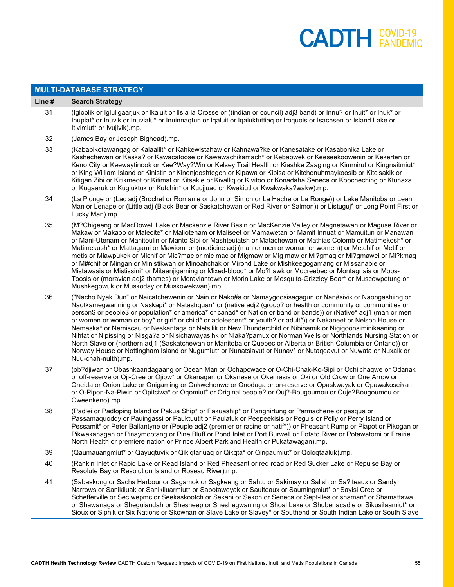$\overline{a}$ 

| <b>MULTI-DATABASE STRATEGY</b> |                                                                                                                                                                                                                                                                                                                                                                                                                                                                                                                                                                                                                                                                                                                                                                                                                                                                                                                                                                      |  |
|--------------------------------|----------------------------------------------------------------------------------------------------------------------------------------------------------------------------------------------------------------------------------------------------------------------------------------------------------------------------------------------------------------------------------------------------------------------------------------------------------------------------------------------------------------------------------------------------------------------------------------------------------------------------------------------------------------------------------------------------------------------------------------------------------------------------------------------------------------------------------------------------------------------------------------------------------------------------------------------------------------------|--|
| Line #                         | <b>Search Strategy</b>                                                                                                                                                                                                                                                                                                                                                                                                                                                                                                                                                                                                                                                                                                                                                                                                                                                                                                                                               |  |
| 31                             | (Igloolik or Igluligaarjuk or Ikaluit or IIs a la Crosse or ((indian or council) adj3 band) or Innu? or Inuit* or Inuk* or<br>Inupiat* or Inuvik or Inuvialu* or Inuinnaqtun or Iqaluit or Iqaluktuttiaq or Iroquois or Isachsen or Island Lake or<br>Itivimiut* or Ivujivik).mp.                                                                                                                                                                                                                                                                                                                                                                                                                                                                                                                                                                                                                                                                                    |  |
| 32                             | (James Bay or Joseph Bighead).mp.                                                                                                                                                                                                                                                                                                                                                                                                                                                                                                                                                                                                                                                                                                                                                                                                                                                                                                                                    |  |
| 33                             | (Kabapikotawangag or Kalaallit* or Kahkewistahaw or Kahnawa?ke or Kanesatake or Kasabonika Lake or<br>Kashechewan or Kaska? or Kawacatoose or Kawawachikamach* or Kebaowek or Keeseekoowenin or Kekerten or<br>Keno City or Keewaytinook or Kee?Way?Win or Kelsey Trail Health or Kiashke Zaaging or Kimmirut or Kingnaitmiut*<br>or King William Island or Kinistin or Kinonjeoshtegon or Kipawa or Kipisa or Kitchenuhmaykoosib or Kitcisakik or<br>Kitigan Zibi or Kitikmeot or Kitimat or Kitsakie or Kivalliq or Kivitoo or Konadaha Seneca or Koocheching or Ktunaxa<br>or Kugaaruk or Kugluktuk or Kutchin* or Kuujjuaq or Kwakiutl or Kwakwaka?wakw).mp.                                                                                                                                                                                                                                                                                                     |  |
| 34                             | (La Plonge or (Lac adj (Brochet or Romanie or John or Simon or La Hache or La Ronge)) or Lake Manitoba or Lean<br>Man or Lenape or (Little adj (Black Bear or Saskatchewan or Red River or Salmon)) or Listuguj* or Long Point First or<br>Lucky Man).mp.                                                                                                                                                                                                                                                                                                                                                                                                                                                                                                                                                                                                                                                                                                            |  |
| 35                             | (M?Chigeeng or MacDowell Lake or Mackenzie River Basin or MacKenzie Valley or Magnetawan or Maguse River or<br>Makaw or Makaoo or Malecite* or Maliotenam or Maliseet or Mamawetan or Mamit Innuat or Mamuitun or Manawan<br>or Mani-Utenam or Manitoulin or Manto Sipi or Mashteuiatsh or Matachewan or Mathias Colomb or Matimekosh* or<br>Matimekush* or Mattagami or Mawiomi or (medicine adj (man or men or woman or women)) or Metchif or Metif or<br>metis or Miawpukek or Michif or Mic?mac or mic mac or Migmaw or Mig maw or Mi?gmaq or Mi?gmawei or Mi?kmaq<br>or Mi#chif or Mingan or Ministikwan or Minoahchak or Mirond Lake or Mishkeegogamang or Missanabie or<br>Mistawasis or Mistissini* or Mitaanjigaming or Mixed-blood* or Mo?hawk or Mocreebec or Montagnais or Moos-<br>Toosis or (moravian adj2 thames) or Moraviantown or Morin Lake or Mosquito-Grizzley Bear* or Muscowpetung or<br>Mushkegowuk or Muskoday or Muskowekwan).mp.          |  |
| 36                             | ("Nacho Nyak Dun" or Naicatchewenin or Nain or Nako#a or Namaygoosisagagun or Nan#sivik or Naongashiing or<br>Naotkamegwanning or Naskapi* or Natashquan* or (native adj2 (group? or health or community or communities or<br>person\$ or people\$ or population* or america* or canad* or Nation or band or bands)) or (Native* adj1 (man or men<br>or women or woman or boy* or girl* or child* or adolescent* or youth? or adult*)) or Nekaneet or Nelson House or<br>Nemaska* or Nemiscau or Neskantaga or Netsilik or New Thunderchild or Nibinamik or Nigigoonsiminikaaning or<br>Nihtat or Nipissing or Nisga?a or Nisichawayasihk or Nlaka?pamux or Norman Wells or Northlands Nursing Station or<br>North Slave or (northern adj1 (Saskatchewan or Manitoba or Quebec or Alberta or British Columbia or Ontario)) or<br>Norway House or Nottingham Island or Nugumiut* or Nunatsiavut or Nunav* or Nutaqqavut or Nuwata or Nuxalk or<br>Nuu-chah-nulth).mp. |  |
| 37                             | (ob?djiwan or Obashkaandagaang or Ocean Man or Ochapowace or O-Chi-Chak-Ko-Sipi or Ochiichagwe or Odanak<br>or off-reserve or Oji-Cree or Ojibw* or Okanagan or Okanese or Okemasis or Oki or Old Crow or One Arrow or<br>Oneida or Onion Lake or Onigaming or Onkwehonwe or Onodaga or on-reserve or Opaskwayak or Opawakoscikan<br>or O-Pipon-Na-Piwin or Opitciwa* or Oqomiut* or Original people? or Ouj?-Bougoumou or Ouje?Bougoumou or<br>Oweenkeno).mp.                                                                                                                                                                                                                                                                                                                                                                                                                                                                                                       |  |
| 38                             | (Padlei or Padloping Island or Pakua Ship* or Pakuaship* or Pangnirtung or Parmachene or pasqua or<br>Passamaquoddy or Pauingassi or Pauktuutit or Paulatuk or Peepeekisis or Peguis or Pelly or Perry Island or<br>Pessamit* or Peter Ballantyne or (Peuple adj2 (premier or racine or natif*)) or Pheasant Rump or Piapot or Pikogan or<br>Pikwakanagan or Pinaymootang or Pine Bluff or Pond Inlet or Port Burwell or Potato River or Potawatomi or Prairie<br>North Health or premiere nation or Prince Albert Parkland Health or Pukatawagan).mp.                                                                                                                                                                                                                                                                                                                                                                                                               |  |
| 39                             | (Qaumauangmiut* or Qayuqtuvik or Qikiqtarjuaq or Qikqta* or Qingaumiut* or Qoloqtaaluk).mp.                                                                                                                                                                                                                                                                                                                                                                                                                                                                                                                                                                                                                                                                                                                                                                                                                                                                          |  |
| 40                             | (Rankin Inlet or Rapid Lake or Read Island or Red Pheasant or red road or Red Sucker Lake or Repulse Bay or<br>Resolute Bay or Resolution Island or Roseau River).mp.                                                                                                                                                                                                                                                                                                                                                                                                                                                                                                                                                                                                                                                                                                                                                                                                |  |
| 41                             | (Sabaskong or Sachs Harbour or Sagamok or Sagkeeng or Sahtu or Sakimay or Salish or Sa?Iteaux or Sandy<br>Narrows or Sanikiluak or Sanikiluarmiut* or Sapotaweyak or Saulteaux or Saumingmiut* or Sayisi Cree or<br>Schefferville or Sec wepmc or Seekaskootch or Sekani or Sekon or Seneca or Sept-Iles or shaman* or Shamattawa<br>or Shawanaga or Sheguiandah or Shesheep or Sheshegwaning or Shoal Lake or Shubenacadie or Sikusilaamiut* or<br>Sioux or Siphik or Six Nations or Skownan or Slave Lake or Slavey* or Southend or South Indian Lake or South Slave                                                                                                                                                                                                                                                                                                                                                                                               |  |